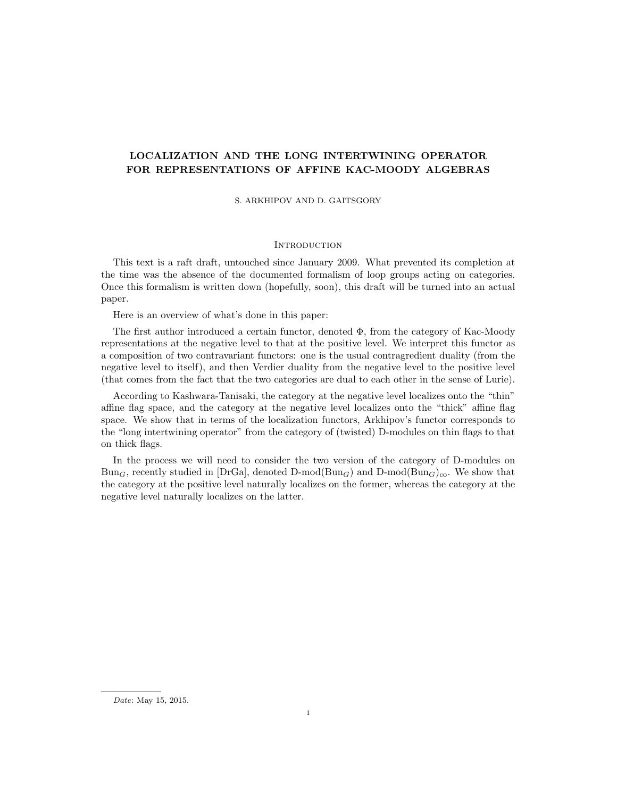# LOCALIZATION AND THE LONG INTERTWINING OPERATOR FOR REPRESENTATIONS OF AFFINE KAC-MOODY ALGEBRAS

S. ARKHIPOV AND D. GAITSGORY

## **INTRODUCTION**

This text is a raft draft, untouched since January 2009. What prevented its completion at the time was the absence of the documented formalism of loop groups acting on categories. Once this formalism is written down (hopefully, soon), this draft will be turned into an actual paper.

Here is an overview of what's done in this paper:

The first author introduced a certain functor, denoted Φ, from the category of Kac-Moody representations at the negative level to that at the positive level. We interpret this functor as a composition of two contravariant functors: one is the usual contragredient duality (from the negative level to itself), and then Verdier duality from the negative level to the positive level (that comes from the fact that the two categories are dual to each other in the sense of Lurie).

According to Kashwara-Tanisaki, the category at the negative level localizes onto the "thin" affine flag space, and the category at the negative level localizes onto the "thick" affine flag space. We show that in terms of the localization functors, Arkhipov's functor corresponds to the "long intertwining operator" from the category of (twisted) D-modules on thin flags to that on thick flags.

In the process we will need to consider the two version of the category of D-modules on  $Bun_G$ , recently studied in [DrGa], denoted D-mod( $Bun_G$ ) and D-mod( $Bun_G$ )<sub>co</sub>. We show that the category at the positive level naturally localizes on the former, whereas the category at the negative level naturally localizes on the latter.

Date: May 15, 2015.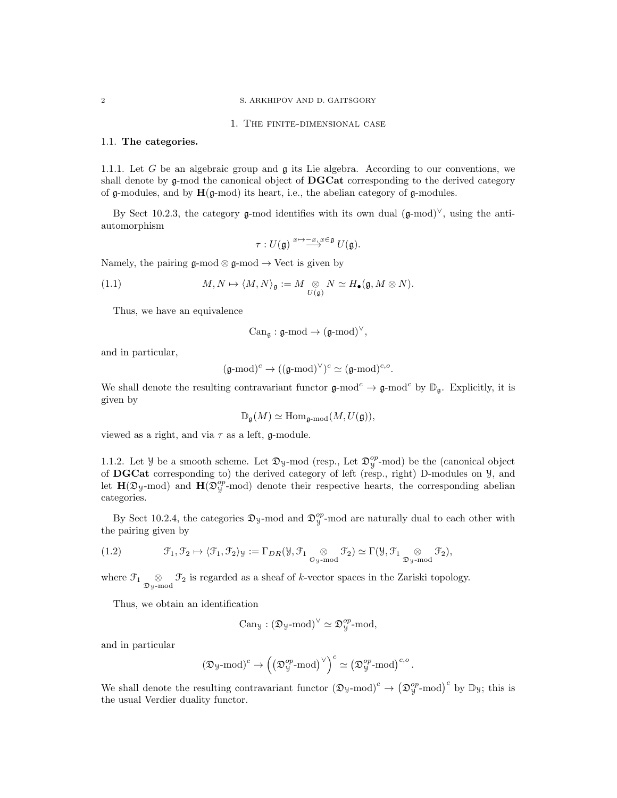#### 2 S. ARKHIPOV AND D. GAITSGORY

### 1. The finite-dimensional case

#### 1.1. The categories.

1.1.1. Let G be an algebraic group and  $\mathfrak g$  its Lie algebra. According to our conventions, we shall denote by  $g$ -mod the canonical object of **DGCat** corresponding to the derived category of  $\mathfrak g$ -modules, and by  $\mathbf H(\mathfrak g\text{-mod})$  its heart, i.e., the abelian category of  $\mathfrak g\text{-modules}$ .

By Sect 10.2.3, the category g-mod identifies with its own dual  $(g\text{-mod})^{\vee}$ , using the antiautomorphism

$$
\tau: U(\mathfrak{g}) \stackrel{x \mapsto -x, x \in \mathfrak{g}}{\longrightarrow} U(\mathfrak{g}).
$$

Namely, the pairing  $\mathfrak{g}\text{-mod} \otimes \mathfrak{g}\text{-mod} \to \text{Vect}$  is given by

(1.1) 
$$
M, N \mapsto \langle M, N \rangle_{\mathfrak{g}} := M \underset{U(\mathfrak{g})}{\otimes} N \simeq H_{\bullet}(\mathfrak{g}, M \otimes N).
$$

Thus, we have an equivalence

$$
\mathrm{Can}_{\mathfrak{g}}: \mathfrak{g}\text{-}\mathrm{mod} \rightarrow (\mathfrak{g}\text{-}\mathrm{mod})^{\vee},
$$

and in particular,

$$
(\mathfrak{g}\text{-}\mathrm{mod})^c \rightarrow ((\mathfrak{g}\text{-}\mathrm{mod})^\vee)^c \simeq (\mathfrak{g}\text{-}\mathrm{mod})^{c,o}.
$$

We shall denote the resulting contravariant functor  $\mathfrak{g}\text{-mod}^c \to \mathfrak{g}\text{-mod}^c$  by  $\mathbb{D}_{\mathfrak{g}}$ . Explicitly, it is given by

$$
\mathbb{D}_{\mathfrak{g}}(M) \simeq \mathrm{Hom}_{\mathfrak{g}\text{-}\mathrm{mod}}(M, U(\mathfrak{g})),
$$

viewed as a right, and via  $\tau$  as a left, g-module.

1.1.2. Let  $\mathcal{Y}$  be a smooth scheme. Let  $\mathfrak{D}_y$ -mod (resp., Let  $\mathfrak{D}_y^{op}$ -mod) be the (canonical object of DGCat corresponding to) the derived category of left (resp., right) D-modules on Y, and let  $H(\mathfrak{D}_y \text{-mod})$  and  $H(\mathfrak{D}_y^{op} \text{-mod})$  denote their respective hearts, the corresponding abelian categories.

By Sect 10.2.4, the categories  $\mathfrak{D}_y$ -mod and  $\mathfrak{D}_y^{op}$ -mod are naturally dual to each other with the pairing given by

(1.2) 
$$
\mathcal{F}_1, \mathcal{F}_2 \mapsto \langle \mathcal{F}_1, \mathcal{F}_2 \rangle_{\mathcal{Y}} := \Gamma_{DR}(\mathcal{Y}, \mathcal{F}_1 \underset{\mathcal{O}_{\mathcal{Y}} \text{ mod }}{\otimes} \mathcal{F}_2) \simeq \Gamma(\mathcal{Y}, \mathcal{F}_1 \underset{\mathcal{D}_{\mathcal{Y}} \text{ mod }}{\otimes} \mathcal{F}_2),
$$

where  $\mathcal{F}_1 \otimes \mathcal{F}_2$  is regarded as a sheaf of k-vector spaces in the Zariski topology.

Thus, we obtain an identification

$$
\mathrm{Can}_{\mathcal{Y}}: (\mathfrak{D}_{\mathcal{Y}}\text{-}\mathrm{mod})^{\vee} \simeq \mathfrak{D}_{\mathcal{Y}}^{op}\text{-}\mathrm{mod},
$$

and in particular

$$
\left(\mathfrak{D}_{\mathcal{Y}}\text{-mod}\right)^c \to \left(\left(\mathfrak{D}_{\mathcal{Y}}^{op}\text{-mod}\right)^{\vee}\right)^c \simeq \left(\mathfrak{D}_{\mathcal{Y}}^{op}\text{-mod}\right)^{c,o}
$$

.

We shall denote the resulting contravariant functor  $(\mathfrak{D}_y\text{-mod})^c \to (\mathfrak{D}_y^{op}\text{-mod})^c$  by  $\mathbb{D}_y$ ; this is the usual Verdier duality functor.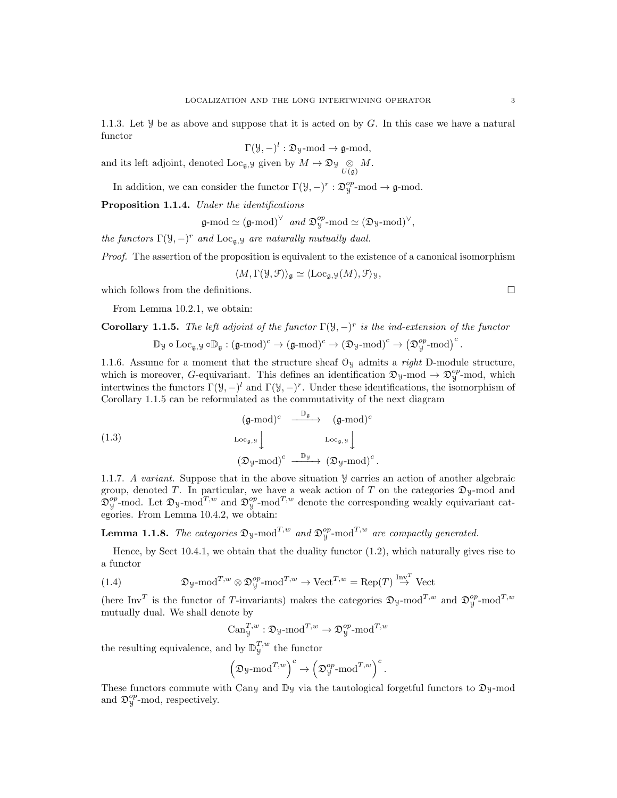1.1.3. Let  $\mathcal Y$  be as above and suppose that it is acted on by G. In this case we have a natural functor

$$
\Gamma(\mathcal{Y}, -)^l : \mathfrak{D}_{\mathcal{Y}}\text{-mod} \to \mathfrak{g}\text{-mod},
$$

and its left adjoint, denoted  $\text{Loc}_{\mathfrak{g}, \mathcal{Y}}$  given by  $M \mapsto \mathfrak{D}_{\mathcal{Y}} \underset{U(\mathfrak{g})}{\otimes} M$ .

In addition, we can consider the functor  $\Gamma(\mathcal{Y}, -)^r : \mathfrak{D}_{\mathcal{Y}}^{op}\text{-mod} \to \mathfrak{g}\text{-mod}.$ 

Proposition 1.1.4. Under the identifications

 $\mathfrak{g}\text{-mod} \simeq (\mathfrak{g}\text{-mod})^\vee$  and  $\mathfrak{D}_\mathfrak{Y}^{\text{op}}\text{-mod} \simeq (\mathfrak{D}_\mathfrak{Y}\text{-mod})^\vee$ ,

the functors  $\Gamma(\mathcal{Y}, -)^r$  and  $\text{Loc}_{\mathfrak{g}, \mathcal{Y}}$  are naturally mutually dual.

Proof. The assertion of the proposition is equivalent to the existence of a canonical isomorphism

 $\langle M, \Gamma(\mathcal{Y}, \mathcal{F}) \rangle_{\mathfrak{a}} \simeq \langle \mathrm{Loc}_{\mathfrak{a},\mathcal{Y}}(M), \mathcal{F} \rangle_{\mathcal{Y}},$ 

which follows from the definitions.  $\Box$ 

From Lemma 10.2.1, we obtain:

**Corollary 1.1.5.** The left adjoint of the functor  $\Gamma(\mathcal{Y}, -)^r$  is the ind-extension of the functor

$$
\mathbb{D} y \circ \mathrm{Loc}_{\mathfrak{g}, \mathcal{Y}} \circ \mathbb{D}_{\mathfrak{g}} : (\mathfrak{g}\text{-}\mathrm{mod})^c \to (\mathfrak{g}\text{-}\mathrm{mod})^c \to (\mathfrak{D} y \text{-}\mathrm{mod})^c \to \big(\mathfrak{D}^{op}_{\mathcal{Y}} \text{-}\mathrm{mod}\big)^c
$$

1.1.6. Assume for a moment that the structure sheaf  $O<sub>y</sub>$  admits a *right* D-module structure, which is moreover, G-equivariant. This defines an identification  $\mathfrak{D}_y$ -mod  $\rightarrow \mathfrak{D}_y^{op}$ -mod, which intertwines the functors  $\Gamma(\mathcal{Y}, -)^l$  and  $\Gamma(\mathcal{Y}, -)^r$ . Under these identifications, the isomorphism of Corollary 1.1.5 can be reformulated as the commutativity of the next diagram

(1.3)  
\n
$$
\begin{array}{ccc}\n(\mathfrak{g}\text{-mod})^c & \xrightarrow{\mathbb{D}_{\mathfrak{g}}} & (\mathfrak{g}\text{-mod})^c \\
\operatorname{Loc}_{\mathfrak{g}, \mathfrak{y}} & & \operatorname{Loc}_{\mathfrak{g}, \mathfrak{y}} \downarrow \\
(\mathfrak{D}_{\mathfrak{y}\text{-mod}})^c & \xrightarrow{\mathbb{D}_{\mathfrak{Y}}} & (\mathfrak{D}_{\mathfrak{y}\text{-mod}})^c.\n\end{array}
$$

1.1.7. A variant. Suppose that in the above situation Y carries an action of another algebraic group, denoted T. In particular, we have a weak action of T on the categories  $\mathfrak{D}_y$ -mod and  $\mathfrak{D}_y^{op}$ -mod. Let  $\mathfrak{D}_y$ -mod<sup>T,w</sup> and  $\mathfrak{D}_y^{op}$ -mod<sup>T,w</sup> denote the corresponding weakly equivariant categories. From Lemma 10.4.2, we obtain:

**Lemma 1.1.8.** The categories  $\mathfrak{D}_y$ -mod<sup>T,w</sup> and  $\mathfrak{D}_y^{op}$ -mod<sup>T,w</sup> are compactly generated.

Hence, by Sect 10.4.1, we obtain that the duality functor  $(1.2)$ , which naturally gives rise to a functor

(1.4) 
$$
\mathfrak{D}_{y}\text{-mod}^{T,w}\otimes \mathfrak{D}_{y}^{op}\text{-mod}^{T,w}\to \text{Vect}^{T,w}=\text{Rep}(T)\stackrel{\text{Inv}^T}{\to}\text{Vect}
$$

(here Inv<sup>T</sup> is the functor of T-invariants) makes the categories  $\mathfrak{D}_y$ -mod<sup>T,w</sup> and  $\mathfrak{D}_y^{op}$ -mod<sup>T,w</sup> mutually dual. We shall denote by

$$
\mathrm{Can}_{\mathcal{Y}}^{T,w}: \mathfrak{D}_{\mathcal{Y}}\text{-}\mathrm{mod}^{T,w} \to \mathfrak{D}_{\mathcal{Y}}^{op}\text{-}\mathrm{mod}^{T,w}
$$

the resulting equivalence, and by  $\mathbb{D}_{y}^{T,w}$  the functor

$$
\left(\mathfrak{D}_{\mathcal{Y}}\text{-}\mathrm{mod}^{T,w}\right)^c \to \left(\mathfrak{D}_{\mathcal{Y}}^{op}\text{-}\mathrm{mod}^{T,w}\right)^c.
$$

These functors commute with Cany and  $\mathbb{D}_y$  via the tautological forgetful functors to  $\mathfrak{D}_y$ -mod and  $\mathfrak{D}_{y}^{op}$ -mod, respectively.

.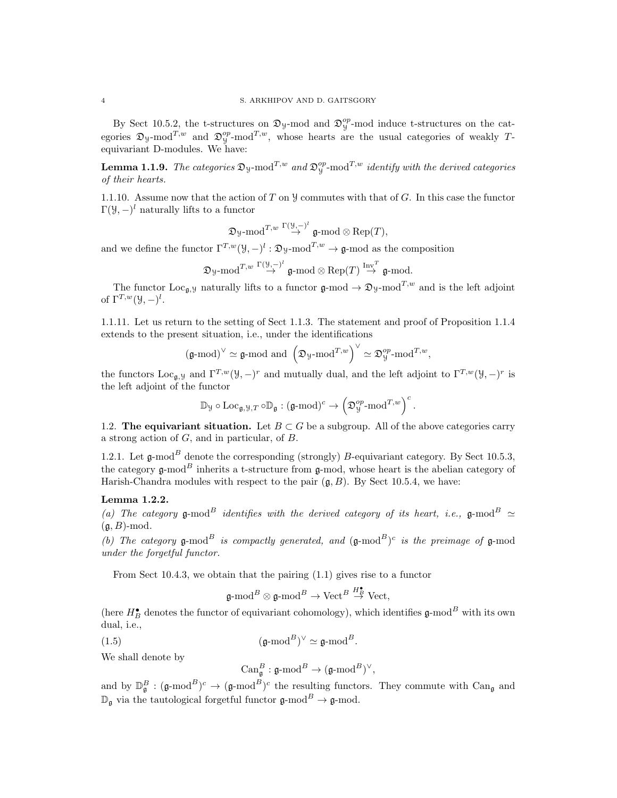By Sect 10.5.2, the t-structures on  $\mathfrak{D}_y$ -mod and  $\mathfrak{D}_y^{op}$ -mod induce t-structures on the categories  $\mathfrak{D}_y$ -mod<sup>T,w</sup> and  $\mathfrak{D}_y^{op}$ -mod<sup>T,w</sup>, whose hearts are the usual categories of weakly Tequivariant D-modules. We have:

**Lemma 1.1.9.** The categories  $\mathfrak{D}_y$ -mod<sup>T,w</sup> and  $\mathfrak{D}_y^{op}$ -mod<sup>T,w</sup> identify with the derived categories of their hearts.

1.1.10. Assume now that the action of T on  $\mathcal Y$  commutes with that of G. In this case the functor  $\Gamma(\mathcal{Y}, -)^l$  naturally lifts to a functor

$$
\mathfrak{D} \mathrm{y}\text{-}\mathrm{mod}^{T,w}\overset{\Gamma(\mathcal{Y},-)}\to \mathfrak{g}\text{-}\mathrm{mod}\otimes \mathrm{Rep}(T),
$$

and we define the functor  $\Gamma^{T,w}(\mathcal{Y}, -)^l : \mathfrak{D}_{\mathcal{Y}}\text{-mod}^{T,w} \to \mathfrak{g}\text{-mod}$  as the composition

$$
\mathfrak{D} \mathrm{y}\text{-}\mathrm{mod}^{T,w}\overset{\Gamma(\mathcal{Y},-)^l}{\rightarrow} \mathfrak{g}\text{-}\mathrm{mod} \otimes \mathrm{Rep}(T) \overset{\mathrm{Inv}^T}{\rightarrow} \mathfrak{g}\text{-}\mathrm{mod}.
$$

The functor Loc<sub>g</sub>, y naturally lifts to a functor  $\mathfrak{g}\text{-mod} \to \mathfrak{D}_y\text{-mod}^{T,w}$  and is the left adjoint of  $\Gamma^{T,w}(\mathcal{Y},-)^l$ .

1.1.11. Let us return to the setting of Sect 1.1.3. The statement and proof of Proposition 1.1.4 extends to the present situation, i.e., under the identifications

$$
(\mathfrak{g}\text{-mod})^{\vee}\simeq \mathfrak{g}\text{-mod} \text{ and }\left(\mathfrak{D}_\mathcal{Y}\text{-mod}^{T,w}\right)^{\vee}\simeq \mathfrak{D}_\mathcal{Y}^{op}\text{-mod}^{T,w},
$$

the functors Loc<sub>g, y</sub> and  $\Gamma^{T,w}(\mathcal{Y}, -)^r$  and mutually dual, and the left adjoint to  $\Gamma^{T,w}(\mathcal{Y}, -)^r$  is the left adjoint of the functor

$$
\mathbb{D}_{\mathcal{Y}} \circ \mathrm{Loc}_{\mathfrak{g}, \mathcal{Y}, T} \circ \mathbb{D}_{\mathfrak{g}} : (\mathfrak{g}\text{-}\mathrm{mod})^c \to \left(\mathfrak{D}_{\mathcal{Y}}^{op}\text{-}\mathrm{mod}^{T,w}\right)^c.
$$

1.2. The equivariant situation. Let  $B \subset G$  be a subgroup. All of the above categories carry a strong action of G, and in particular, of B.

1.2.1. Let  $\mathfrak{g}\text{-mod}^B$  denote the corresponding (strongly) B-equivariant category. By Sect 10.5.3, the category g-mod<sup>B</sup> inherits a t-structure from g-mod, whose heart is the abelian category of Harish-Chandra modules with respect to the pair  $(\mathfrak{a}, B)$ . By Sect 10.5.4, we have:

### Lemma 1.2.2.

(a) The category g-mod<sup>B</sup> identifies with the derived category of its heart, i.e., g-mod<sup>B</sup>  $\simeq$  $(a, B)$ -mod.

(b) The category  $\mathfrak{g}\text{-mod}^B$  is compactly generated, and  $(\mathfrak{g}\text{-mod}^B)^c$  is the preimage of  $\mathfrak{g}\text{-mod}$ under the forgetful functor.

From Sect 10.4.3, we obtain that the pairing (1.1) gives rise to a functor

$$
\mathfrak{g}\text{-mod}^B\otimes\mathfrak{g}\text{-mod}^B\to\text{Vect}^B\overset{H\bullet}{\to}\text{Vect},
$$

(here  $H_B^{\bullet}$  denotes the functor of equivariant cohomology), which identifies  $\mathfrak{g}\text{-mod}^B$  with its own dual, i.e.,

(1.5)  $(\mathfrak{g}\text{-mod}^B)^{\vee} \simeq \mathfrak{g}\text{-mod}^B.$ 

We shall denote by

$$
\operatorname{Can}_{\mathfrak{g}}^{B}:\mathfrak{g}\text{-}\mathrm{mod}^{B}\to (\mathfrak{g}\text{-}\mathrm{mod}^{B})^{\vee},
$$

and by  $\mathbb{D}_{\mathfrak{g}}^B$ :  $(\mathfrak{g}\text{-mod}^B)^c$   $\rightarrow$   $(\mathfrak{g}\text{-mod}^B)^c$  the resulting functors. They commute with  $\text{Can}_{\mathfrak{g}}$  and  $\mathbb{D}_{\mathfrak{q}}$  via the tautological forgetful functor  $\mathfrak{g}\text{-mod}^B\to\mathfrak{g}\text{-mod}$ .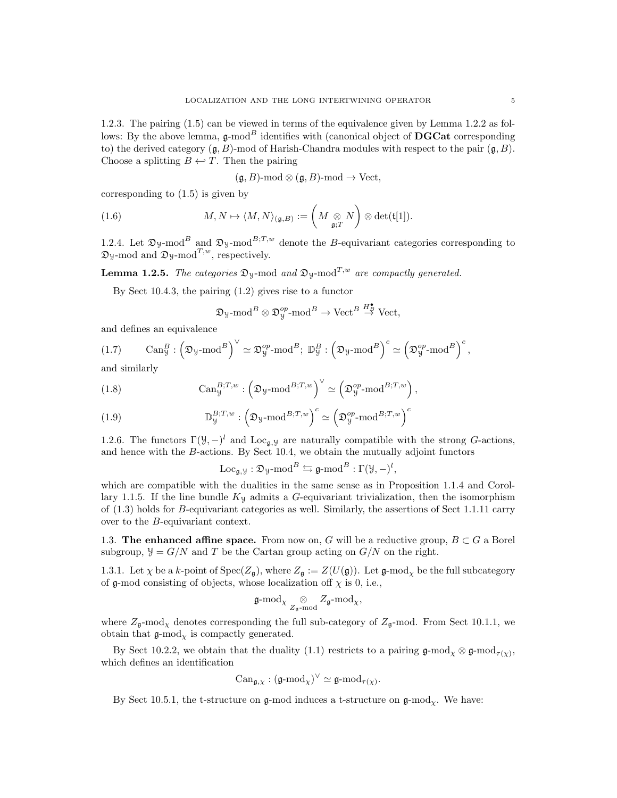1.2.3. The pairing (1.5) can be viewed in terms of the equivalence given by Lemma 1.2.2 as follows: By the above lemma,  $\mathfrak{g}\text{-mod}^B$  identifies with (canonical object of **DGCat** corresponding to) the derived category  $(g, B)$ -mod of Harish-Chandra modules with respect to the pair  $(g, B)$ . Choose a splitting  $B \leftarrow T$ . Then the pairing

$$
(\mathfrak{g}, B)
$$
-mod  $\otimes (\mathfrak{g}, B)$ -mod  $\rightarrow$  Vect,

corresponding to (1.5) is given by

(1.6) 
$$
M, N \mapsto \langle M, N \rangle_{(\mathfrak{g}, B)} := \left( M \underset{\mathfrak{g}, T}{\otimes} N \right) \otimes \det(\mathfrak{t}[1]).
$$

1.2.4. Let  $\mathfrak{D}_y$ -mod<sup>B</sup> and  $\mathfrak{D}_y$ -mod<sup>B;T,w</sup> denote the B-equivariant categories corresponding to  $\mathfrak{D}_y$ -mod and  $\mathfrak{D}_y$ -mod<sup>T,w</sup>, respectively.

**Lemma 1.2.5.** The categories  $\mathfrak{D}_y$ -mod and  $\mathfrak{D}_y$ -mod<sup>T,w</sup> are compactly generated.

By Sect 10.4.3, the pairing (1.2) gives rise to a functor

$$
\mathfrak{D}_y \text{-mod}^B \otimes \mathfrak{D}_y^{op} \text{-mod}^B \to \text{Vect}^B \overset{H^{\bullet}_B}{\to} \text{Vect},
$$

and defines an equivalence

(1.7) 
$$
\text{Can}_{\mathcal{Y}}^B: \left(\mathfrak{D}_{\mathcal{Y}}\text{-mod}^B\right)^{\vee} \simeq \mathfrak{D}_{\mathcal{Y}}^{op}\text{-mod}^B; \mathbb{D}_{\mathcal{Y}}^B: \left(\mathfrak{D}_{\mathcal{Y}}\text{-mod}^B\right)^c \simeq \left(\mathfrak{D}_{\mathcal{Y}}^{op}\text{-mod}^B\right)^c,
$$

and similarly

(1.8) 
$$
\text{Can}_{\mathcal{Y}}^{B;T,w}: \left(\mathfrak{D}_{\mathcal{Y}}\text{-mod}^{B;T,w}\right)^{\vee} \simeq \left(\mathfrak{D}_{\mathcal{Y}}^{op}\text{-mod}^{B;T,w}\right),
$$

(1.9) 
$$
\mathbb{D}_{y}^{B;T,w}: \left(\mathfrak{D}_{y}\text{-mod}^{B;T,w}\right)^{c} \simeq \left(\mathfrak{D}_{y}^{op}\text{-mod}^{B;T,w}\right)^{c}
$$

1.2.6. The functors  $\Gamma(\mathcal{Y}, -)^l$  and  $\text{Loc}_{\mathfrak{g}, \mathcal{Y}}$  are naturally compatible with the strong G-actions, and hence with the  $B$ -actions. By Sect 10.4, we obtain the mutually adjoint functors

 $\operatorname{Loc}_{{\mathfrak g}, {\mathfrak Y}}: {\mathfrak D}_{{\mathfrak Y}}{\operatorname{-mod}}^B \leftrightarrows {\mathfrak g}{\operatorname{-mod}}^B:\Gamma({\mathfrak Y},-)^l,$ 

which are compatible with the dualities in the same sense as in Proposition 1.1.4 and Corollary 1.1.5. If the line bundle  $K<sub>y</sub>$  admits a G-equivariant trivialization, then the isomorphism of (1.3) holds for B-equivariant categories as well. Similarly, the assertions of Sect 1.1.11 carry over to the B-equivariant context.

1.3. The enhanced affine space. From now on, G will be a reductive group,  $B \subset G$  a Borel subgroup,  $\mathcal{Y} = G/N$  and T be the Cartan group acting on  $G/N$  on the right.

1.3.1. Let  $\chi$  be a k-point of  $Spec(Z_{\mathfrak{q}})$ , where  $Z_{\mathfrak{q}} := Z(U(\mathfrak{g}))$ . Let  $\mathfrak{g}\text{-mod}_\chi$  be the full subcategory of g-mod consisting of objects, whose localization of  $\chi$  is 0, i.e.,

$$
\mathfrak{g}\text{-mod}_{\chi} \underset{Z_{\mathfrak{g}} \text{-mod}}{\otimes} Z_{\mathfrak{g}} \text{-mod}_{\chi},
$$

where  $Z_{\mathfrak{g}}$ -mod<sub> $\chi$ </sub> denotes corresponding the full sub-category of  $Z_{\mathfrak{g}}$ -mod. From Sect 10.1.1, we obtain that  $\mathfrak{g}\text{-mod}_{\chi}$  is compactly generated.

By Sect 10.2.2, we obtain that the duality (1.1) restricts to a pairing  $\mathfrak{g}\text{-mod}_{\chi}\otimes\mathfrak{g}\text{-mod}_{\tau(\chi)}$ , which defines an identification

$$
\mathrm{Can}_{\mathfrak{g}, \chi} : (\mathfrak{g}\text{-}\mathrm{mod}_\chi)^\vee \simeq \mathfrak{g}\text{-}\mathrm{mod}_{\tau(\chi)}.
$$

By Sect 10.5.1, the t-structure on g-mod induces a t-structure on g-mod<sub>y</sub>. We have: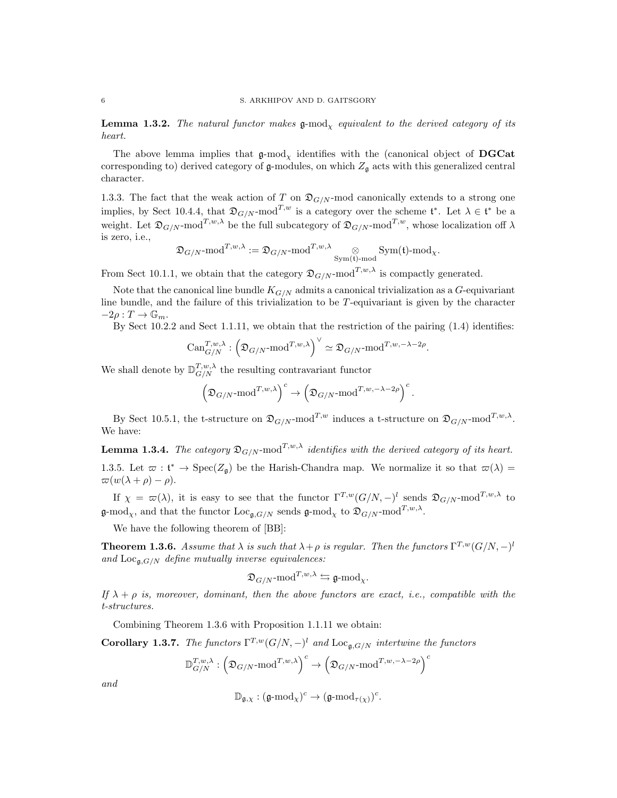**Lemma 1.3.2.** The natural functor makes  $g$ -mod<sub>x</sub> equivalent to the derived category of its heart.

The above lemma implies that  $\mathfrak{g}\text{-mod}_X$  identifies with the (canonical object of **DGCat** corresponding to) derived category of  $\mathfrak g$ -modules, on which  $Z_{\mathfrak g}$  acts with this generalized central character.

1.3.3. The fact that the weak action of T on  $\mathfrak{D}_{G/N}$ -mod canonically extends to a strong one implies, by Sect 10.4.4, that  $\mathfrak{D}_{G/N}$ -mod<sup>T,w</sup> is a category over the scheme  $\mathfrak{t}^*$ . Let  $\lambda \in \mathfrak{t}^*$  be a weight. Let  $\mathfrak{D}_{G/N}$ -mod<sup>T,w,λ</sup> be the full subcategory of  $\mathfrak{D}_{G/N}$ -mod<sup>T,w</sup>, whose localization off  $\lambda$ is zero, i.e.,

$$
\mathfrak{D}_{G/N}\text{-mod}^{T,w,\lambda}:=\mathfrak{D}_{G/N}\text{-mod}^{T,w,\lambda}\underset{\text{Sym}(\mathfrak{t})\text{-mod}}{\otimes}\text{Sym}(\mathfrak{t})\text{-mod}_\chi.
$$

From Sect 10.1.1, we obtain that the category  $\mathfrak{D}_{G/N}$ -mod<sup>T,w, $\lambda$ </sup> is compactly generated.

Note that the canonical line bundle  $K_{G/N}$  admits a canonical trivialization as a G-equivariant line bundle, and the failure of this trivialization to be T-equivariant is given by the character  $-2\rho: T \to \mathbb{G}_m$ .

By Sect 10.2.2 and Sect 1.1.11, we obtain that the restriction of the pairing (1.4) identifies:

$$
\mathrm{Can}_{G/N}^{T,w,\lambda}: \left(\mathfrak{D}_{G/N}\text{-}\mathrm{mod}^{T,w,\lambda}\right)^\vee \simeq \mathfrak{D}_{G/N}\text{-}\mathrm{mod}^{T,w,-\lambda-2\rho}.
$$

We shall denote by  $\mathbb{D}_{G/N}^{T,w,\lambda}$  the resulting contravariant functor

$$
\left(\mathfrak{D}_{G/N}\text{-}\mathrm{mod}^{T,w,\lambda}\right)^c\to \left(\mathfrak{D}_{G/N}\text{-}\mathrm{mod}^{T,w,-\lambda-2\rho}\right)^c.
$$

By Sect 10.5.1, the t-structure on  $\mathfrak{D}_{G/N}$ -mod<sup>T,w</sup> induces a t-structure on  $\mathfrak{D}_{G/N}$ -mod<sup>T,w, $\lambda$ </sup>. We have:

**Lemma 1.3.4.** The category  $\mathfrak{D}_{G/N}$ -mod<sup>T,w,λ</sup> identifies with the derived category of its heart. 1.3.5. Let  $\varpi : \mathfrak{t}^* \to \text{Spec}(Z_{\mathfrak{g}})$  be the Harish-Chandra map. We normalize it so that  $\varpi(\lambda) =$  $\varpi(w(\lambda + \rho) - \rho).$ 

If  $\chi = \varpi(\lambda)$ , it is easy to see that the functor  $\Gamma^{T,w}(G/N, -)^l$  sends  $\mathfrak{D}_{G/N}$ -mod<sup>T,w,λ</sup> to  $\mathfrak{g}\text{-mod}_{\chi}$ , and that the functor  $\text{Loc}_{\mathfrak{g},G/N}$  sends  $\mathfrak{g}\text{-mod}_{\chi}$  to  $\mathfrak{D}_{G/N} \text{-mod}^{T,w,\lambda}$ .

We have the following theorem of [BB]:

**Theorem 1.3.6.** Assume that  $\lambda$  is such that  $\lambda + \rho$  is regular. Then the functors  $\Gamma^{T,w}(G/N, -)^l$ and  $\text{Loc}_{\mathfrak{g},G/N}$  define mutually inverse equivalences:

$$
\mathfrak{D}_{G/N}\text{-mod}^{T,w,\lambda}\leftrightarrows\mathfrak{g}\text{-mod}_{\chi}.
$$

If  $\lambda + \rho$  is, moreover, dominant, then the above functors are exact, i.e., compatible with the t-structures.

Combining Theorem 1.3.6 with Proposition 1.1.11 we obtain:

**Corollary 1.3.7.** The functors  $\Gamma^{T,w}(G/N, -)^l$  and  $\text{Loc}_{\mathfrak{g},G/N}$  intertwine the functors

$$
\mathbb{D}_{G/N}^{T,w,\lambda}:\Big(\mathfrak{D}_{G/N}\text{-}\mathrm{mod}^{T,w,\lambda}\Big)^c\to \Big(\mathfrak{D}_{G/N}\text{-}\mathrm{mod}^{T,w,-\lambda-2\rho}\Big)^c
$$

and

$$
\mathbb{D}_{\mathfrak{g}, \chi} : (\mathfrak{g}\text{-}\mathrm{mod}_\chi)^c \to (\mathfrak{g}\text{-}\mathrm{mod}_{\tau(\chi)})^c.
$$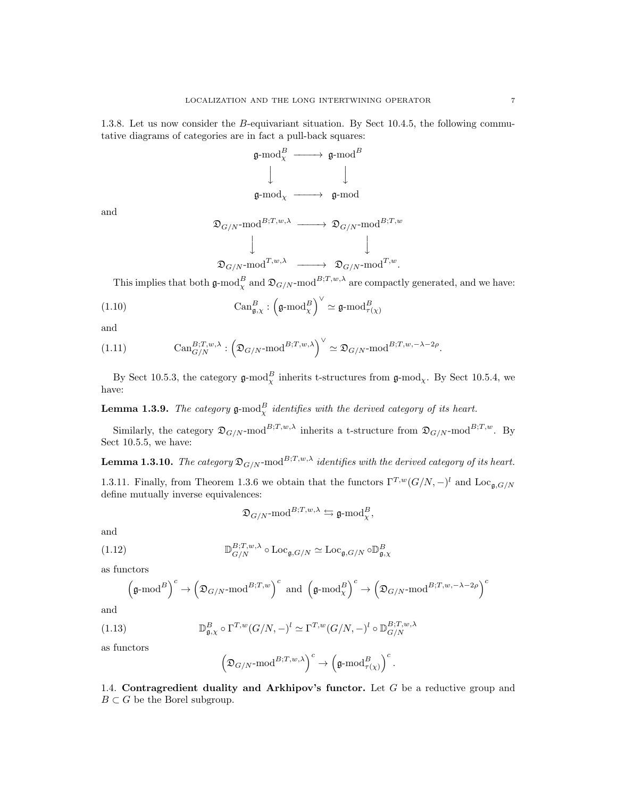1.3.8. Let us now consider the B-equivariant situation. By Sect 10.4.5, the following commutative diagrams of categories are in fact a pull-back squares:



and

$$
\mathfrak{D}_{G/N}\text{-mod}^{B;T,w,\lambda} \longrightarrow \mathfrak{D}_{G/N}\text{-mod}^{B;T,w}
$$
  

$$
\downarrow \qquad \qquad \downarrow
$$
  

$$
\mathfrak{D}_{G/N}\text{-mod}^{T,w,\lambda} \longrightarrow \mathfrak{D}_{G/N}\text{-mod}^{T,w}.
$$

This implies that both  $\mathfrak{g}\text{-mod}_{\chi}^B$  and  $\mathfrak{D}_{G/N}$ -mod<sup>B;T,w, $\lambda$ </sup> are compactly generated, and we have:

(1.10) 
$$
\text{Can}_{\mathfrak{g},\chi}^B: \left(\mathfrak{g}\text{-mod}_{\chi}^B\right)^{\vee}\simeq \mathfrak{g}\text{-mod}_{\tau(\chi)}^B
$$

and

(1.11) 
$$
\text{Can}_{G/N}^{B;T,w,\lambda}: \left(\mathfrak{D}_{G/N}\text{-mod}^{B;T,w,\lambda}\right)^{\vee} \simeq \mathfrak{D}_{G/N}\text{-mod}^{B;T,w,-\lambda-2\rho}.
$$

By Sect 10.5.3, the category  $\mathfrak{g}\text{-mod}_{\chi}^B$  inherits t-structures from  $\mathfrak{g}\text{-mod}_{\chi}$ . By Sect 10.5.4, we have:

**Lemma 1.3.9.** The category  $\mathfrak{g}\text{-mod}_{\chi}^B$  identifies with the derived category of its heart.

Similarly, the category  $\mathfrak{D}_{G/N}$ -mod<sup>B;T,w, $\lambda$ </sup> inherits a t-structure from  $\mathfrak{D}_{G/N}$ -mod<sup>B;T,w</sup>. By Sect 10.5.5, we have:

**Lemma 1.3.10.** The category  $\mathfrak{D}_{G/N}$ -mod<sup>B;T,w, $\lambda$ </sup> identifies with the derived category of its heart.

1.3.11. Finally, from Theorem 1.3.6 we obtain that the functors  $\Gamma^{T,w}(G/N, -)^l$  and  $\text{Loc}_{\mathfrak{g},G/N}$ define mutually inverse equivalences:

$$
\mathfrak{D}_{G/N}\text{-}\mathrm{mod}^{B;T,w,\lambda}\leftrightarrows\mathfrak{g}\text{-}\mathrm{mod}^B_\chi,
$$

and

(1.12) 
$$
\mathbb{D}_{G/N}^{B;T,w,\lambda} \circ \mathrm{Loc}_{\mathfrak{g},G/N} \simeq \mathrm{Loc}_{\mathfrak{g},G/N} \circ \mathbb{D}_{\mathfrak{g},\chi}^{B}
$$

as functors

$$
\left(\mathfrak{g}\text{-mod}^B\right)^c \to \left(\mathfrak{D}_{G/N}\text{-mod}^{B;T,w}\right)^c\text{ and }\left(\mathfrak{g}\text{-mod}^B_{\chi}\right)^c \to \left(\mathfrak{D}_{G/N}\text{-mod}^{B;T,w,-\lambda-2\rho}\right)^c
$$

and

(1.13) 
$$
\mathbb{D}_{\mathfrak{g},\chi}^{B} \circ \Gamma^{T,w}(G/N,-)^{l} \simeq \Gamma^{T,w}(G/N,-)^{l} \circ \mathbb{D}_{G/N}^{B;T,w,\lambda}
$$

as functors

$$
\left(\mathfrak{D}_{G/N}\text{-}\mathrm{mod}^{B;T,w,\lambda}\right)^c\to \left(\mathfrak{g}\text{-}\mathrm{mod}^B_{\tau(\chi)}\right)^c.
$$

1.4. Contragredient duality and Arkhipov's functor. Let  $G$  be a reductive group and  $B\subset G$  be the Borel subgroup.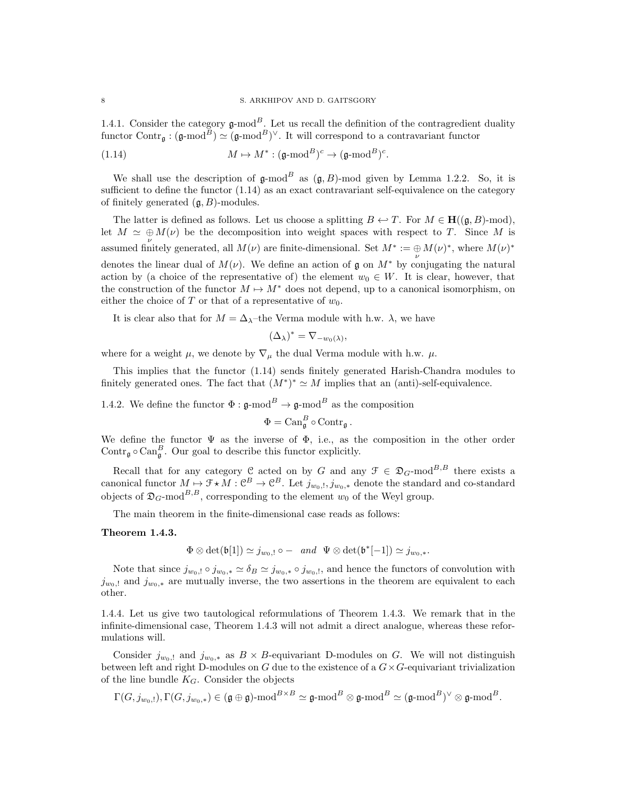1.4.1. Consider the category  $\mathfrak{g}\text{-mod}^B$ . Let us recall the definition of the contragredient duality functor Contr<sub>g</sub> :  $(\mathfrak{g}\text{-mod}^B) \simeq (\mathfrak{g}\text{-mod}^B)^{\vee}$ . It will correspond to a contravariant functor

(1.14) 
$$
M \mapsto M^* : (\mathfrak{g}\text{-mod}^B)^c \to (\mathfrak{g}\text{-mod}^B)^c.
$$

We shall use the description of  $\mathfrak{g}\text{-mod}^B$  as  $(\mathfrak{g}, B)$ -mod given by Lemma 1.2.2. So, it is sufficient to define the functor  $(1.14)$  as an exact contravariant self-equivalence on the category of finitely generated  $(\mathfrak{g}, B)$ -modules.

The latter is defined as follows. Let us choose a splitting  $B \leftarrow T$ . For  $M \in H((\mathfrak{g}, B)$ -mod), let  $M \simeq \bigoplus M(\nu)$  be the decomposition into weight spaces with respect to T. Since M is assumed finitely generated, all  $M(\nu)$  are finite-dimensional. Set  $M^* := \bigoplus_{\nu} M(\nu)^*$ , where  $M(\nu)^*$ denotes the linear dual of  $M(\nu)$ . We define an action of  $\mathfrak g$  on  $M^*$  by conjugating the natural action by (a choice of the representative of) the element  $w_0 \in W$ . It is clear, however, that the construction of the functor  $M \mapsto M^*$  does not depend, up to a canonical isomorphism, on either the choice of T or that of a representative of  $w_0$ .

It is clear also that for  $M = \Delta_{\lambda}$ –the Verma module with h.w.  $\lambda$ , we have

$$
(\Delta_{\lambda})^* = \nabla_{-w_0(\lambda)},
$$

where for a weight  $\mu$ , we denote by  $\nabla_{\mu}$  the dual Verma module with h.w.  $\mu$ .

This implies that the functor (1.14) sends finitely generated Harish-Chandra modules to finitely generated ones. The fact that  $(M^*)^* \simeq M$  implies that an (anti)-self-equivalence.

1.4.2. We define the functor  $\Phi : \mathfrak{g}\text{-mod}^B \to \mathfrak{g}\text{-mod}^B$  as the composition

$$
\Phi = \mathrm{Can}_{\mathfrak{g}}^B \circ \mathrm{Contr}_{\mathfrak{g}}.
$$

We define the functor  $\Psi$  as the inverse of  $\Phi$ , i.e., as the composition in the other order Contr<sub>g</sub>  $\circ$  Can<sub>g</sub><sup>B</sup>. Our goal to describe this functor explicitly.

Recall that for any category C acted on by G and any  $\mathcal{F} \in \mathfrak{D}_G$ -mod<sup>B,B</sup> there exists a canonical functor  $M \mapsto \mathcal{F} \star M : \mathcal{C}^B \to \mathcal{C}^B$ . Let  $j_{w_0,1}, j_{w_0,*}$  denote the standard and co-standard objects of  $\mathfrak{D}_G$ -mod<sup>B,B</sup>, corresponding to the element  $w_0$  of the Weyl group.

The main theorem in the finite-dimensional case reads as follows:

## Theorem 1.4.3.

$$
\Phi \otimes \det(\mathfrak{b}[1]) \simeq j_{w_0,1} \circ - \quad and \quad \Psi \otimes \det(\mathfrak{b}^*[-1]) \simeq j_{w_0,*}.
$$

Note that since  $j_{w_0,1} \circ j_{w_0,*} \simeq \delta_B \simeq j_{w_0,*} \circ j_{w_0,1}$ , and hence the functors of convolution with  $j_{w_0,1}$  and  $j_{w_0,*}$  are mutually inverse, the two assertions in the theorem are equivalent to each other.

1.4.4. Let us give two tautological reformulations of Theorem 1.4.3. We remark that in the infinite-dimensional case, Theorem 1.4.3 will not admit a direct analogue, whereas these reformulations will.

Consider  $j_{w_0,1}$  and  $j_{w_0,*}$  as  $B \times B$ -equivariant D-modules on G. We will not distinguish between left and right D-modules on G due to the existence of a  $G \times G$ -equivariant trivialization of the line bundle  $K_G$ . Consider the objects

$$
\Gamma(G,j_{w_0,!}), \Gamma(G,j_{w_0,*}) \in (\mathfrak{g} \oplus \mathfrak{g})\text{-}\mathrm{mod}^{B \times B} \simeq \mathfrak{g}\text{-}\mathrm{mod}^B \otimes \mathfrak{g}\text{-}\mathrm{mod}^B \simeq (\mathfrak{g}\text{-}\mathrm{mod}^B)^\vee \otimes \mathfrak{g}\text{-}\mathrm{mod}^B.
$$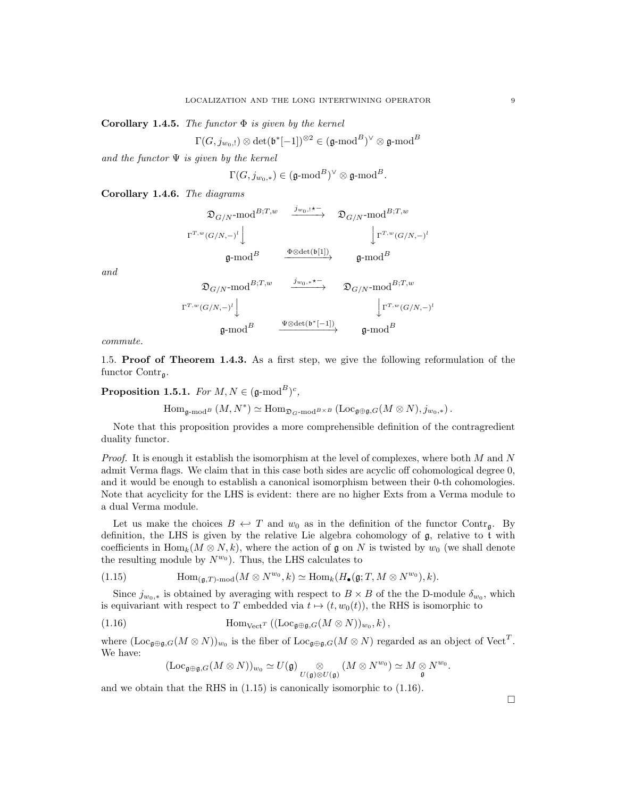Corollary 1.4.5. The functor  $\Phi$  is given by the kernel

 $\Gamma(G,j_{w_0,!})\otimes\det(\mathfrak{b}^*[-1])^{\otimes 2}\in(\mathfrak{g}\text{-}\mathrm{mod}^B)^\vee\otimes\mathfrak{g}\text{-}\mathrm{mod}^B$ 

and the functor  $\Psi$  is given by the kernel

 $\Gamma(G,j_{w_0,*})\in(\mathfrak{g}\text{-}\mathrm{mod}^B)^\vee\otimes\mathfrak{g}\text{-}\mathrm{mod}^B.$ 

Corollary 1.4.6. The diagrams

$$
\begin{array}{ccc} \mathfrak{D}_{G/N}\text{-mod}^{B;T,w} & \xrightarrow{j_{w_0,\mathbf{1}\star\cdots\star}} & \mathfrak{D}_{G/N}\text{-mod}^{B;T,w} \\ & & \downarrow \Gamma^{T,w}(G/N,-)^{\mathbf{1}} \Big\downarrow & & \downarrow \Gamma^{T,w}(G/N,-)^{\mathbf{1}} \\ & \mathfrak{g}\text{-mod}^{B} & \xrightarrow{\Phi\otimes\det(\mathfrak{b}[1])} & \mathfrak{g}\text{-mod}^{B} \\ & & \mathfrak{D}_{G/N}\text{-mod}^{B;T,w} & \xrightarrow{j_{w_0,\ast}\star\cdots\star} & \mathfrak{D}_{G/N}\text{-mod}^{B;T,w} \\ & & \Gamma^{T,w}(G/N,-)^{\mathbf{1}} \Big\downarrow & & \downarrow \Gamma^{T,w}(G/N,-)^{\mathbf{1}} \\ & & \mathfrak{g}\text{-mod}^{B} & \xrightarrow{\Psi\otimes\det(\mathfrak{b}^*[-1])} & \mathfrak{g}\text{-mod}^{B} \end{array}
$$

commute.

and

1.5. Proof of Theorem 1.4.3. As a first step, we give the following reformulation of the functor  $Contr_{\alpha}$ .

Proposition 1.5.1. For  $M, N \in (\mathfrak{g}\text{-mod}^B)^c$ ,

 $\text{Hom}_{\mathfrak{g}\text{-}\mathrm{mod}^B}(M,N^*)\simeq \text{Hom}_{\mathfrak{D}_G\text{-}\mathrm{mod}^{B\times B}}\left(\text{Loc}_{\mathfrak{g}\oplus\mathfrak{g},G}(M\otimes N),j_{w_0,*}\right).$ 

Note that this proposition provides a more comprehensible definition of the contragredient duality functor.

*Proof.* It is enough it establish the isomorphism at the level of complexes, where both  $M$  and  $N$ admit Verma flags. We claim that in this case both sides are acyclic off cohomological degree 0, and it would be enough to establish a canonical isomorphism between their 0-th cohomologies. Note that acyclicity for the LHS is evident: there are no higher Exts from a Verma module to a dual Verma module.

Let us make the choices  $B \leftrightarrow T$  and  $w_0$  as in the definition of the functor Contr<sub>g</sub>. By definition, the LHS is given by the relative Lie algebra cohomology of g, relative to t with coefficients in Hom<sub>k</sub> $(M \otimes N, k)$ , where the action of g on N is twisted by  $w_0$  (we shall denote the resulting module by  $N^{w_0}$ ). Thus, the LHS calculates to

(1.15) 
$$
\text{Hom}_{(\mathfrak{g},T)\text{-mod}}(M\otimes N^{w_0},k)\simeq \text{Hom}_k(H_{\bullet}(\mathfrak{g};T,M\otimes N^{w_0}),k).
$$

Since  $j_{w_0,*}$  is obtained by averaging with respect to  $B \times B$  of the the D-module  $\delta_{w_0}$ , which is equivariant with respect to T embedded via  $t \mapsto (t, w_0(t))$ , the RHS is isomorphic to

(1.16) 
$$
\text{Hom}_{\text{Vect}^T}((\text{Loc}_{\mathfrak{g}\oplus\mathfrak{g},G}(M\otimes N))_{w_0},k),
$$

where  $(Loc_{\mathfrak{g}\oplus\mathfrak{g},G}(M\otimes N))_{w_0}$  is the fiber of  $Loc_{\mathfrak{g}\oplus\mathfrak{g},G}(M\otimes N)$  regarded as an object of  $Vect^T$ . We have:

$$
(\mathrm{Loc}_{\mathfrak{g}\oplus\mathfrak{g},G}(M\otimes N))_{w_0}\simeq U(\mathfrak{g})\underset{U(\mathfrak{g})\otimes U(\mathfrak{g})}{\otimes}(M\otimes N^{w_0})\simeq M\underset{\mathfrak{g}}{\otimes}N^{w_0}.
$$

and we obtain that the RHS in  $(1.15)$  is canonically isomorphic to  $(1.16)$ .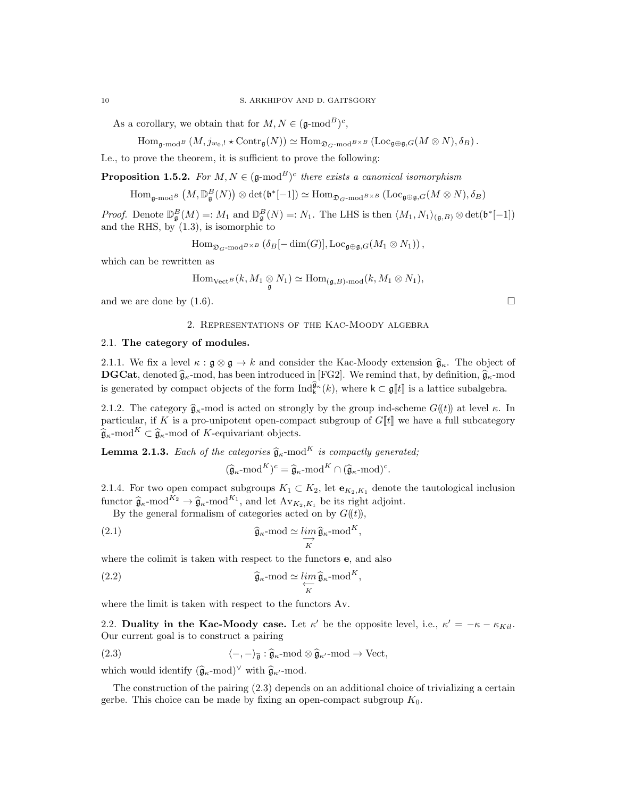As a corollary, we obtain that for  $M, N \in (\mathfrak{g}\text{-mod}^B)^c$ ,

$$
\mathrm{Hom}_{\mathfrak{g}\text{-}\mathrm{mod}^B}\left(M,j_{w_0,!}\star\mathrm{Contr}_\mathfrak{g}(N)\right)\simeq \mathrm{Hom}_{\mathfrak{D}_{G}\text{-}\mathrm{mod}^{B\times B}}\left(\mathrm{Loc}_{\mathfrak{g}\oplus\mathfrak{g},G}(M\otimes N),\delta_B\right).
$$

I.e., to prove the theorem, it is sufficient to prove the following:

**Proposition 1.5.2.** For  $M, N \in (\mathfrak{g}\text{-mod}^B)^c$  there exists a canonical isomorphism

 $\text{Hom}_{\mathfrak{g}\text{-}\text{mod}^B}\left(M,\mathbb{D}_{\mathfrak{g}}^B(N)\right)\otimes\text{det}(\mathfrak{b}^*[-1])\simeq \text{Hom}_{\mathfrak{D}_G\text{-}\text{mod}^{B\times B}}\left(\text{Loc}_{\mathfrak{g}\oplus\mathfrak{g},G}(M\otimes N),\delta_B\right)$ 

*Proof.* Denote  $\mathbb{D}_{\mathfrak{g}}^B(M) =: M_1$  and  $\mathbb{D}_{\mathfrak{g}}^B(N) =: N_1$ . The LHS is then  $\langle M_1, N_1 \rangle_{(\mathfrak{g},B)} \otimes \det(\mathfrak{b}^*[-1])$ and the RHS, by  $(1.3)$ , is isomorphic to

$$
\mathrm{Hom}_{\mathfrak{D}_{G}\text{-}\mathrm{mod}^{B\times B}}\left(\delta_{B}[-\dim(G)],\mathrm{Loc}_{\mathfrak{g}\oplus\mathfrak{g},G}(M_{1}\otimes N_{1})\right),
$$

which can be rewritten as

$$
\mathrm{Hom}_{\mathrm{Vect}^B}(k,M_1\underset{\mathfrak{g}}{\otimes}N_1)\simeq \mathrm{Hom}_{(\mathfrak{g},B)\text{-}\mathrm{mod}}(k,M_1\otimes N_1),
$$

and we are done by  $(1.6)$ .

#### 2. Representations of the Kac-Moody algebra

#### 2.1. The category of modules.

2.1.1. We fix a level  $\kappa : \mathfrak{g} \otimes \mathfrak{g} \to k$  and consider the Kac-Moody extension  $\hat{\mathfrak{g}}_{\kappa}$ . The object of **DGCat**, denoted  $\hat{\mathbf{g}}_{\kappa}$ -mod, has been introduced in [FG2]. We remind that, by definition,  $\hat{\mathbf{g}}_{\kappa}$ -mod is generated by compact objects of the form  $\text{Ind}_{\mathsf{k}}^{\widehat{\mathfrak{g}}_{\kappa}}(k)$ , where  $\mathsf{k} \subset \mathfrak{g}[\![t]\!]$  is a lattice subalgebra.

2.1.2. The category  $\hat{\mathfrak{g}}_{\kappa}$ -mod is acted on strongly by the group ind-scheme  $G(\ell)$ ) at level  $\kappa$ . In particular, if K is a pro-unipotent open-compact subgroup of  $G[[t]]$  we have a full subcategory  $\widehat{\mathfrak{g}}_{\kappa}$ -mod<sup>K</sup> ⊂  $\widehat{\mathfrak{g}}_{\kappa}$ -mod of K-equivariant objects.

**Lemma 2.1.3.** Each of the categories  $\hat{\mathfrak{g}}_{\kappa}$ -mod<sup>K</sup> is compactly generated;

$$
(\widehat{\mathfrak{g}}_{\kappa}\text{-mod}^K)^c = \widehat{\mathfrak{g}}_{\kappa}\text{-mod}^K \cap (\widehat{\mathfrak{g}}_{\kappa}\text{-mod})^c.
$$

2.1.4. For two open compact subgroups  $K_1 \subset K_2$ , let  $\mathbf{e}_{K_2,K_1}$  denote the tautological inclusion functor  $\hat{\mathfrak{g}}_{\kappa}$ -mod<sup>K<sub>2</sub></sup>  $\rightarrow \hat{\mathfrak{g}}_{\kappa}$ -mod<sup>K<sub>1</sub></sup>, and let  $\text{Av}_{K_2, K_1}$  be its right adjoint.<br>By the seneral formalism of actoration acted on by  $C^{(l+1)}$ 

By the general formalism of categories acted on by  $G(\ell)$ ,

(2.1) 
$$
\widehat{\mathfrak{g}}_{\kappa} \text{-mod } \simeq \lim_{K} \widehat{\mathfrak{g}}_{\kappa} \text{-mod}^{K},
$$

where the colimit is taken with respect to the functors **e**, and also

(2.2) 
$$
\widehat{\mathfrak{g}}_{\kappa} \text{-mod} \simeq \lim_{\substack{\longleftarrow \\ K}} \widehat{\mathfrak{g}}_{\kappa} \text{-mod}^K,
$$

where the limit is taken with respect to the functors Av.

2.2. Duality in the Kac-Moody case. Let  $\kappa'$  be the opposite level, i.e.,  $\kappa' = -\kappa - \kappa_{Kil}$ . Our current goal is to construct a pairing

(2.3) 
$$
\langle -, - \rangle_{\widehat{\mathfrak{g}}} : \widehat{\mathfrak{g}}_{\kappa} \text{-mod} \otimes \widehat{\mathfrak{g}}_{\kappa'} \text{-mod} \to \text{Vect},
$$

which would identify  $(\widehat{\mathfrak{g}}_{\kappa}$ -mod)<sup>∨</sup> with  $\widehat{\mathfrak{g}}_{\kappa'}$ -mod.

The construction of the pairing (2.3) depends on an additional choice of trivializing a certain gerbe. This choice can be made by fixing an open-compact subgroup  $K_0$ .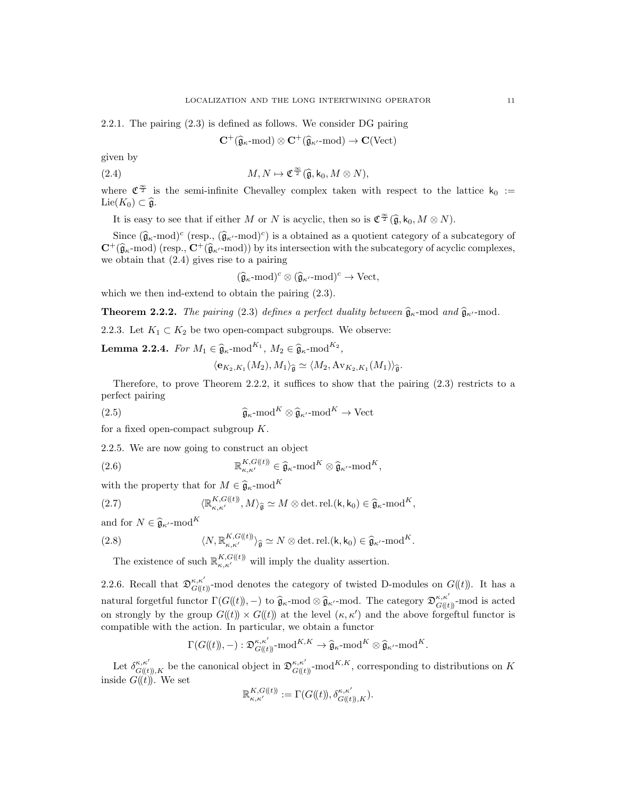2.2.1. The pairing (2.3) is defined as follows. We consider DG pairing

$$
\mathbf{C}^+(\widehat{\mathfrak{g}}_{\kappa}\text{-mod})\otimes \mathbf{C}^+(\widehat{\mathfrak{g}}_{\kappa'}\text{-mod})\to \mathbf{C}(\text{Vect})
$$

given by

(2.4) 
$$
M, N \mapsto \mathfrak{C}^{\frac{\infty}{2}}(\widehat{\mathfrak{g}}, \mathsf{k}_0, M \otimes N),
$$

where  $\mathfrak{C}^{\frac{\infty}{2}}$  is the semi-infinite Chevalley complex taken with respect to the lattice  $k_0 :=$ Lie( $K_0$ ) ⊂  $\widehat{\mathfrak{a}}$ .

It is easy to see that if either M or N is acyclic, then so is  $\mathfrak{C}^{\frac{\infty}{2}}(\widehat{\mathfrak{g}}, k_0, M \otimes N)$ .

Since  $(\hat{\mathfrak{g}}_{\kappa} \text{-mod})^c$  (resp.,  $(\hat{\mathfrak{g}}_{\kappa'} \text{-mod})^c$ ) is a obtained as a quotient category of a subcategory of  $(\hat{\mathfrak{g}}_{\kappa} \text{-mod})$  (resp.,  $\mathbf{G}^+(\hat{\mathfrak{g}}_{\kappa'} \text{-mod})$ ) by its intersection with the subcategory  $C^+(\hat{\mathfrak{g}}_{\kappa} \text{-mod})$  (resp.,  $C^+(\hat{\mathfrak{g}}_{\kappa'} \text{-mod})$ ) by its intersection with the subcategory of acyclic complexes, we obtain that (2.4) gives rise to a pairing

$$
(\widehat{\mathfrak{g}}_{\kappa}\text{-mod})^c \otimes (\widehat{\mathfrak{g}}_{\kappa'}\text{-mod})^c \to \text{Vect},
$$

which we then ind-extend to obtain the pairing (2.3).

**Theorem 2.2.2.** The pairing (2.3) defines a perfect duality between  $\hat{\mathfrak{g}}_{\kappa}$ -mod and  $\hat{\mathfrak{g}}_{\kappa'}$ -mod.

2.2.3. Let  $K_1 \subset K_2$  be two open-compact subgroups. We observe:

**Lemma 2.2.4.** For  $M_1 \in \hat{\mathfrak{g}}_{\kappa}$ -mod<sup>K<sub>1</sub></sup>,  $M_2 \in \hat{\mathfrak{g}}_{\kappa}$ -mod<sup>K<sub>2</sub></sup>,

$$
\langle \mathbf{e}_{K_2,K_1}(M_2), M_1 \rangle_{\widehat{\mathfrak{g}}} \simeq \langle M_2, \mathrm{Av}_{K_2,K_1}(M_1) \rangle_{\widehat{\mathfrak{g}}}.
$$

Therefore, to prove Theorem 2.2.2, it suffices to show that the pairing  $(2.3)$  restricts to a perfect pairing

(2.5) 
$$
\widehat{\mathfrak{g}}_{\kappa}\text{-mod}^K \otimes \widehat{\mathfrak{g}}_{\kappa'}\text{-mod}^K \to \text{Vect}
$$

for a fixed open-compact subgroup  $K$ .

2.2.5. We are now going to construct an object

(2.6) 
$$
\mathbb{R}_{\kappa,\kappa'}^{K,G(\ell t)} \in \widehat{\mathfrak{g}}_{\kappa}\text{-mod}^K \otimes \widehat{\mathfrak{g}}_{\kappa'}\text{-mod}^K,
$$

with the property that for  $M \in \hat{\mathfrak{g}}_{\kappa}$ -mod<sup>K</sup>

(2.7) 
$$
\langle \mathbb{R}_{\kappa,\kappa'}^{K,G(\ell t)}, M \rangle_{\widehat{\mathfrak{g}}} \simeq M \otimes \det \det (\mathsf{k}, \mathsf{k}_0) \in \widehat{\mathfrak{g}}_{\kappa} \text{-mod}^K,
$$

and for  $N \in \widehat{\mathfrak{g}}_{\kappa}$ -mod<sup>K</sup>

(2.8) 
$$
\langle N, \mathbb{R}^{K, G(\mathfrak{(t)})}_{\kappa, \kappa'} \rangle_{\widehat{\mathfrak{g}}} \simeq N \otimes \det \det (\mathfrak{k}, \mathsf{k}_0) \in \widehat{\mathfrak{g}}_{\kappa'} \text{-mod}^K.
$$

The existence of such  $\mathbb{R}_{\kappa,\kappa'}^{K,G(t)}$  will imply the duality assertion.

2.2.6. Recall that  $\mathfrak{D}_{G(\ell)}^{\kappa,\kappa'}$ -mod denotes the category of twisted D-modules on  $G(\ell)$ ). It has a natural forgetful functor  $\Gamma(G((t))$ ,  $-$ ) to  $\hat{\mathfrak{g}}_{\kappa}$ -mod. The category  $\mathfrak{D}_{G((t))}^{\kappa,\kappa'}$ -mod is acted on strongly by the group  $G(\mathfrak{t}) \times G(\mathfrak{t})$  at the level  $(\kappa, \kappa')$  and the above forgetul functor is compatible with the action. In particular, we obtain a functor

$$
\Gamma(G(\mathbf{k})), -): \mathfrak{D}^{\kappa,\kappa'}_{G(\mathbf{k})}
$$
-mod<sup>*K*,*K*</sup>  $\rightarrow \widehat{\mathfrak{g}}_{\kappa}$ -mod<sup>*K*</sup>  $\otimes \widehat{\mathfrak{g}}_{\kappa'}$ -mod<sup>*K*</sup>.

Let  $\delta_{G(t),K}^{\kappa,\kappa'}$  be the canonical object in  $\mathfrak{D}_{G(t)}^{\kappa,\kappa'}$ -mod $^{K,K}$ , corresponding to distributions on K inside  $G((t))$ . We set

$$
\mathbb{R}^{K,G(\!(t)\!)}_{\kappa,\kappa'}:=\Gamma(G(\!(t)\!),\delta^{\kappa,\kappa'}_{G(\!(t)\!),K}).
$$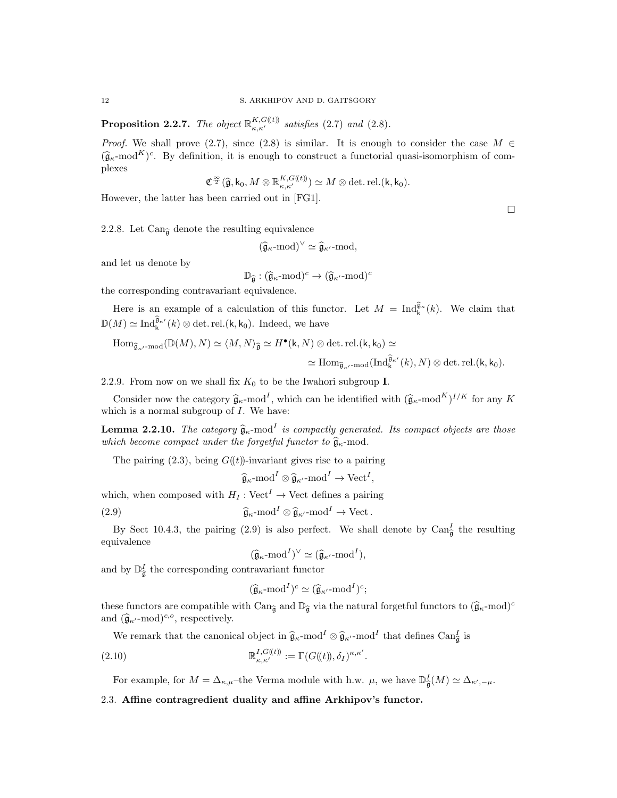**Proposition 2.2.7.** The object  $\mathbb{R}_{\kappa,\kappa'}^{K,G(\ell)}$  satisfies (2.7) and (2.8).

*Proof.* We shall prove (2.7), since (2.8) is similar. It is enough to consider the case  $M \in$  $(\widehat{\mathfrak{g}}_{\kappa} \text{-mod}^K)^c$ . By definition, it is enough to construct a functorial quasi-isomorphism of complexes

$$
\mathfrak{C}^{\frac{\infty}{2}}(\widehat{\mathfrak{g}},k_0,M\otimes \mathbb{R}^{K,G(\mathfrak{k})}_{\kappa,\kappa'} )\simeq M\otimes \det.\operatorname{rel.}( \mathsf{k}, \mathsf{k}_0).
$$

However, the latter has been carried out in [FG1].

2.2.8. Let Can<sub> $\hat{a}$ </sub> denote the resulting equivalence

$$
(\widehat{\mathfrak{g}}_{\kappa}\text{-mod})^{\vee}\simeq \widehat{\mathfrak{g}}_{\kappa'}\text{-mod},
$$

and let us denote by

$$
\mathbb{D}_{\widehat{\mathfrak{g}}} : (\widehat{\mathfrak{g}}_{\kappa}\text{-}\mathrm{mod})^c \rightarrow (\widehat{\mathfrak{g}}_{\kappa'}\text{-}\mathrm{mod})^c
$$

the corresponding contravariant equivalence.

Here is an example of a calculation of this functor. Let  $M = \text{Ind}_{k}^{\hat{\mathfrak{g}}_{\kappa}}(k)$ . We claim that  $\mathbb{D}(M) \simeq \text{Ind}_{\mathsf{k}}^{\widehat{\mathfrak{g}}_{\kappa'}}(k) \otimes \det.\text{rel.}(\mathsf{k}, \mathsf{k}_0).$  Indeed, we have

$$
\begin{aligned} \mathrm{Hom}_{\widehat{\mathfrak{g}}_{\kappa'}\text{-}\mathrm{mod}}({\mathbb D}(M),N)&\simeq \langle M,N\rangle_{\widehat{\mathfrak{g}}}\simeq H^\bullet(\mathsf{k},N)\otimes\det.\mathrm{rel.}(\mathsf{k},\mathsf{k}_0)\simeq\\ &\simeq \mathrm{Hom}_{\widehat{\mathfrak{g}}_{\kappa'}\text{-}\mathrm{mod}}(\mathrm{Ind}_{\mathsf{k}}^{\widehat{\mathfrak{g}}_{\kappa'}}(k),N)\otimes\det.\mathrm{rel.}(\mathsf{k},\mathsf{k}_0).\end{aligned}
$$

2.2.9. From now on we shall fix  $K_0$  to be the Iwahori subgroup **I**.

Consider now the category  $\hat{\mathfrak{g}}_{\kappa}$ -mod<sup>I</sup>, which can be identified with  $(\hat{\mathfrak{g}}_{\kappa}$ -mod<sup>K</sup>)<sup>I/K</sup> for any K which is a normal subgroup of  $I$ . We have:

**Lemma 2.2.10.** The category  $\hat{\mathfrak{g}}_{\kappa}$ -mod<sup>I</sup> is compactly generated. Its compact objects are those which become compact under the forgetful functor to  $\hat{\mathfrak{g}}_{\kappa}$ -mod.

The pairing  $(2.3)$ , being  $G((t))$ -invariant gives rise to a pairing

$$
\widehat{\mathfrak{g}}_{\kappa}\text{-mod}^I \otimes \widehat{\mathfrak{g}}_{\kappa'}\text{-mod}^I \to \text{Vect}^I,
$$

which, when composed with  $H_I: \text{Vect}^I \to \text{Vect}$  defines a pairing

(2.9)  $\widehat{\mathfrak{g}}_{\kappa} \text{-mod}^I \otimes \widehat{\mathfrak{g}}_{\kappa'} \text{-mod}^I \to \text{Vect}.$ 

By Sect 10.4.3, the pairing (2.9) is also perfect. We shall denote by  $\text{Can}_{\widehat{\mathfrak{g}}}^I$  the resulting equivalence

$$
(\widehat{\mathfrak{g}}_{\kappa}\text{-}\mathrm{mod}^I)^{\vee} \simeq (\widehat{\mathfrak{g}}_{\kappa'}\text{-}\mathrm{mod}^I),
$$

and by  $\mathbb{D}^I_{\widehat{\mathfrak{g}}}$  the corresponding contravariant functor

$$
(\widehat{\mathfrak{g}}_{\kappa}\text{-mod}^I)^c \simeq (\widehat{\mathfrak{g}}_{\kappa'}\text{-mod}^I)^c;
$$

these functors are compatible with  $\text{Can}_{\widehat{\mathfrak{g}}}$  and  $\mathbb{D}_{\widehat{\mathfrak{g}}}$  via the natural forgetful functors to  $(\widehat{\mathfrak{g}}_{\kappa}\text{-mod})^c$ and  $(\widehat{\mathfrak{g}}_{\kappa'}\text{-mod})^{c,o}$ , respectively.

We remark that the canonical object in  $\hat{\mathfrak{g}}_{\kappa}$ -mod<sup>I</sup>  $\otimes \hat{\mathfrak{g}}_{\kappa'}$ -mod<sup>I</sup> that defines Can<sub> $\hat{\mathfrak{g}}$ </sub> is

(2.10) 
$$
\mathbb{R}_{\kappa,\kappa'}^{I,G(t)} := \Gamma(G(\mathbf{t}),\delta_I)^{\kappa,\kappa'}.
$$

For example, for  $M = \Delta_{\kappa,\mu}$ -the Verma module with h.w.  $\mu$ , we have  $\mathbb{D}^I_{\widehat{\mathfrak{g}}}(M) \simeq \Delta_{\kappa',-\mu}$ .

## 2.3. Affine contragredient duality and affine Arkhipov's functor.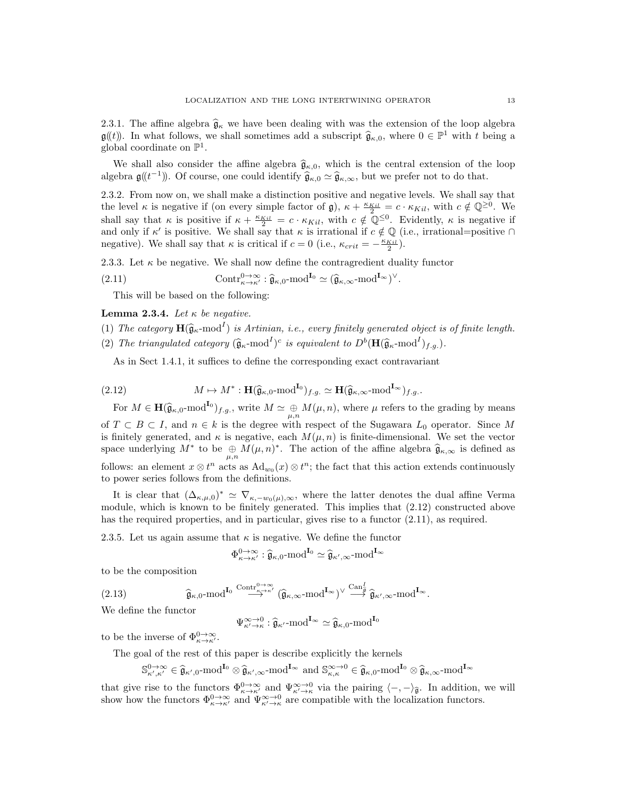2.3.1. The affine algebra  $\hat{\mathfrak{g}}_{\kappa}$  we have been dealing with was the extension of the loop algebra  $\mathfrak{g}(\!(t)\!)$ . In what follows, we shall sometimes add a subscript  $\widehat{\mathfrak{g}}_{\kappa,0}$ , where  $0 \in \mathbb{P}^1$  with t being a subscription global coordinate on  $\mathbb{P}^1$ .

We shall also consider the affine algebra  $\hat{\mathfrak{g}}_{\kappa,0}$ , which is the central extension of the loop algebra  $\mathfrak{g}(\!(t^{-1})\!)$ . Of course, one could identify  $\widehat{\mathfrak{g}}_{\kappa,0} \simeq \widehat{\mathfrak{g}}_{\kappa,\infty}$ , but we prefer not to do that.

2.3.2. From now on, we shall make a distinction positive and negative levels. We shall say that the level  $\kappa$  is negative if (on every simple factor of  $\mathfrak{g}$ ),  $\kappa + \frac{\kappa_{Kil}}{2} = c \cdot \kappa_{Kil}$ , with  $c \notin \mathbb{Q}^{\geq 0}$ . We shall say that  $\kappa$  is positive if  $\kappa + \frac{\kappa_{Kil}}{2} = c \cdot \kappa_{Kil}$ , with  $c \notin \mathbb{Q}^{\leq 0}$ . Evidently,  $\kappa$  is negative if and only if  $\kappa'$  is positive. We shall say that  $\kappa$  is irrational if  $c \notin \mathbb{Q}$  (i.e., irrational=positive  $\cap$ negative). We shall say that  $\kappa$  is critical if  $c = 0$  (i.e.,  $\kappa_{crit} = -\frac{\kappa_{Kil}}{2}$ ).

2.3.3. Let  $\kappa$  be negative. We shall now define the contragredient duality functor

(2.11) 
$$
\text{Contr}_{\kappa \to \kappa'}^{0 \to \infty} : \widehat{\mathfrak{g}}_{\kappa,0} \text{-mod}^{\mathbf{I}_0} \simeq (\widehat{\mathfrak{g}}_{\kappa,\infty} \text{-mod}^{\mathbf{I}_{\infty}})^{\vee}.
$$

This will be based on the following:

Lemma 2.3.4. Let  $\kappa$  be negative.

- (1) The category  $\mathbf{H}(\widehat{\mathfrak{g}}_{\kappa}\text{-mod}^I)$  is Artinian, i.e., every finitely generated object is of finite length.
- (2) The triangulated category  $(\widehat{\mathfrak{g}}_{\kappa} \text{-mod}^I)^c$  is equivalent to  $D^b(\mathbf{H}(\widehat{\mathfrak{g}}_{\kappa} \text{-mod}^I)_{f.g.})$ .

As in Sect 1.4.1, it suffices to define the corresponding exact contravariant

(2.12) 
$$
M \mapsto M^* : \mathbf{H}(\widehat{\mathfrak{g}}_{\kappa,0} \text{-mod}^{\mathbf{I}_0})_{f.g.} \simeq \mathbf{H}(\widehat{\mathfrak{g}}_{\kappa,\infty} \text{-mod}^{\mathbf{I}_{\infty}})_{f.g.}.
$$

For  $M \in \mathbf{H}(\widehat{\mathfrak{g}}_{\kappa,0} \text{-mod}^{\mathbf{I}_0})_{f.g.}$ , write  $M \simeq \bigoplus_{\mu,n} M(\mu,n)$ , where  $\mu$  refers to the grading by means of  $T \subset B \subset I$ , and  $n \in k$  is the degree with respect of the Sugawara  $L_0$  operator. Since M is finitely generated, and  $\kappa$  is negative, each  $M(\mu, n)$  is finite-dimensional. We set the vector space underlying  $M^*$  to be  $\bigoplus_{\mu,n} M(\mu,n)^*$ . The action of the affine algebra  $\widehat{\mathfrak{g}}_{\kappa,\infty}$  is defined as follows: an element  $x \otimes t^n$  acts as  $\mathrm{Ad}_{w_0}(x) \otimes t^n$ ; the fact that this action extends continuously to power series follows from the definitions.

It is clear that  $(\Delta_{\kappa,\mu,0})^* \simeq \nabla_{\kappa,-w_0(\mu),\infty}$ , where the latter denotes the dual affine Verma module, which is known to be finitely generated. This implies that (2.12) constructed above has the required properties, and in particular, gives rise to a functor  $(2.11)$ , as required.

2.3.5. Let us again assume that  $\kappa$  is negative. We define the functor

$$
\Phi_{\kappa \to \kappa'}^{0 \to \infty} : \widehat{\mathfrak{g}}_{\kappa,0} \text{-mod}^{\mathbf{I}_0} \simeq \widehat{\mathfrak{g}}_{\kappa',\infty} \text{-mod}^{\mathbf{I}_{\infty}}
$$

to be the composition

$$
(2.13) \qquad \qquad \widehat{\mathfrak{g}}_{\kappa,0}\text{-mod}^{\mathrm{\mathbf{I}}_0} \stackrel{\text{Contr}_{\kappa\to\kappa'}^{0\to\infty}}{\longrightarrow} (\widehat{\mathfrak{g}}_{\kappa,\infty}\text{-mod}^{\mathrm{\mathbf{I}}_{\infty}})^\vee \stackrel{\text{Can}_{\widehat{\mathfrak{g}}}}{\longrightarrow} \widehat{\mathfrak{g}}_{\kappa',\infty}\text{-mod}^{\mathrm{\mathbf{I}}_{\infty}}.
$$

We define the functor

$$
\Psi_{\kappa'\to\kappa}^{\infty\to 0}:\widehat{\mathfrak{g}}_{\kappa'}\text{-mod}^{\mathbf{I}_{\infty}}\simeq\widehat{\mathfrak{g}}_{\kappa,0}\text{-mod}^{\mathbf{I}_{0}}
$$

to be the inverse of  $\Phi_{\kappa \to \kappa'}^{0 \to \infty}$ .

The goal of the rest of this paper is describe explicitly the kernels

$$
\mathbb{S}^{0\to\infty}_{\kappa',\kappa'}\in\widehat{\mathfrak{g}}_{\kappa',0}\text{-mod}^{I_0}\otimes \widehat{\mathfrak{g}}_{\kappa',\infty}\text{-mod}^{I_\infty}~\text{and}~\mathbb{S}^{\infty\to0}_{\kappa,\kappa}\in\widehat{\mathfrak{g}}_{\kappa,0}\text{-mod}^{I_0}\otimes \widehat{\mathfrak{g}}_{\kappa,\infty}\text{-mod}^{I_\infty}
$$

that give rise to the functors  $\Phi_{\kappa \to \kappa'}^{0 \to \infty}$  and  $\Psi_{\kappa' \to \kappa}^{\infty \to 0}$  via the pairing  $\langle -, - \rangle_{\widehat{\mathfrak{g}}}$ . In addition, we will show how the functors  $\Phi_{\kappa \to \kappa'}^{0 \to \infty}$  and  $\Psi_{\kappa' \to \kappa}^{\infty \to 0}$  are co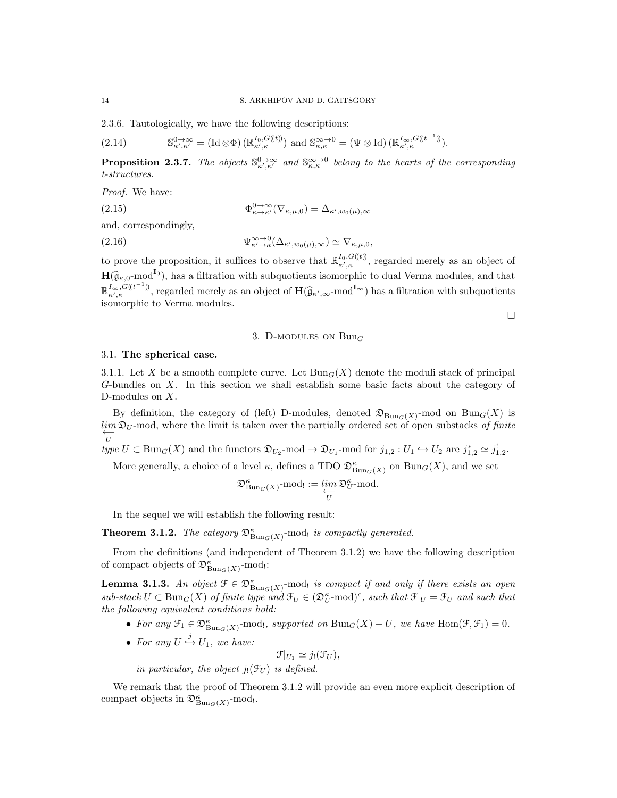2.3.6. Tautologically, we have the following descriptions:

$$
(2.14) \tS^0_{\kappa',\kappa'} = (\mathrm{Id} \otimes \Phi) \left( \mathbb{R}^{I_0, G(\mathbf{t})}_{\kappa',\kappa} \right) \text{ and } \mathbb{S}^{\infty \to 0}_{\kappa,\kappa} = (\Psi \otimes \mathrm{Id}) \left( \mathbb{R}^{I_{\infty}, G(\mathbf{t}^{-1})}_{\kappa',\kappa} \right).
$$

**Proposition 2.3.7.** The objects  $\mathbb{S}^{0\to\infty}_{\kappa',\kappa'}$  and  $\mathbb{S}^{\infty\to0}_{\kappa,\kappa}$  belong to the hearts of the corresponding t-structures.

Proof. We have:

(2.15)  $\Phi_{\kappa \to \kappa'}^{0 \to \infty} (\nabla_{\kappa,\mu,0}) = \Delta_{\kappa',w_0(\mu),\infty}$ 

and, correspondingly,

(2.16) 
$$
\Psi_{\kappa' \to \kappa}^{\infty \to 0}(\Delta_{\kappa',w_0(\mu),\infty}) \simeq \nabla_{\kappa,\mu,0},
$$

to prove the proposition, it suffices to observe that  $\mathbb{R}^{I_0, G(\ell)}_{\kappa',\kappa}$ , regarded merely as an object of  $\mathbf{H}(\hat{\mathfrak{g}}_{\kappa,0} \text{-mod}^{\mathbf{I}_0})$ , has a filtration with subquotients isomorphic to dual Verma modules, and that  $\mathbb{R}^{I_{\infty}, G(\ell^{-1})}_{\kappa',\kappa}$ , regarded merely as an object of  $\mathbf{H}(\widehat{\mathfrak{g}}_{\kappa',\infty}\text{-mod}^{I_{\infty}})$  has a filtration with subquotients isomorphic to Verma modules.

 $\Box$ 

#### 3. D-MODULES ON  $Bun_G$

#### 3.1. The spherical case.

3.1.1. Let X be a smooth complete curve. Let  $Bun_G(X)$  denote the moduli stack of principal G-bundles on X. In this section we shall establish some basic facts about the category of D-modules on X.

By definition, the category of (left) D-modules, denoted  $\mathfrak{D}_{Bun_G(X)}$ -mod on  $Bun_G(X)$  is  $\lim_{n \to \infty} \mathfrak{D}_U$ -mod, where the limit is taken over the partially ordered set of open substacks of finite U

type  $U \subset \text{Bun}_G(X)$  and the functors  $\mathfrak{D}_{U_2}$ -mod  $\to \mathfrak{D}_{U_1}$ -mod for  $j_{1,2} : U_1 \hookrightarrow U_2$  are  $j_{1,2}^* \simeq j_{1,2}^!$ .

More generally, a choice of a level  $\kappa$ , defines a TDO  $\mathfrak{D}^{\kappa}_{\text{Bun}_G(X)}$  on  $\text{Bun}_G(X)$ , and we set

$$
\mathfrak{D}^\kappa_{\mathrm{Bun}_G(X)}\text{-mod}_! := \varprojlim_U \mathfrak{D}^\kappa_U \text{-mod}.
$$

In the sequel we will establish the following result:

**Theorem 3.1.2.** The category  $\mathfrak{D}^{\kappa}_{\text{Bun}_G(X)}$ -mode is compactly generated.

From the definitions (and independent of Theorem 3.1.2) we have the following description of compact objects of  $\mathfrak{D}^{\kappa}_{\text{Bun}_G(X)}$ -mod<sub>!</sub>:

**Lemma 3.1.3.** An object  $\mathfrak{F} \in \mathfrak{D}^{\kappa}_{\text{Bun}_G(X)}$ -mod<sub>l</sub> is compact if and only if there exists an open  $sub\text{-}stack~U \subset \text{Bun}_G(X)$  of finite type and  $\mathfrak{F}_U \in (\mathfrak{D}_U^{\kappa}\text{-}\mathrm{mod})^c$ , such that  $\mathfrak{F}|_U = \mathfrak{F}_U$  and such that the following equivalent conditions hold:

- For any  $\mathfrak{F}_1 \in \mathfrak{D}^{\kappa}_{\text{Bun}_G(X)}$ -mod!, supported on  $\text{Bun}_G(X) U$ , we have  $\text{Hom}(\mathfrak{F}, \mathfrak{F}_1) = 0$ .
- For any  $U \stackrel{j}{\hookrightarrow} U_1$ , we have:

$$
\mathcal{F}|_{U_1}\simeq j_!(\mathcal{F}_U),
$$

in particular, the object  $j_!({\mathfrak F}_U)$  is defined.

We remark that the proof of Theorem 3.1.2 will provide an even more explicit description of compact objects in  $\mathfrak{D}^{\kappa}_{\text{Bun}_G(X)}$ -mod<sub>!</sub>.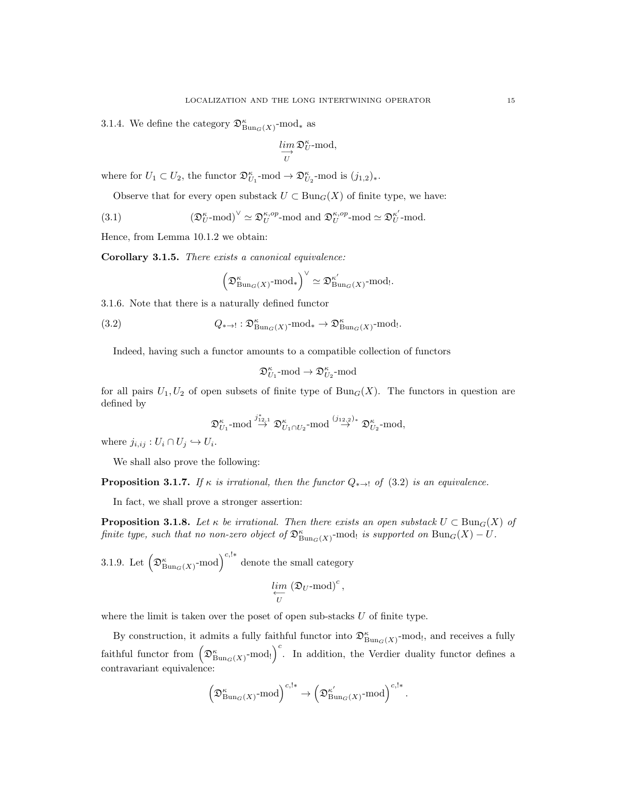3.1.4. We define the category  $\mathfrak{D}^{\kappa}_{\text{Bun}_G(X)}$ -mod<sub>\*</sub> as

$$
\varinjlim_U\mathfrak{D}_U^\kappa\text{-mod},
$$

where for  $U_1 \subset U_2$ , the functor  $\mathfrak{D}_{U_1}^{\kappa}$ -mod  $\rightarrow \mathfrak{D}_{U_2}^{\kappa}$ -mod is  $(j_{1,2})_*$ .

Observe that for every open substack  $U \subset \text{Bun}_G(X)$  of finite type, we have:

(3.1) 
$$
\left(\mathfrak{D}_{U}^{\kappa}\text{-mod}\right)^{\vee}\simeq\mathfrak{D}_{U}^{\kappa,op}\text{-mod}\text{ and }\mathfrak{D}_{U}^{\kappa,op}\text{-mod}\simeq\mathfrak{D}_{U}^{\kappa'}\text{-mod}.
$$

Hence, from Lemma 10.1.2 we obtain:

Corollary 3.1.5. There exists a canonical equivalence:

$$
\left(\mathfrak{D}^\kappa_{\mathrm{Bun}_G(X)}\text{-mod}_*\right)^\vee\simeq \mathfrak{D}^{\kappa'}_{\mathrm{Bun}_G(X)}\text{-mod}_!.
$$

3.1.6. Note that there is a naturally defined functor

(3.2) 
$$
Q_{\ast \to !}: \mathfrak{D}^{\kappa}_{\mathrm{Bun}_G(X)} \text{-mod}_{\ast} \to \mathfrak{D}^{\kappa}_{\mathrm{Bun}_G(X)} \text{-mod}_{!}.
$$

Indeed, having such a functor amounts to a compatible collection of functors

$$
\mathfrak{D}^\kappa_{U_1}\textrm{-mod} \to \mathfrak{D}^\kappa_{U_2}\textrm{-mod}
$$

for all pairs  $U_1, U_2$  of open subsets of finite type of  $Bun_G(X)$ . The functors in question are defined by

$$
\mathfrak{D}^{\kappa}_{U_1}\text{-mod}\overset{j_{12,1}^*}{\rightarrow}\mathfrak{D}^{\kappa}_{U_1\cap U_2}\text{-mod}\overset{(j_{12,2})_*}{\rightarrow}\mathfrak{D}^{\kappa}_{U_2}\text{-mod},
$$

where  $j_{i,ij}: U_i \cap U_j \hookrightarrow U_i$ .

We shall also prove the following:

**Proposition 3.1.7.** If  $\kappa$  is irrational, then the functor  $Q_{\ast\rightarrow}$ ! of (3.2) is an equivalence.

In fact, we shall prove a stronger assertion:

**Proposition 3.1.8.** Let  $\kappa$  be irrational. Then there exists an open substack  $U \subset \text{Bun}_G(X)$  of finite type, such that no non-zero object of  $\mathfrak{D}^{\kappa}_{\text{Bun}_G(X)}$ -mod! is supported on  $\text{Bun}_G(X) - U$ .

3.1.9. Let 
$$
\left(\mathfrak{D}_{\text{Bun}_G(X)}^{\kappa}\text{-mod}\right)^{c,\mathbf{1}*}
$$
 denote the small category 
$$
\lim_{\substack{\longleftarrow \\ U}} \left(\mathfrak{D}_U\text{-mod}\right)^c,
$$

where the limit is taken over the poset of open sub-stacks  $U$  of finite type.

By construction, it admits a fully faithful functor into  $\mathfrak{D}^{\kappa}_{\text{Bun}_G(X)}$ -mod!, and receives a fully faithful functor from  $(\mathfrak{D}^{\kappa}_{\text{Bun}_G(X)}\text{-mod}_!)^c$ . In addition, the Verdier duality functor defines a contravariant equivalence:

$$
\left(\mathfrak{D}^\kappa_{\mathrm{Bun}_G(X)}\text{-mod}\right)^{c,\mathbf{1}*}\to \left(\mathfrak{D}^{\kappa'}_{\mathrm{Bun}_G(X)}\text{-mod}\right)^{c,\mathbf{1}*}.
$$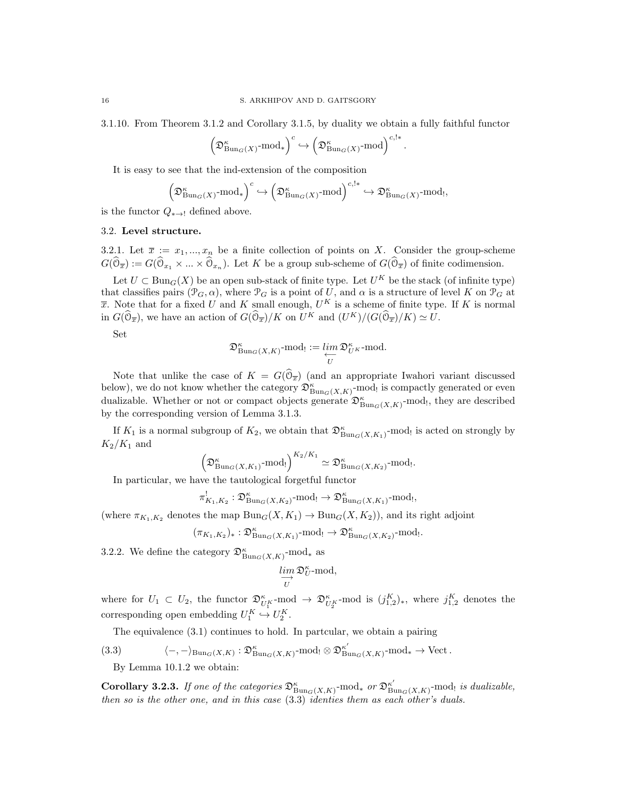3.1.10. From Theorem 3.1.2 and Corollary 3.1.5, by duality we obtain a fully faithful functor

$$
\left(\mathfrak{D}^\kappa_{\mathrm{Bun}_G(X)}\text{-mod}_*\right)^c \hookrightarrow \left(\mathfrak{D}^\kappa_{\mathrm{Bun}_G(X)}\text{-mod}\right)^{c,!*}.
$$

It is easy to see that the ind-extension of the composition

$$
\left(\mathfrak{D}^\kappa_{\mathrm{Bun}_G(X)}\text{-mod}_*\right)^c \hookrightarrow \left(\mathfrak{D}^\kappa_{\mathrm{Bun}_G(X)}\text{-mod}\right)^{c,!*} \hookrightarrow \mathfrak{D}^\kappa_{\mathrm{Bun}_G(X)}\text{-mod}_!,
$$

is the functor  $Q_{\ast\rightarrow}$ ! defined above.

#### 3.2. Level structure.

3.2.1. Let  $\overline{x} := x_1, ..., x_n$  be a finite collection of points on X. Consider the group-scheme  $G(\mathbb{O}_{\overline{x}}) := G(\mathbb{O}_{x_1} \times ... \times \mathbb{O}_{x_n})$ . Let K be a group sub-scheme of  $G(\mathbb{O}_{\overline{x}})$  of finite codimension.

Let  $U \subset \text{Bun}_G(X)$  be an open sub-stack of finite type. Let  $U^K$  be the stack (of infinite type) that classifies pairs  $(\mathcal{P}_G, \alpha)$ , where  $\mathcal{P}_G$  is a point of U, and  $\alpha$  is a structure of level K on  $\mathcal{P}_G$  at  $\overline{x}$ . Note that for a fixed U and K small enough,  $U^K$  is a scheme of finite type. If K is normal in  $G(\widehat{\mathbb{O}}_{\overline{x}})$ , we have an action of  $G(\widehat{\mathbb{O}}_{\overline{x}})/K$  on  $U^K$  and  $(U^K)/(G(\widehat{\mathbb{O}}_{\overline{x}})/K) \simeq U$ .

Set

$$
\mathfrak{D}^\kappa_{\mathrm{Bun}_G(X,K)}\text{-}\mathrm{mod}_! := \varprojlim_U \mathfrak{D}^\kappa_{U^K}\text{-}\mathrm{mod}.
$$

Note that unlike the case of  $K = G(\mathbb{O}_{\overline{x}})$  (and an appropriate Iwahori variant discussed below), we do not know whether the category  $\mathfrak{D}^{\kappa}_{\mathrm{Bun}_G(X,K)}$ -mod! is compactly generated or even dualizable. Whether or not or compact objects generate  $\mathfrak{D}^{\kappa}_{\text{Bun}_G(X,K)}$ -mod<sub>!</sub>, they are described by the corresponding version of Lemma 3.1.3.

If  $K_1$  is a normal subgroup of  $K_2$ , we obtain that  $\mathfrak{D}^{\kappa}_{\text{Bun}_G(X,K_1)}$ -mod! is acted on strongly by  $K_2/K_1$  and

$$
\left(\mathfrak{D}^{\kappa}_{\mathrm{Bun}_G(X,K_1)}\text{-mod}!\right)^{K_2/K_1} \simeq \mathfrak{D}^{\kappa}_{\mathrm{Bun}_G(X,K_2)}\text{-mod}.
$$

In particular, we have the tautological forgetful functor

 $\pi_{K_1,K_2}^! : \mathfrak{D}^{\kappa}_{\mathrm{Bun}_G(X,K_2)} \text{-mod}_! \to \mathfrak{D}^{\kappa}_{\mathrm{Bun}_G(X,K_1)} \text{-mod}_!,$ 

(where  $\pi_{K_1,K_2}$  denotes the map  $\text{Bun}_G(X, K_1) \to \text{Bun}_G(X, K_2)$ ), and its right adjoint

$$
(\pi_{K_1,K_2})_* : \mathfrak{D}^{\kappa}_{\mathrm{Bun}_G(X,K_1)} \text{-mod}_! \to \mathfrak{D}^{\kappa}_{\mathrm{Bun}_G(X,K_2)} \text{-mod}_!.
$$

3.2.2. We define the category  $\mathfrak{D}^{\kappa}_{\mathrm{Bun}_G(X,K)}$ -mod<sub>\*</sub> as

$$
\lim_{\substack{U}}\mathfrak{D}_{U}^{\kappa}\text{-mod},
$$

where for  $U_1 \subset U_2$ , the functor  $\mathfrak{D}_{U_1^K}^{\kappa}$ -mod  $\rightarrow \mathfrak{D}_{U_2^K}^{\kappa}$ -mod is  $(j_{1,2}^K)_*$ , where  $j_{1,2}^K$  denotes the corresponding open embedding  $U_1^K \hookrightarrow U_2^K$ .

The equivalence (3.1) continues to hold. In partcular, we obtain a pairing

$$
(3.3) \qquad \qquad \langle -, -\rangle_{\mathrm{Bun}_G(X,K)} : \mathfrak{D}^{\kappa}_{\mathrm{Bun}_G(X,K)} \text{-mod}_! \otimes \mathfrak{D}^{\kappa'}_{\mathrm{Bun}_G(X,K)} \text{-mod}_* \to \mathrm{Vect}.
$$

By Lemma 10.1.2 we obtain:

Corollary 3.2.3. If one of the categories  $\mathfrak{D}^{\kappa}_{\mathrm{Bun}_G(X,K)}$ -mod<sub>\*</sub> or  $\mathfrak{D}^{\kappa'}_{\mathrm{Bur}}$  $\int_{\text{Bun}_G(X,K)}^{\kappa'}$ -mod<sub>!</sub> is dualizable, then so is the other one, and in this case (3.3) identies them as each other's duals.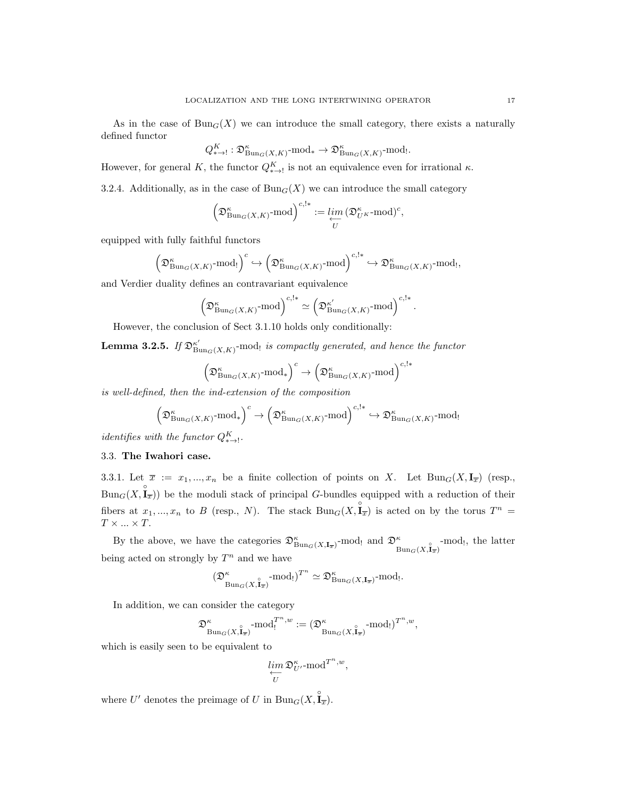As in the case of  $Bun_G(X)$  we can introduce the small category, there exists a naturally defined functor

$$
Q_{\ast \rightarrow !}^K : \mathfrak{D}^\kappa_{\mathrm{Bun}_G(X,K)} \text{-}\mathrm{mod}_{\ast} \rightarrow \mathfrak{D}^\kappa_{\mathrm{Bun}_G(X,K)} \text{-}\mathrm{mod}_!.
$$

However, for general K, the functor  $Q_{*\to}^K$  is not an equivalence even for irrational  $\kappa$ .

3.2.4. Additionally, as in the case of  $Bun_G(X)$  we can introduce the small category

$$
\Big(\mathfrak{D}^\kappa_{\mathrm{Bun}_G(X,K)}\text{-}\mathrm{mod}\Big)^{c, \mathsf{l}*}:=\varprojlim_U\big(\mathfrak{D}^\kappa_{U^K}\text{-}\mathrm{mod}\big)^c,
$$

equipped with fully faithful functors

$$
\left(\mathfrak{D}^\kappa_{\mathrm{Bun}_G(X,K)}\text{-mod}_!\right)^c \hookrightarrow \left(\mathfrak{D}^\kappa_{\mathrm{Bun}_G(X,K)}\text{-mod}\right)^{c,!*} \hookrightarrow \mathfrak{D}^\kappa_{\mathrm{Bun}_G(X,K)}\text{-mod}_!,
$$

and Verdier duality defines an contravariant equivalence

$$
\left(\mathfrak{D}^{\kappa}_{\mathrm{Bun}_{G}(X,K)}\text{-mod}\right)^{c,!*} \simeq \left(\mathfrak{D}^{\kappa'}_{\mathrm{Bun}_{G}(X,K)}\text{-mod}\right)^{c,!*}.
$$

However, the conclusion of Sect 3.1.10 holds only conditionally:

Lemma 3.2.5. If  $\mathfrak{D}_{\mathrm{B}}^{\kappa'}$  $\sum_{\text{Bun}_G(X,K)}^{\kappa'}$ -mod<sub>!</sub> is compactly generated, and hence the functor

$$
\left(\mathfrak{D}^{\kappa}_{\mathrm{Bun}_G(X,K)}\text{-mod}_*\right)^c \to \left(\mathfrak{D}^{\kappa}_{\mathrm{Bun}_G(X,K)}\text{-mod}\right)^{c,1*}
$$

is well-defined, then the ind-extension of the composition

$$
\left(\mathfrak{D}^\kappa_{\mathrm{Bun}_G(X,K)}\text{-mod}_*\right)^c\to \left(\mathfrak{D}^\kappa_{\mathrm{Bun}_G(X,K)}\text{-mod}\right)^{c,!*} \hookrightarrow \mathfrak{D}^\kappa_{\mathrm{Bun}_G(X,K)}\text{-mod}_!
$$

*identifies with the functor*  $Q_{\ast\rightarrow\perp}^K$ .

## 3.3. The Iwahori case.

3.3.1. Let  $\overline{x} := x_1, ..., x_n$  be a finite collection of points on X. Let  $\text{Bun}_G(X, \mathbf{I}_{\overline{x}})$  (resp.,  $Bun_G(X, \hat{\mathbf{I}}_{\overline{x}})$  be the moduli stack of principal G-bundles equipped with a reduction of their fibers at  $x_1, ..., x_n$  to B (resp., N). The stack  $Bun_G(X, \hat{\mathbf{I}}_{\overline{x}})$  is acted on by the torus  $T^n =$  $T\times \ldots \times T.$ 

By the above, we have the categories  $\mathfrak{D}^{\kappa}_{\text{Bun}_G(X,\mathbf{I}_{\overline{x}})}$ -mod! and  $\mathfrak{D}^{\kappa}_{\text{Bun}_G(X,\mathbf{I}_{\overline{x}})}$ -mod!, the latter being acted on strongly by  $T^n$  and we have

$$
(\mathfrak{D}^\kappa_{\mathrm{Bun}_G(X, \mathring{\mathbf{I}}_{\overline{x}})} \text{-mod}_!)^{T^n} \simeq \mathfrak{D}^\kappa_{\mathrm{Bun}_G(X, \mathbf{I}_{\overline{x}})} \text{-mod}_!.
$$

In addition, we can consider the category

$$
\mathfrak{D}^\kappa_{\operatorname{Bun}_G(X,\overset{\circ}{\mathbf{I}}_{\overline{x}})}\operatorname{-mod}^{T^n,w}:= (\mathfrak{D}^\kappa_{\operatorname{Bun}_G(X,\overset{\circ}{\mathbf{I}}_{\overline{x}})}\operatorname{-mod}_{!})^{T^n,w},
$$

which is easily seen to be equivalent to

$$
\varprojlim_U \mathfrak{D}^\kappa_{U'}\text{-mod}^{T^n,w},
$$

where U' denotes the preimage of U in  $\text{Bun}_G(X, \hat{\mathbf{I}}_{\overline{x}})$ .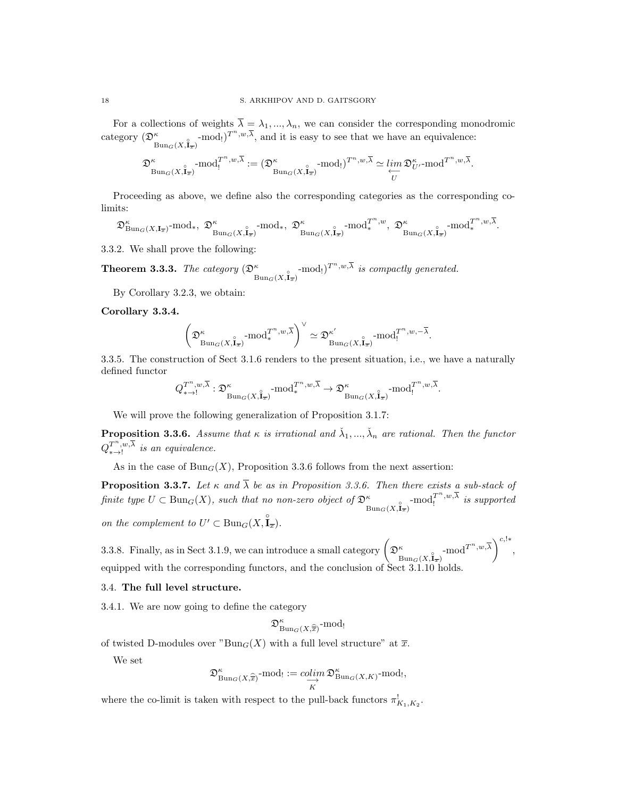For a collections of weights  $\overline{\lambda} = \lambda_1, ..., \lambda_n$ , we can consider the corresponding monodromic category  $(\mathfrak{D}_{\text{Bun}_G(X,\mathbf{I}_{\overline{x}})}^{\kappa} \text{-mod}_!)^{T^n,w,\overline{\lambda}}$ , and it is easy to see that we have an equivalence:

$$
\mathfrak{D}^\kappa_{\mathrm{Bun}_G(X,\mathring{\mathbf{I}}_{\overline{x}})} \text{-mod}_!^{T^n,w,\overline{\lambda}} := (\mathfrak{D}^\kappa_{\mathrm{Bun}_G(X,\mathring{\mathbf{I}}_{\overline{x}})} \text{-mod}_!)^{T^n,w,\overline{\lambda}} \simeq \varprojlim_U \mathfrak{D}^\kappa_{U'} \text{-mod}^{T^n,w,\overline{\lambda}}.
$$

Proceeding as above, we define also the corresponding categories as the corresponding colimits:

$$
\mathfrak{D}^\kappa_{\mathrm{Bun}_G(X,\mathbf{I}_{\overline{x}})}\text{-mod}_*, \ \ \mathfrak{D}^\kappa_{\mathrm{Bun}_G(X,\widetilde{\mathbf{I}}_{\overline{x}})}\text{-mod}_*, \ \ \mathfrak{D}^\kappa_{\mathrm{Bun}_G(X,\widetilde{\mathbf{I}}_{\overline{x}})}\text{-mod}_*^{T^n,w}, \ \ \mathfrak{D}^\kappa_{\mathrm{Bun}_G(X,\widetilde{\mathbf{I}}_{\overline{x}})}\text{-mod}_*^{T^n,w,\overline{\lambda}}.
$$

3.3.2. We shall prove the following:

**Theorem 3.3.3.** The category  $(\mathfrak{D}^{\kappa}_{\text{Bun}_G(X,\mathbf{I}_{\overline{x}})} \text{-mod} )^{T^n,w,\overline{\lambda}}$  is compactly generated.

By Corollary 3.2.3, we obtain:

Corollary 3.3.4.

$$
\left(\mathfrak{D}^\kappa_{\mathrm{Bun}_G(X, \overset{\circ}{\mathbf{I}}_\overline{x})}\text{-}\mathrm{mod}^{T^n, w, \overline{\lambda}}_{*}\right)^\vee \simeq \mathfrak{D}^{\kappa'}_{\mathrm{Bun}_G(X, \overset{\circ}{\mathbf{I}}_\overline{x})}\text{-}\mathrm{mod}^{T^n, w, -\overline{\lambda}}_{!}.
$$

3.3.5. The construction of Sect 3.1.6 renders to the present situation, i.e., we have a naturally defined functor

$$
Q_{\ast \to !}^{T^n, w, \overline{\lambda}}: \mathfrak{D}^\kappa_{\text{Bun}_G(X, \mathbf{\hat{I}}_{\overline{x}})} \text{-mod}_{\ast}^{T^n, w, \overline{\lambda}} \to \mathfrak{D}^\kappa_{\text{Bun}_G(X, \mathbf{\hat{I}}_{\overline{x}})} \text{-mod}_!^{T^n, w, \overline{\lambda}}.
$$

We will prove the following generalization of Proposition 3.1.7:

**Proposition 3.3.6.** Assume that  $\kappa$  is irrational and  $\check{\lambda}_1, ..., \check{\lambda}_n$  are rational. Then the functor  $Q_{\ast\rightarrow}^{T^{n},w,\overline{\lambda}}$  is an equivalence.

As in the case of  $Bun_G(X)$ , Proposition 3.3.6 follows from the next assertion:

**Proposition 3.3.7.** Let  $\kappa$  and  $\overline{\lambda}$  be as in Proposition 3.3.6. Then there exists a sub-stack of finite type  $U \subset \text{Bun}_G(X)$ , such that no non-zero object of  $\mathfrak{D}^{\kappa}_{\text{Bun}_G(X, \mathbf{I}_{\overline{x}})}$ -mod $\overline{I}^{n,w,\overline{\lambda}}$  is supported

on the complement to  $U' \subset \text{Bun}_G(X, \overset{\circ}{\mathbf{I}}_{\overline{x}})$ .

3.3.8. Finally, as in Sect 3.1.9, we can introduce a small category  $\left(\mathfrak{D}^{\kappa}_{\text{Bun}_G(X,\mathbf{1}_{\overline{x}})}\text{-mod}^{T^n,w,\overline{\lambda}}\right)^{c,\vert *},$ equipped with the corresponding functors, and the conclusion of Sect 3.1.10 holds.

#### 3.4. The full level structure.

3.4.1. We are now going to define the category

$$
\mathfrak{D}^\kappa_{\mathrm{Bun}_G(X,\widehat{\overline{x}})} \text{-mod}_!
$$

of twisted D-modules over " $Bun_G(X)$  with a full level structure" at  $\overline{x}$ .

We set

$$
\mathfrak{D}^\kappa_{\mathrm{Bun}_G(X,\widehat{\overline{x}})}\text{-mod}_!:=\underset{K}{\operatorname{colim}} \mathfrak{D}^\kappa_{\mathrm{Bun}_G(X,K)}\text{-mod}_!,
$$

where the co-limit is taken with respect to the pull-back functors  $\pi_{K_1,K_2}^!$ .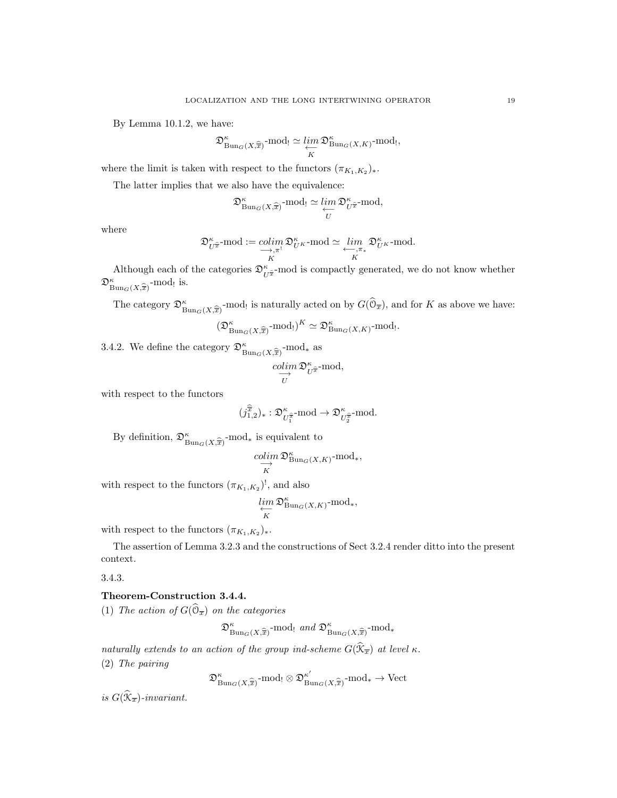By Lemma 10.1.2, we have:

$$
\mathfrak{D}^{\kappa}_{\mathrm{Bun}_G(X,\widehat{\overline{x}})}\text{-mod}_! \simeq \varprojlim_K \mathfrak{D}^{\kappa}_{\mathrm{Bun}_G(X,K)}\text{-mod}_!,
$$

where the limit is taken with respect to the functors  $(\pi_{K_1,K_2})_*$ .

The latter implies that we also have the equivalence:

$$
\mathfrak{D}_{\text{Bun}_G(X,\widehat{\overline{x}})}^{\kappa}\text{-mod}_! \simeq \lim_{\substack{\longleftarrow \\ U}} \mathfrak{D}_{U^{\widehat{\overline{x}}}}^{\kappa}\text{-mod},
$$

where

$$
\mathfrak{D}^\kappa_{U^{\widehat{\pi}}}\text{-}\mathrm{mod}:=\underset{K}{colim}\underset{K}{\underbrace{colim}}\mathfrak{D}^\kappa_{U^K}\text{-}\mathrm{mod}\simeq\underset{K}{\underbrace{lim}}\underset{K}{\mathfrak{D}^\kappa_{U^K}\text{-}\mathrm{mod}}.
$$

Although each of the categories  $\mathfrak{D}^{\kappa}_{U^{\widehat{x}}}$ -mod is compactly generated, we do not know whether  $\mathfrak{D}^{\kappa}_{\text{Bun}_G(X,\widehat{\overline{x}})}\text{-mod}_!$  is.

The category  $\mathfrak{D}^{\kappa}_{\text{Bun}_G(X,\widehat{x})}$ -mod! is naturally acted on by  $G(\widehat{\mathbb{O}}_{\overline{x}})$ , and for K as above we have:

$$
(\mathfrak{D}^{\kappa}_{\mathrm{Bun}_G(X,\widehat{\overline{x}})}\text{-mod}^{\kappa})^K \simeq \mathfrak{D}^{\kappa}_{\mathrm{Bun}_G(X,K)}\text{-mod}^{\kappa}.
$$

3.4.2. We define the category  $\mathfrak{D}^{\kappa}_{\text{Bun}_G(X,\widehat{\overline{x}})}$ -mod<sub>\*</sub> as

$$
\underset{U}{\overset{colim}{\longrightarrow}} \mathfrak{D}_{U^{\widehat{x}}}^{\kappa}\text{-mod},
$$

with respect to the functors

$$
(j_{1,2}^{\widehat{\overline{x}}})_* : \mathfrak{D}^{\kappa}_{U_1^{\widehat{\overline{x}}}} \text{-}\mathrm{mod} \to \mathfrak{D}^{\kappa}_{U_2^{\widehat{\overline{x}}}} \text{-}\mathrm{mod}.
$$

By definition,  $\mathfrak{D}^{\kappa}_{\text{Bun}_G(X,\widehat{\overline{x}})}$ -mod<sub>\*</sub> is equivalent to

$$
\underset{K}{\underset{K}{colim}} \mathfrak{D}^{\kappa}_{\text{Bun}_G(X,K)}\text{-mod}_*,
$$

with respect to the functors  $(\pi_{K_1,K_2})^!$ , and also

$$
\varprojlim_{K} \mathfrak{D}^{\kappa}_{\mathrm{Bun}_G(X,K)} \text{-mod}_*,
$$

with respect to the functors  $(\pi_{K_1,K_2})_*$ .

The assertion of Lemma 3.2.3 and the constructions of Sect 3.2.4 render ditto into the present context.

3.4.3.

## Theorem-Construction 3.4.4.

(1) The action of  $G(\mathbb{O}_{\overline{x}})$  on the categories

$$
\mathfrak{D}_{\text{Bun}_G(X,\widehat{\overline{x}})}^{\kappa}\text{-mod}_! \text{ and } \mathfrak{D}_{\text{Bun}_G(X,\widehat{\overline{x}})}^{\kappa}\text{-mod}_*
$$

naturally extends to an action of the group ind-scheme  $G(\mathfrak{K}_{\overline{x}})$  at level  $\kappa$ .

(2) The pairing

$$
\mathfrak{D}^{\kappa}_{\mathrm{Bun}_{G}(X,\widehat{\overline{x}})}\text{-mod}_{!}\otimes \mathfrak{D}^{\kappa'}_{\mathrm{Bun}_{G}(X,\widehat{\overline{x}})}\text{-mod}_{*}\to \mathrm{Vect}
$$

is  $G(\mathfrak{K}_{\overline{x}})$ -invariant.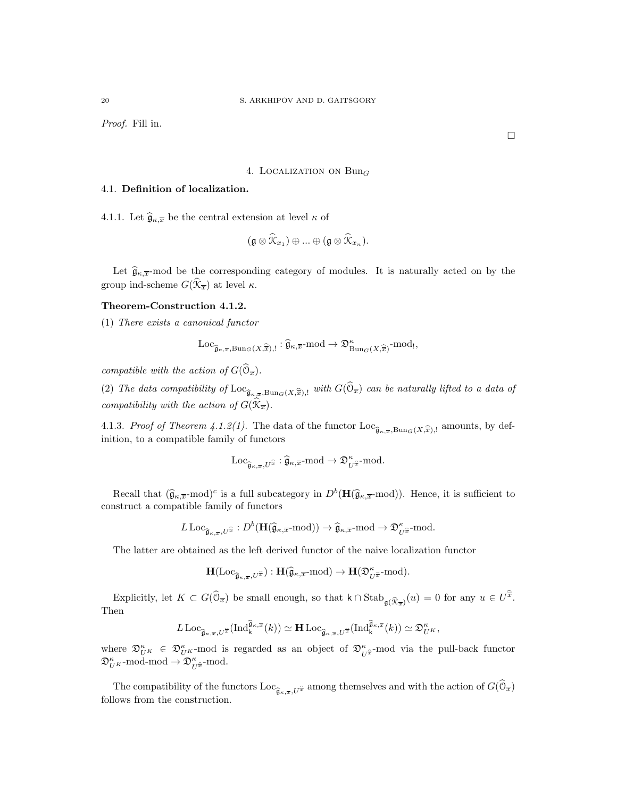Proof. Fill in.

#### 4. LOCALIZATION ON  $Bun_G$

## 4.1. Definition of localization.

4.1.1. Let  $\widehat{\mathfrak{g}}_{\kappa,\overline{x}}$  be the central extension at level  $\kappa$  of

$$
(\mathfrak{g}\otimes \mathfrak{K}_{x_1})\oplus ... \oplus (\mathfrak{g}\otimes \mathfrak{K}_{x_n}).
$$

Let  $\hat{\mathfrak{g}}_{\kappa,\bar{x}}$ -mod be the corresponding category of modules. It is naturally acted on by the group ind-scheme  $G(\mathcal{K}_{\overline{x}})$  at level  $\kappa$ .

### Theorem-Construction 4.1.2.

(1) There exists a canonical functor

$$
\mathrm{Loc}_{\widehat{\mathfrak{g}}_{\kappa,\overline{x}},\mathrm{Bun}_G(X,\widehat{\overline{x}}),!}:\widehat{\mathfrak{g}}_{\kappa,\overline{x}}\text{-}\mathrm{mod}\rightarrow \mathfrak{D}^\kappa_{\mathrm{Bun}_G(X,\widehat{\overline{x}})}\text{-}\mathrm{mod}_!,
$$

compatible with the action of  $G(\mathbb{O}_{\overline{x}})$ .

(2) The data compatibility of  $\text{Loc}_{\widehat{\mathfrak{g}}_{\kappa,\overline{x}},\text{Bun}_G(X,\widehat{\overline{x}}),!}$  with  $G(\mathbb{O}_{\overline{x}})$  can be naturally lifted to a data of compatibility with the action of  $G(\mathfrak{X}_{\overline{x}})$ .

4.1.3. Proof of Theorem 4.1.2(1). The data of the functor  $\text{Loc}_{\hat{\mathfrak{g}}_{\kappa,\overline{x}},\text{Bun}_G(X,\hat{\overline{x}}),!}$  amounts, by definition to a connectible family of functors inition, to a compatible family of functors

$$
\mathrm{Loc}_{\widehat{\mathfrak{g}}_{\kappa,\overline{x}},U^{\widehat{x}}}:\widehat{\mathfrak{g}}_{\kappa,\overline{x}} \text{-}\mathrm{mod} \rightarrow \mathfrak{D}^\kappa_{U^{\widehat{\overline{x}}}} \text{-}\mathrm{mod}.
$$

Recall that  $(\widehat{\mathfrak{g}}_{\kappa,\overline{x}}\text{-mod})^c$  is a full subcategory in  $D^b(\mathbf{H}(\widehat{\mathfrak{g}}_{\kappa,\overline{x}}\text{-mod}))$ . Hence, it is sufficient to construct a compatible family of functors

$$
L\operatorname{Loc}_{\widehat{\mathfrak{g}}_{\kappa,\overline{x}},U^{\widehat{x}}}:D^b(\mathbf{H}(\widehat{\mathfrak{g}}_{\kappa,\overline{x}}\text{-mod}))\to\widehat{\mathfrak{g}}_{\kappa,\overline{x}}\text{-mod}\to\mathfrak{D}_{U^{\widehat{x}}}\text{-mod}.
$$

The latter are obtained as the left derived functor of the naive localization functor

$$
\mathbf{H}(\mathrm{Loc}_{\widehat{\mathfrak{g}}_{\kappa,\overline{x}},U^{\widehat{x}}}): \mathbf{H}(\widehat{\mathfrak{g}}_{\kappa,\overline{x}}\text{-mod})\to \mathbf{H}(\mathfrak{D}_{U^{\widehat{x}}}\kappa\text{-mod}).
$$

Explicitly, let  $K \subset G(\hat{\mathbb{O}}_{\overline{x}})$  be small enough, so that  $k \cap \text{Stab}_{\mathfrak{g}(\widehat{K}_{\overline{x}})}(u) = 0$  for any  $u \in U^{\overline{x}}$ . Then

$$
L\operatorname{Loc}_{\widehat{\mathfrak{g}}_{\kappa,\overline{x}},U^{\widehat{\overline{x}}}}(\operatorname{Ind}_{\mathsf{k}}^{\widehat{\mathfrak{g}}_{\kappa,\overline{x}}}(k)) \simeq \mathbf{H}\operatorname{Loc}_{\widehat{\mathfrak{g}}_{\kappa,\overline{x}},U^{\widehat{\overline{x}}}}(\operatorname{Ind}_{\mathsf{k}}^{\widehat{\mathfrak{g}}_{\kappa,\overline{x}}}(k)) \simeq \mathfrak{D}_{U}^{\kappa},
$$

where  $\mathfrak{D}_{U^K}^{\kappa} \in \mathfrak{D}_{U^K}^{\kappa}$ -mod is regarded as an object of  $\mathfrak{D}_{U^{\hat{\pi}}}^{\kappa}$ -mod via the pull-back functor  $\mathfrak{D}_{U^K}^{\kappa}\text{-mod-mod} \to \mathfrak{D}_{U^{\widehat{x}}}^{\kappa}\text{-mod}.$ 

The compatibility of the functors  $\text{Loc}_{\hat{\mathfrak{g}}_{\kappa,\overline{x}},U^{\hat{x}}}$  among themselves and with the action of  $G(\mathcal{O}_{\overline{x}})$ follows from the construction.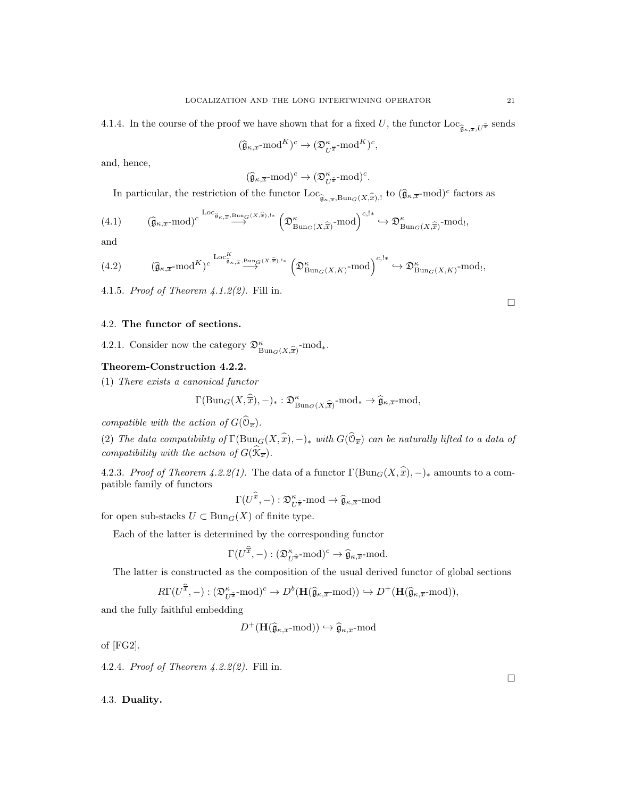$$
(\widehat{\mathfrak{g}}_{\kappa,\overline{x}} \text{-}\mathrm{mod}^K)^c \to (\mathfrak{D}^\kappa_{U^{\widehat{x}}} \text{-}\mathrm{mod}^K)^c
$$

,

and, hence,

$$
(\widehat{\mathfrak{g}}_{\kappa,\overline{x}} \text{-mod})^c \to (\mathfrak{D}^{\kappa}_{U^{\widehat{x}}} \text{-mod})^c.
$$

In particular, the restriction of the functor  $\text{Loc}_{\hat{\mathfrak{g}}_{\kappa,\overline{x}},\text{Bun}_G(X,\hat{\overline{x}}),!}$  to  $(\hat{\mathfrak{g}}_{\kappa,\overline{x}}\text{-mod})^c$  factors as

$$
(4.1) \qquad (\widehat{\mathfrak{g}}_{\kappa,\overline{x}} \text{-mod})^{c} \stackrel{\text{Loc}_{\widehat{\mathfrak{g}}_{\kappa,\overline{x}},\text{Bung}(X,\widehat{\overline{x}}),!*}}{\longrightarrow} \left(\mathfrak{D}^{\kappa}_{\text{Bung}(X,\widehat{\overline{x}})} \text{-mod}\right)^{c,!*} \hookrightarrow \mathfrak{D}^{\kappa}_{\text{Bung}(X,\widehat{\overline{x}})} \text{-mod},
$$

and

$$
(4.2) \qquad (\widehat{\mathfrak{g}}_{\kappa,\overline{x}} \text{-mod}^K)^c \stackrel{\text{Loc}_{\widehat{\mathfrak{g}}_{\kappa,\overline{x}}},\text{Bun}_G(X,\widehat{x}),1*}{\longrightarrow} \left(\mathfrak{D}^{\kappa}_{\text{Bun}_G(X,K)}\text{-mod}\right)^{c,1*} \hookrightarrow \mathfrak{D}^{\kappa}_{\text{Bun}_G(X,K)}\text{-mod}_!,
$$

4.1.5. Proof of Theorem 4.1.2(2). Fill in.

## 4.2. The functor of sections.

4.2.1. Consider now the category  $\mathfrak{D}^{\kappa}_{\text{Bun}_G(X,\widehat{\overline{x}})}\text{-mod}_*.$ 

### Theorem-Construction 4.2.2.

(1) There exists a canonical functor

$$
\Gamma(\mathrm{Bun}_G(X,\widehat{\overline{x}}),-)_*: \mathfrak{D}^{\kappa}_{\mathrm{Bun}_G(X,\widehat{\overline{x}})} \text{-mod}_* \to \widehat{\mathfrak{g}}_{\kappa,\overline{x}} \text{-mod},
$$

compatible with the action of  $G(\mathbb{O}_{\overline{x}})$ .

(2) The data compatibility of  $\Gamma(\text{Bun}_G(X,\hat{\overline{x}}),-)_*$  with  $G(\mathbb{O}_{\overline{x}})$  can be naturally lifted to a data of compatibility with the action of  $G(\mathfrak{X}_{\overline{x}})$ .

4.2.3. Proof of Theorem 4.2.2(1). The data of a functor  $\Gamma(\text{Bun}_G(X,\hat{\overline{x}}), -)_*$  amounts to a compatible family of functors

$$
\Gamma(U^{\overline{x}}, -): \mathfrak{D}_{U^{\widehat{x}}}^{\kappa}
$$
-mod  $\rightarrow \widehat{\mathfrak{g}}_{\kappa, \overline{x}}$ -mod

for open sub-stacks  $U \subset \text{Bun}_G(X)$  of finite type.

Each of the latter is determined by the corresponding functor

$$
\Gamma(U^{\widehat{\overline{x}}}, -): (\mathfrak{D}_{U^{\widehat{\overline{x}}}}^{\kappa}\text{-mod})^c \to \widehat{\mathfrak{g}}_{\kappa, \overline{x}}\text{-mod}.
$$

The latter is constructed as the composition of the usual derived functor of global sections

$$
R\Gamma(U^{\overline{\overline{x}}},-):(\mathfrak{D}^{\kappa}_{U^{\widehat{x}}}\text{-mod})^c\to D^b(\mathbf{H}(\widehat{\mathfrak{g}}_{\kappa,\overline{x}}\text{-mod}))\hookrightarrow D^+(\mathbf{H}(\widehat{\mathfrak{g}}_{\kappa,\overline{x}}\text{-mod})),
$$

and the fully faithful embedding

 $D^+(\mathbf{H}(\widehat{\mathfrak{g}}_{\kappa,\overline{x}}\text{-mod})) \hookrightarrow \widehat{\mathfrak{g}}_{\kappa,\overline{x}}\text{-mod}$ 

of [FG2].

4.2.4. Proof of Theorem 4.2.2(2). Fill in.

4.3. Duality.

 $\Box$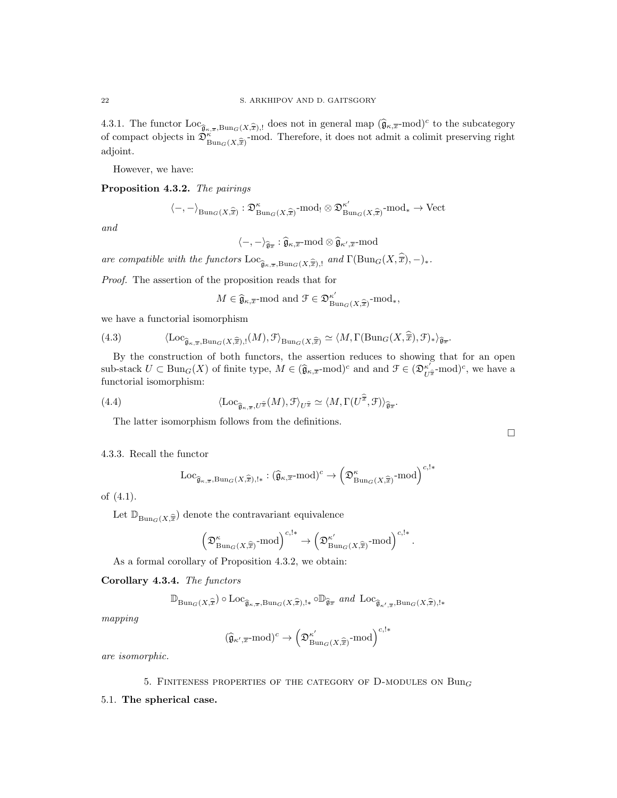4.3.1. The functor  $\text{Loc}_{\hat{g}_{\kappa},\bar{x},\text{Bun}_G(X,\hat{\bar{x}}),!}$  does not in general map  $(\hat{g}_{\kappa,\bar{x}}\text{-mod})^c$  to the subcategory of compact objects in  $\widehat{\mathfrak{D}}_{\text{Bun}_G(X,\widehat{\overline{x}})}^{\kappa}$ -mod. Therefore, it does not admit a colimit preserving right adjoint.

However, we have:

Proposition 4.3.2. The pairings

$$
\langle -, - \rangle_{\mathrm{Bun}_G(X, \widehat{\overline{x}})} : \mathfrak{D}^{\kappa}_{\mathrm{Bun}_G(X, \widehat{\overline{x}})} \text{-}\mathrm{mod}_! \otimes \mathfrak{D}^{\kappa'}_{\mathrm{Bun}_G(X, \widehat{\overline{x}})} \text{-}\mathrm{mod}_* \to \mathrm{Vect}
$$

and

$$
\langle-,-\rangle_{\widehat{\mathfrak{g}_{\pi}}}:\widehat{\mathfrak{g}}_{\kappa,\overline{x}} \text{-}\mathrm{mod} \otimes \widehat{\mathfrak{g}}_{\kappa',\overline{x}} \text{-}\mathrm{mod}
$$

are compatible with the functors  $\text{Loc}_{\widehat{\mathfrak{g}}_{\kappa,\overline{x}},\text{Bun}_G(X,\widehat{\overline{x}}),!}$  and  $\Gamma(\text{Bun}_G(X,\overline{\overline{x}}), -)_*.$ 

Proof. The assertion of the proposition reads that for

$$
M \in \hat{\mathfrak{g}}_{\kappa,\overline{x}}
$$
-mod and  $\mathcal{F} \in \mathfrak{D}_{\mathrm{Bun}_G(X,\widehat{\overline{x}})}^{\kappa'}$ -mod<sub>\*</sub>,

we have a functorial isomorphism

(4.3) 
$$
\langle \operatorname{Loc}_{\widehat{\mathfrak{g}}_{\kappa,\overline{x}},\operatorname{Bun}_G(X,\widehat{\overline{x}}),!}(M),\mathcal{F}\rangle_{\operatorname{Bun}_G(X,\widehat{\overline{x}})} \simeq \langle M,\Gamma(\operatorname{Bun}_G(X,\widehat{\overline{x}}),\mathcal{F})_*\rangle_{\widehat{\mathfrak{g}}_{\overline{x}}}.
$$

By the construction of both functors, the assertion reduces to showing that for an open sub-stack  $U \subset \text{Bun}_G(X)$  of finite type,  $M \in (\hat{\mathfrak{g}}_{\kappa,\overline{x}}\text{-mod})^c$  and and  $\mathfrak{F} \in (\mathfrak{D}_{U^{\hat{\pi}}}^{\kappa})\text{-mod}^c$ , we have a functional ignorous bigger functorial isomorphism:

(4.4) 
$$
\langle \mathrm{Loc}_{\widehat{\mathfrak{g}}_{\kappa,\overline{x}}, U^{\widehat{\pi}}}(M), \mathcal{F} \rangle_{U^{\widehat{x}}} \simeq \langle M, \Gamma(U^{\widehat{\overline{x}}}, \mathcal{F}) \rangle_{\widehat{\mathfrak{g}}_{\overline{x}}}.
$$

The latter isomorphism follows from the definitions.

### 4.3.3. Recall the functor

$$
\mathrm{Loc}_{\widehat{\mathfrak{g}}_{\kappa,\overline{x}},\mathrm{Bun}_G(X,\widehat{\overline{x}}),!*}: (\widehat{\mathfrak{g}}_{\kappa,\overline{x}}\text{-}\mathrm{mod})^c \rightarrow \left(\mathfrak{D}^\kappa_{\mathrm{Bun}_G(X,\widehat{\overline{x}})}\text{-}\mathrm{mod}\right)^{c,!*}
$$

 $\Box$ 

of (4.1).

Let  $\mathbb{D}_{\mathrm{Bun}_G(X, \widehat{\overline{x}})}$  denote the contravariant equivalence

$$
\left(\mathfrak{D}^\kappa_{\mathrm{Bun}_G(X,\widehat{\overline{x}})}\text{-mod}\right)^{c,!*} \to \left(\mathfrak{D}^{\kappa'}_{\mathrm{Bun}_G(X,\widehat{\overline{x}})}\text{-mod}\right)^{c,!*}.
$$

As a formal corollary of Proposition 4.3.2, we obtain:

Corollary 4.3.4. The functors

$$
\mathbb{D}_{\mathrm{Bun}_G(X,\widehat{\overline{x}})} \circ \mathrm{Loc}_{\widehat{\mathfrak{g}}_{\kappa,\overline{x}},\mathrm{Bun}_G(X,\widehat{\overline{x}}),!*} \circ \mathbb{D}_{\widehat{\mathfrak{g}}_{\overline{x}}} \ and \ \mathrm{Loc}_{\widehat{\mathfrak{g}}_{\kappa',\overline{x}},\mathrm{Bun}_G(X,\widehat{\overline{x}}),!*}
$$

mapping

$$
(\widehat{\mathfrak{g}}_{\kappa',\overline{x}}\text{-mod})^c \to \left(\mathfrak{D}_{\mathrm{Bun}_G(X,\widehat{\overline{x}})}^{\kappa'}\text{-mod}\right)^{c,\mathsf{l}*}
$$

are isomorphic.

### 5. FINITENESS PROPERTIES OF THE CATEGORY OF D-MODULES ON  $Bun_G$

5.1. The spherical case.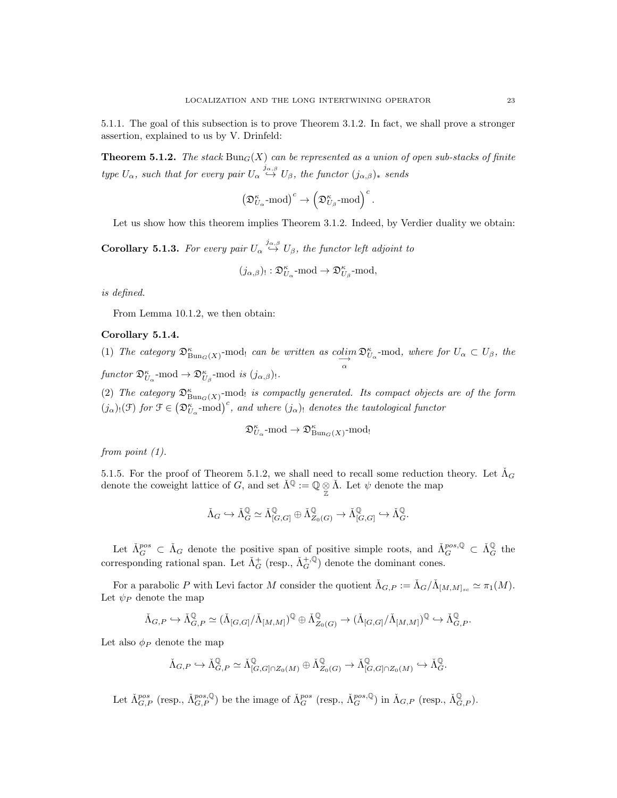5.1.1. The goal of this subsection is to prove Theorem 3.1.2. In fact, we shall prove a stronger assertion, explained to us by V. Drinfeld:

**Theorem 5.1.2.** The stack  $\text{Bun}_G(X)$  can be represented as a union of open sub-stacks of finite type  $U_{\alpha}$ , such that for every pair  $U_{\alpha} \stackrel{j_{\alpha,\beta}}{\hookrightarrow} U_{\beta}$ , the functor  $(j_{\alpha,\beta})_*$  sends

$$
\left( {\mathfrak{D}}_{U_{\alpha}}^{\kappa}\text{-}\mathrm{mod} \right)^c \rightarrow \left( {\mathfrak{D}}_{U_{\beta}}^{\kappa}\text{-}\mathrm{mod} \right)^c.
$$

Let us show how this theorem implies Theorem 3.1.2. Indeed, by Verdier duality we obtain:

**Corollary 5.1.3.** For every pair  $U_{\alpha} \stackrel{j_{\alpha,\beta}}{\leftrightarrow} U_{\beta}$ , the functor left adjoint to

$$
(j_{\alpha,\beta})_!: \mathfrak{D}^\kappa_{U_\alpha}\operatorname{-mod}\rightarrow \mathfrak{D}^\kappa_{U_\beta}\operatorname{-mod},
$$

is defined.

From Lemma 10.1.2, we then obtain:

### Corollary 5.1.4.

(1) The category  $\mathfrak{D}^{\kappa}_{\text{Bun}_G(X)}$ -mod! can be written as colim $\overrightarrow{\alpha}$  $\mathfrak{D}_{U_{\alpha}}^{\kappa}$ -mod, where for  $U_{\alpha} \subset U_{\beta}$ , the functor  $\mathfrak{D}_{U_{\alpha}}^{\kappa}$ -mod  $\rightarrow \mathfrak{D}_{U_{\beta}}^{\kappa}$ -mod is  $(j_{\alpha,\beta})_!$ .

(2) The category  $\mathfrak{D}^{\kappa}_{\text{Bun}_G(X)}$ -mod<sub>!</sub> is compactly generated. Its compact objects are of the form  $(j_{\alpha})_!(\mathfrak{F})$  for  $\mathfrak{F} \in (\mathfrak{D}_{U_{\alpha}}^{\kappa} \text{-mod})^c$ , and where  $(j_{\alpha})_!$  denotes the tautological functor

$$
\mathfrak{D}_{U_{\alpha}}^{\kappa}
$$
-mod  $\rightarrow \mathfrak{D}_{\text{Bun}_{G}(X)}^{\kappa}$ -mod!

from point  $(1)$ .

5.1.5. For the proof of Theorem 5.1.2, we shall need to recall some reduction theory. Let  $\tilde{\Lambda}_G$ denote the coweight lattice of G, and set  $\check{\Lambda}^{\mathbb{Q}} := \mathbb{Q} \underset{\mathbb{Z}}{\otimes} \check{\Lambda}$ . Let  $\psi$  denote the map

$$
\Lambda_G\hookrightarrow\Lambda_G^{\mathbb Q}\simeq\Lambda_{[G,G]}^{\mathbb Q}\oplus\Lambda_{Z_0(G)}^{\mathbb Q}\to\Lambda_{[G,G]}^{\mathbb Q}\hookrightarrow\Lambda_G^{\mathbb Q}.
$$

Let  $\check{\Lambda}_G^{pos} \subset \check{\Lambda}_G$  denote the positive span of positive simple roots, and  $\check{\Lambda}_G^{pos, \mathbb{Q}} \subset \check{\Lambda}_G^{\mathbb{Q}}$  the corresponding rational span. Let  $\check{\Lambda}^+_G$  (resp.,  $\check{\Lambda}^+_G$ ) denote the dominant cones.

For a parabolic P with Levi factor M consider the quotient  $\check{\Lambda}_{G,P} := \check{\Lambda}_{G}/\check{\Lambda}_{[M,M]_{sc}} \simeq \pi_1(M)$ . Let  $\psi_P$  denote the map

$$
\check{\Lambda}_{G,P} \hookrightarrow \check{\Lambda}_{G,P}^{\mathbb{Q}} \simeq (\check{\Lambda}_{[G,G]}/\check{\Lambda}_{[M,M]})^{\mathbb{Q}} \oplus \check{\Lambda}_{Z_0(G)}^{\mathbb{Q}} \to (\check{\Lambda}_{[G,G]}/\check{\Lambda}_{[M,M]})^{\mathbb{Q}} \hookrightarrow \check{\Lambda}_{G,P}^{\mathbb{Q}}.
$$

Let also  $\phi_P$  denote the map

$$
\check{\Lambda}_{G,P} \hookrightarrow \check{\Lambda}_{G,P}^{\mathbb{Q}} \simeq \check{\Lambda}_{[G,G]\cap Z_0(M)}^{\mathbb{Q}} \oplus \check{\Lambda}_{Z_0(G)}^{\mathbb{Q}} \to \check{\Lambda}_{[G,G]\cap Z_0(M)}^{\mathbb{Q}} \hookrightarrow \check{\Lambda}_{G}^{\mathbb{Q}}.
$$

Let  $\check{\Lambda}_{G,P}^{pos}$  (resp.,  $\check{\Lambda}_{G,P}^{pos, \mathbb{Q}}$ ) be the image of  $\check{\Lambda}_{G}^{pos}$  (resp.,  $\check{\Lambda}_{G}^{pos, \mathbb{Q}}$ ) in  $\check{\Lambda}_{G,P}$  (resp.,  $\check{\Lambda}_{G,P}^{\mathbb{Q}}$ ).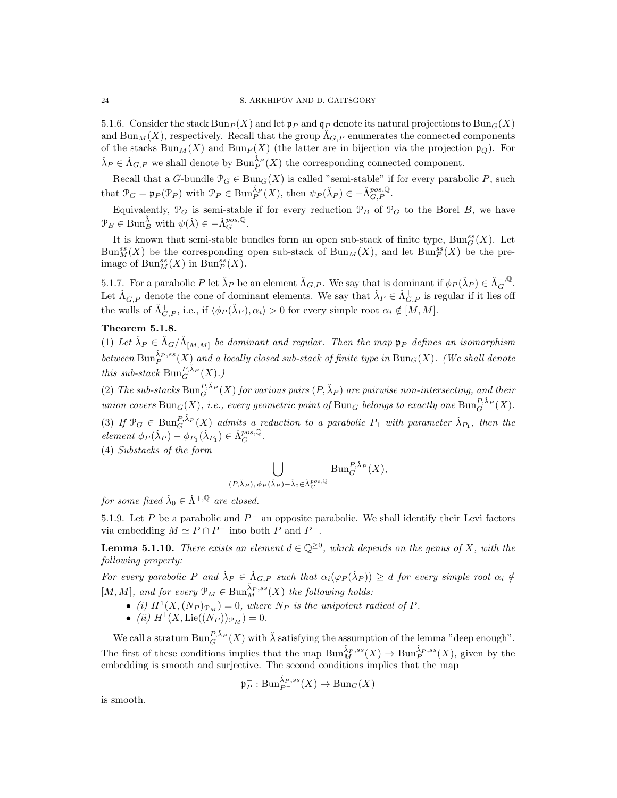5.1.6. Consider the stack  $Bun_P (X)$  and let  $\mathfrak{p}_P$  and  $\mathfrak{q}_P$  denote its natural projections to  $Bun_G(X)$ and  $\text{Bun}_M(X)$ , respectively. Recall that the group  $\Lambda_{G,P}$  enumerates the connected components of the stacks  $\text{Bun}_M(X)$  and  $\text{Bun}_P(X)$  (the latter are in bijection via the projection  $\mathfrak{p}_Q$ ). For  $\check{\lambda}_P \in \check{\Lambda}_{G,P}$  we shall denote by  $\text{Bun}_P^{\check{\lambda}_P}(X)$  the corresponding connected component.

Recall that a G-bundle  $\mathcal{P}_G \in \text{Bun}_G(X)$  is called "semi-stable" if for every parabolic P, such that  $\mathcal{P}_G = \mathfrak{p}_P(\mathcal{P}_P)$  with  $\mathcal{P}_P \in \text{Bun}_P^{\check{\lambda}_P}(X)$ , then  $\psi_P(\check{\lambda}_P) \in \check{\Lambda}_{G,P}^{pos, \mathbb{Q}}$ .

Equivalently,  $\mathcal{P}_G$  is semi-stable if for every reduction  $\mathcal{P}_B$  of  $\mathcal{P}_G$  to the Borel B, we have  $\mathcal{P}_B \in \text{Bun}_B^{\tilde{\lambda}}$  with  $\psi(\check{\lambda}) \in -\check{\Lambda}_G^{pos, \mathbb{Q}}$ .

It is known that semi-stable bundles form an open sub-stack of finite type,  $\text{Bun}_{G}^{ss}(X)$ . Let  $\text{Bun}_{M}^{ss}(X)$  be the corresponding open sub-stack of  $\text{Bun}_{M}(X)$ , and let  $\text{Bun}_{P}^{ss}(X)$  be the preimage of  $\text{Bun}_M^{ss}(X)$  in  $\text{Bun}_P^{ss}(X)$ .

5.1.7. For a parabolic P let  $\check{\lambda}_P$  be an element  $\check{\Lambda}_{G,P}$ . We say that is dominant if  $\phi_P(\check{\lambda}_P) \in \check{\Lambda}_G^{+,\mathbb{Q}}$ . Let  $\check{\Lambda}_{G,P}^+$  denote the cone of dominant elements. We say that  $\check{\lambda}_P \in \check{\Lambda}_{G,P}^+$  is regular if it lies off the walls of  $\check{\Lambda}_{G,P}^+$ , i.e., if  $\langle \phi_P(\check{\lambda}_P), \alpha_i \rangle > 0$  for every simple root  $\alpha_i \notin [M, M]$ .

### Theorem 5.1.8.

(1) Let  $\check{\lambda}_P \in \check{\Lambda}_G/\check{\Lambda}_{[M,M]}$  be dominant and regular. Then the map  $\mathfrak{p}_P$  defines an isomorphism between  $\operatorname{Bun}_P^{\check{\lambda}_P,ss}(X)$  and a locally closed sub-stack of finite type in  $\operatorname{Bun}_G(X)$ . (We shall denote this sub-stack  $\mathrm{Bun}_G^{P,\check{\lambda}_P}(X)$ .)

(2) The sub-stacks  $\text{Bun}_G^{P,\check{\lambda}_P}(X)$  for various pairs  $(P,\check{\lambda}_P)$  are pairwise non-intersecting, and their union covers  $\text{Bun}_G(X)$ , i.e., every geometric point of  $\text{Bun}_G$  belongs to exactly one  $\text{Bun}_G^{P,\check{\lambda}_P}(X)$ . (3) If  $\mathcal{P}_G \in \text{Bun}_G^{P,\check{\lambda}_P}(X)$  admits a reduction to a parabolic  $P_1$  with parameter  $\check{\lambda}_{P_1}$ , then the  $element \phi_P(\lambda_P) - \phi_{P_1}(\lambda_{P_1}) \in \Lambda_G^{pos, \mathbb{Q}}.$ 

(4) Substacks of the form

$$
\bigcup_{(P,\check{\lambda}_P), \phi_P(\check{\lambda}_P) - \check{\lambda}_0 \in \check{\Lambda}_G^{pos, \mathbb{Q}}} \text{Bun}_G^{P, \check{\lambda}_P}(X),
$$

for some fixed  $\check{\lambda}_0 \in \check{\Lambda}^{+,\mathbb{Q}}$  are closed.

5.1.9. Let P be a parabolic and  $P^-$  an opposite parabolic. We shall identify their Levi factors via embedding  $M \simeq P \cap P^-$  into both P and P<sup>-</sup>.

**Lemma 5.1.10.** There exists an element  $d \in \mathbb{Q}^{\geq 0}$ , which depends on the genus of X, with the following property:

For every parabolic P and  $\check{\lambda}_P \in \check{\Lambda}_{G,P}$  such that  $\alpha_i(\varphi_P(\check{\lambda}_P)) \geq d$  for every simple root  $\alpha_i \notin$  $[M, M]$ , and for every  $\mathfrak{P}_M \in \text{Bun}_M^{\check{\lambda}_P, ss}(X)$  the following holds:

- (i)  $H^1(X,(N_P)_{\mathcal{P}_M})=0$ , where  $N_P$  is the unipotent radical of P.
- (ii)  $H^1(X, \text{Lie}((N_P))_{\mathcal{P}_M}) = 0.$

We call a stratum  $\text{Bun}_G^{P,\check{\lambda}_P}(X)$  with  $\check{\lambda}$  satisfying the assumption of the lemma "deep enough". The first of these conditions implies that the map  $\text{Bun}_M^{\check{\lambda}_P,ss}(X) \to \text{Bun}_P^{\check{\lambda}_P,ss}(X)$ , given by the embedding is smooth and surjective. The second conditions implies that the map

$$
\mathfrak{p}^-_P : \mathrm{Bun}_{P^-}^{\check{\lambda}_P, ss}(X) \to \mathrm{Bun}_G(X)
$$

is smooth.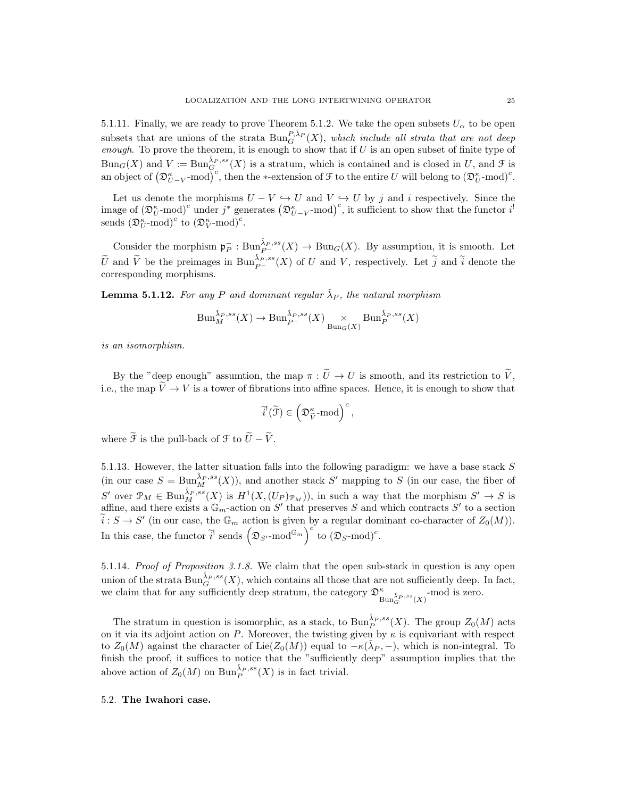5.1.11. Finally, we are ready to prove Theorem 5.1.2. We take the open subsets  $U_{\alpha}$  to be open subsets that are unions of the strata  $\text{Bun}_G^{P,\tilde{\lambda}_P}(X)$ , which include all strata that are not deep enough. To prove the theorem, it is enough to show that if  $U$  is an open subset of finite type of  $Bun_G(X)$  and  $V := \text{Bun}_{G}^{\tilde{\lambda}_P,ss}(X)$  is a stratum, which is contained and is closed in U, and F is an object of  $(\mathfrak{D}_{U-V}^{\kappa}\text{-mod})^c$ , then the ∗-extension of  $\mathcal F$  to the entire U will belong to  $(\mathfrak{D}_U^{\kappa}\text{-mod})^c$ .

Let us denote the morphisms  $U - V \hookrightarrow U$  and  $V \hookrightarrow U$  by j and i respectively. Since the image of  $(\mathfrak{D}_U^{\kappa}\text{-mod})^c$  under  $j^*$  generates  $(\mathfrak{D}_{U-V}^{\kappa}\text{-mod})^c$ , it sufficient to show that the functor  $i^!$ sends  $\left(\mathfrak{D}_U^{\kappa}\text{-mod}\right)^c$  to  $\left(\mathfrak{D}_V^{\kappa}\text{-mod}\right)^c$ .

Consider the morphism  $\mathfrak{p}_P^- : \text{Bun}_{P^-}^{X_P,ss}(X) \to \text{Bun}_G(X)$ . By assumption, it is smooth. Let  $\widetilde{U}$  and  $\widetilde{V}$  be the preimages in  $\text{Bun}_{P^-}^{\tilde{\lambda}_P,ss}(X)$  of U and V, respectively. Let  $\widetilde{j}$  and  $\widetilde{i}$  denote the corresponding morphisms.

**Lemma 5.1.12.** For any P and dominant regular  $\check{\lambda}_P$ , the natural morphism

$$
\text{Bun}_{M}^{\check{\lambda}_{P},ss}(X) \to \text{Bun}_{P^-}^{\check{\lambda}_{P},ss}(X) \underset{\text{Bun}_{G}(X)}{\times} \text{Bun}_{P}^{\check{\lambda}_{P},ss}(X)
$$

is an isomorphism.

By the "deep enough" assumtion, the map  $\pi : \tilde{U} \to U$  is smooth, and its restriction to  $\tilde{V}$ , i.e., the map  $\tilde{V} \to V$  is a tower of fibrations into affine spaces. Hence, it is enough to show that

$$
\widetilde{i}^!(\widetilde{\mathcal{F}}) \in \left(\mathfrak{D}_{\widetilde{V}}^{\kappa}\text{-}\mathrm{mod}\right)^c,
$$

where  $\widetilde{\mathcal{F}}$  is the pull-back of  $\mathcal{F}$  to  $\widetilde{U} - \widetilde{V}$ .

5.1.13. However, the latter situation falls into the following paradigm: we have a base stack S (in our case  $S = \text{Bun}_M^{\tilde{\lambda}_P,ss}(X)$ ), and another stack S' mapping to S (in our case, the fiber of S' over  $\mathcal{P}_M \in \text{Bun}_M^{\tilde{\lambda}_P,ss}(X)$  is  $H^1(X,(U_P)_{\mathcal{P}_M}))$ , in such a way that the morphism  $S' \to S$  is affine, and there exists a  $\mathbb{G}_m$ -action on S' that preserves S and which contracts S' to a section  $\widetilde{i}: S \to S'$  (in our case, the  $\mathbb{G}_m$  action is given by a regular dominant co-character of  $Z_0(M)$ ). In this case, the functor  $\tilde{i}^!$  sends  $\left(\mathfrak{D}_{S'}\text{-mod}^{\mathbb{G}_m}\right)^{c}$  to  $(\mathfrak{D}_S\text{-mod})^c$ .

5.1.14. Proof of Proposition 3.1.8. We claim that the open sub-stack in question is any open union of the strata  $\text{Bun}_G^{\check{\lambda}_P,ss}(X)$ , which contains all those that are not sufficiently deep. In fact, we claim that for any sufficiently deep stratum, the category  $\mathfrak{D}^{\kappa}_{\text{Bun}_{G}^{\hat{\lambda}_{P},ss}(X)}$ -mod is zero.

The stratum in question is isomorphic, as a stack, to  $\text{Bun}_P^{\check{\lambda}_P,ss}(X)$ . The group  $Z_0(M)$  acts on it via its adjoint action on P. Moreover, the twisting given by  $\kappa$  is equivariant with respect to  $Z_0(M)$  against the character of Lie $(Z_0(M))$  equal to  $-\kappa(\check{\lambda}_P, -)$ , which is non-integral. To finish the proof, it suffices to notice that the "sufficiently deep" assumption implies that the above action of  $Z_0(M)$  on  $\text{Bun}_P^{\check{\lambda}_P,ss}(X)$  is in fact trivial.

### 5.2. The Iwahori case.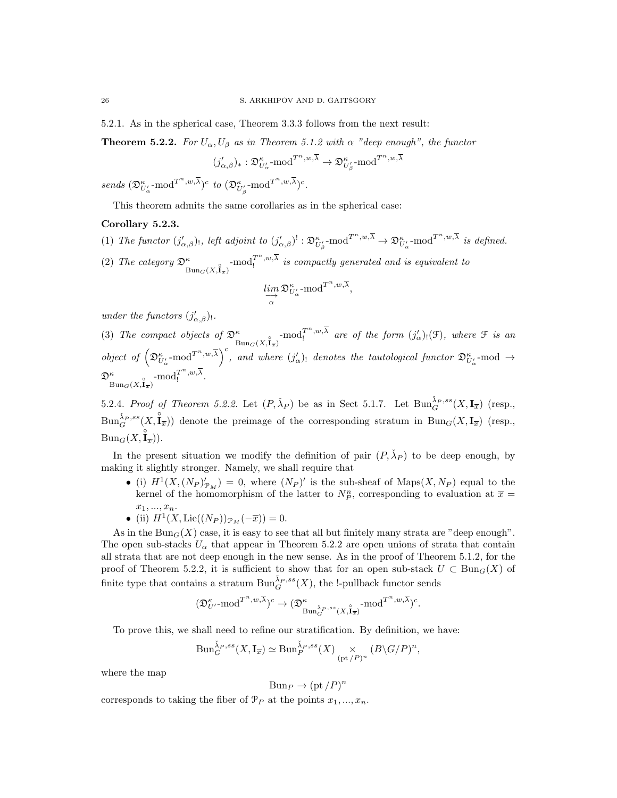5.2.1. As in the spherical case, Theorem 3.3.3 follows from the next result:

**Theorem 5.2.2.** For  $U_{\alpha}$ ,  $U_{\beta}$  as in Theorem 5.1.2 with  $\alpha$  "deep enough", the functor

$$
(j'_{\alpha,\beta})_*:{\mathfrak D}_{U'_{\alpha}}^{\kappa}{\operatorname{-mod}}^{T^n,w,\overline{\lambda}}\to {\mathfrak D}_{U'_{\beta}}^{\kappa}{\operatorname{-mod}}^{T^n,w,\overline{\lambda}}
$$

 $sends \ (\mathfrak{D}^\kappa_{U'_\alpha}\text{-mod}^{T^n,w,\overline{\lambda}})^c \ \ to \ \ (\mathfrak{D}^\kappa_{U'_\beta}\text{-mod}^{T^n,w,\overline{\lambda}})^c.$ 

This theorem admits the same corollaries as in the spherical case:

## Corollary 5.2.3.

- (1) The functor  $(j'_{\alpha,\beta})$ , left adjoint to  $(j'_{\alpha,\beta})^! : \mathfrak{D}_{U'_\beta}^{\kappa} \text{-mod}^{T^n,w,\overline{\lambda}} \to \mathfrak{D}_{U'_\alpha}^{\kappa} \text{-mod}^{T^n,w,\overline{\lambda}}$  is defined.
- (2) The category  $\mathfrak{D}^{\kappa}_{\text{Bun}_G(X, \hat{\mathbf{I}}_{\overline{x}})}$ -mod<sub>I</sub><sup>*m*</sup>,w, $\overline{\lambda}$  is compactly generated and is equivalent to

$$
\varinjlim_{\alpha} \mathfrak{D}^{\kappa}_{U'_{\alpha}} \text{-mod}^{T^n, w, \overline{\lambda}},
$$

under the functors  $(j'_{\alpha,\beta})_!$ .

(3) The compact objects of  $\mathfrak{D}^{\kappa}_{\text{Bun}_G(X,\mathbf{I}_{\overline{x}})}$ -mod<sub>I</sub><sup>n</sup>,w<sub>i</sub> are of the form  $(j'_{\alpha})_! (\mathfrak{F})$ , where  $\mathfrak{F}$  is an object of  $\left(\mathfrak{D}_{U_{\alpha}}^{\kappa} \text{-mod}^{T^{n},w,\overline{\lambda}}\right)^{c}$ , and where  $(j'_{\alpha})_!$  denotes the tautological functor  $\mathfrak{D}_{U_{\alpha}}^{\kappa} \text{-mod} \rightarrow$  $\mathfrak{D}^\kappa_{\mathrm{Bun}_G(X, \hat{\mathbf{I}}_{\overline{x}})} \text{-mod}_!^{T^n, w, \overline{\lambda}}.$ 

5.2.4. Proof of Theorem 5.2.2. Let  $(P, \check{\lambda}_P)$  be as in Sect 5.1.7. Let  $\text{Bun}_{G}^{\check{\lambda}_P,ss}(X,\mathbf{I}_{\overline{x}})$  (resp.,  $\text{Bun}_{G}^{\tilde{\lambda}_P,ss}(X,\hat{\mathbf{I}}_{\overline{x}})$  denote the preimage of the corresponding stratum in  $\text{Bun}_{G}(X,\mathbf{I}_{\overline{x}})$  (resp.,  $\mathrm{Bun}_G(X,\overset{\circ}{\mathbf{l}_\overline{x}})).$ 

In the present situation we modify the definition of pair  $(P, \check{\lambda}_P)$  to be deep enough, by making it slightly stronger. Namely, we shall require that

• (i)  $H^1(X, (N_P)'_{\mathcal{P}_M}) = 0$ , where  $(N_P)'$  is the sub-sheaf of Maps $(X, N_P)$  equal to the kernel of the homomorphism of the latter to  $N_P^n$ , corresponding to evaluation at  $\bar{x}$  =  $x_1, ..., x_n$ .

• (ii) 
$$
H^1(X, \text{Lie}((N_P))_{\mathcal{P}_M}(-\overline{x})) = 0.
$$

As in the Bun<sub>G</sub>(X) case, it is easy to see that all but finitely many strata are "deep enough". The open sub-stacks  $U_{\alpha}$  that appear in Theorem 5.2.2 are open unions of strata that contain all strata that are not deep enough in the new sense. As in the proof of Theorem 5.1.2, for the proof of Theorem 5.2.2, it is sufficient to show that for an open sub-stack  $U \subset \text{Bun}_G(X)$  of finite type that contains a stratum  $\text{Bun}_G^{\tilde{\lambda}_P,ss}(X)$ , the !-pullback functor sends

$$
(\mathfrak{D}^\kappa_{U'}\text{-mod}^{T^n,w,\overline{\lambda}})^c \rightarrow (\mathfrak{D}^\kappa_{\text{Bun}_G^{\check{\lambda}_P,ss}(X,\overset{\circ}{\mathbf{I}}_{\overline{x}})} \text{-mod}^{T^n,w,\overline{\lambda}})^c.
$$

To prove this, we shall need to refine our stratification. By definition, we have:

$$
\text{Bun}_{G}^{\check{\lambda}_{P},ss}(X,\mathbf{I}_{\overline{x}})\simeq \text{Bun}_{P}^{\check{\lambda}_{P},ss}(X)\underset{(\text{pt}/P)^{n}}{\times}(B\backslash G/P)^{n},
$$

where the map

$$
Bun_P \to (\text{pt}/P)^n
$$

corresponds to taking the fiber of  $\mathcal{P}_P$  at the points  $x_1, ..., x_n$ .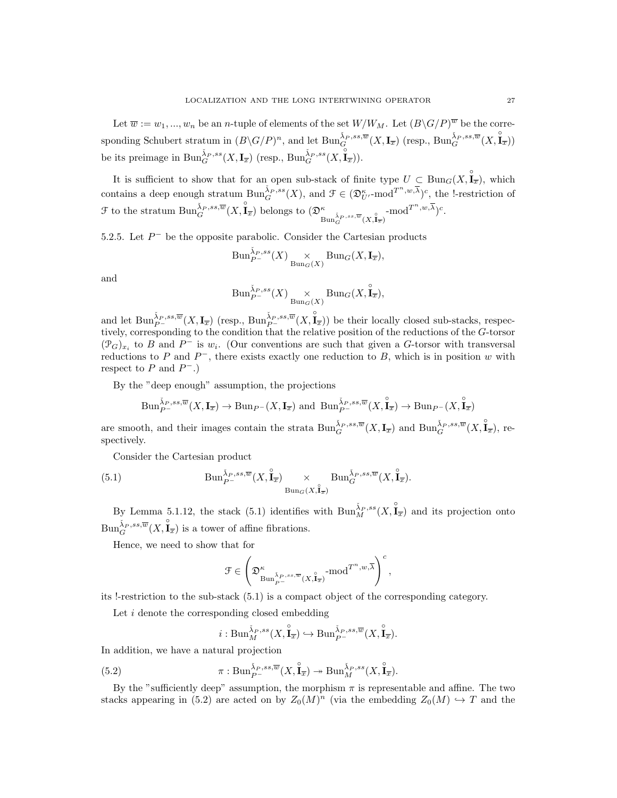Let  $\overline{w} := w_1, ..., w_n$  be an *n*-tuple of elements of the set  $W/W_M$ . Let  $(B\backslash G/P)^{\overline{w}}$  be the corresponding Schubert stratum in  $(B\backslash G/P)^n$ , and let  $\text{Bun}_G^{\tilde{\lambda}_P,ss,\overline{w}}(X,\mathbf{I}_{\overline{x}})$  (resp.,  $\text{Bun}_G^{\tilde{\lambda}_P,ss,\overline{w}}(X,\tilde{\mathbf{I}}_{\overline{x}})$ ) be its preimage in  $\text{Bun}_G^{\check{\lambda}_P,ss}(X,\mathbf{I}_{\overline{x}})$  (resp.,  $\text{Bun}_G^{\check{\lambda}_P,ss}(X,\mathbf{\overline{I}}_{\overline{x}})$ ).

It is sufficient to show that for an open sub-stack of finite type  $U \subset \text{Bun}_G(X, \overset{\circ}{\mathbf{I}}_{\overline{x}})$ , which contains a deep enough stratum  $\text{Bun}_{G}^{\tilde{\lambda}_{P},ss}(X)$ , and  $\mathcal{F} \in (\mathfrak{D}_{U'}^{\kappa}\text{-mod}^{T^{n},w,\overline{\lambda}})^{c}$ , the l-restriction of  $\mathcal F$  to the stratum  $\text{Bun}_G^{\check{\lambda}_P,ss,\overline{w}}(X,\hat{\mathbf{I}}_{\overline{x}})$  belongs to  $(\mathfrak{D}^\kappa_{\text{Bun}_G^{\check{\lambda}_P,ss,\overline{w}}(X,\hat{\mathbf{I}}_{\overline{x}})}\text{-mod}^{T^n,w,\overline{\lambda}})^c$ .

5.2.5. Let  $P^-$  be the opposite parabolic. Consider the Cartesian products

$$
\mathrm{Bun}_{P^-}^{\check{\lambda}_P,ss}(X) \underset{\mathrm{Bun}_G(X)}{\times} \mathrm{Bun}_G(X,\mathbf{I}_{\overline{x}}),
$$

and

$$
\mathrm{Bun}_{P^-}^{\check{\lambda}_{P},ss}(X) \underset{\mathrm{Bun}_G(X)}{\times} \mathrm{Bun}_G(X,\overset{\circ}{\mathrm{I}}_{\overline{x}}),
$$

and let  $\text{Bun}_{P^-}^{\check{\lambda}_P,ss,\overline{w}}(X,\mathbf{I}_{\overline{x}})$  (resp.,  $\text{Bun}_{P^-}^{\check{\lambda}_P,ss,\overline{w}}(X,\mathbf{\overset{\circ}{I}}_{\overline{x}})$ ) be their locally closed sub-stacks, respectively, corresponding to the condition that the relative position of the reductions of the G-torsor  $(\mathcal{P}_G)_{x_i}$  to B and P<sup>-</sup> is  $w_i$ . (Our conventions are such that given a G-torsor with transversal reductions to P and  $P^-$ , there exists exactly one reduction to B, which is in position w with respect to  $P$  and  $P^-$ .)

By the "deep enough" assumption, the projections

$$
\textrm{Bun}_{P^-}^{\check{\lambda}_P,ss,\overline{w}}(X,\mathbf{I}_{\overline{x}})\rightarrow\textrm{Bun}_{P^-}(X,\mathbf{I}_{\overline{x}})\textrm{ and }\textrm{Bun}_{P^-}^{\check{\lambda}_P,ss,\overline{w}}(X,\overset{\circ}{\mathbf{I}_{\overline{x}}})\rightarrow\textrm{Bun}_{P^-}(X,\overset{\circ}{\mathbf{I}_{\overline{x}}})
$$

are smooth, and their images contain the strata  $\text{Bun}_G^{\check{\lambda}_P,ss,\overline{w}}(X,\mathbf{I}_{\overline{x}})$  and  $\text{Bun}_G^{\check{\lambda}_P,ss,\overline{w}}(X,\overset{\circ}{\mathbf{I}}_{\overline{x}})$ , respectively.

Consider the Cartesian product

(5.1) 
$$
\text{Bun}_{P^-}^{\check{\lambda}_P,ss,\overline{w}}(X,\overset{\circ}{\mathbf{I}}_{\overline{x}}) \underset{\text{Bun}_G(X,\overset{\circ}{\mathbf{I}}_{\overline{x}})}{\times} \text{Bun}_{G}^{\check{\lambda}_P,ss,\overline{w}}(X,\overset{\circ}{\mathbf{I}}_{\overline{x}}).
$$

By Lemma 5.1.12, the stack (5.1) identifies with  $\text{Bun}_M^{\tilde{\lambda}_P,ss}(X,\overset{\circ}{\mathbf{I}}_{\overline{x}})$  and its projection onto  $\text{Bun}_G^{\tilde{\lambda}_P,ss,\overline{w}}(X,\overset{\circ}{\mathbf{I}}_{\overline{x}})$  is a tower of affine fibrations.

Hence, we need to show that for

$$
\mathcal{F}\in \left(\mathfrak{D}^\kappa_{\text{Bun}^{\check{\lambda}_P,ss,\overline{w}}_{P^-}(X,\overset{\circ}{\mathbf{I}}_{\overline{x}})}\text{-mod}^{T^n,w,\overline{\lambda}}\right)^c,
$$

its !-restriction to the sub-stack (5.1) is a compact object of the corresponding category.

Let *i* denote the corresponding closed embedding

$$
i: \mathrm{Bun}_M^{\check{\lambda}_P, ss}(X, \overset{\circ}{\mathbf{I}}_{\overline{x}}) \hookrightarrow \mathrm{Bun}_{P^-}^{\check{\lambda}_P, ss, \overline{w}}(X, \overset{\circ}{\mathbf{I}}_{\overline{x}}).
$$

In addition, we have a natural projection

(5.2) 
$$
\pi: \text{Bun}_{P^-}^{\check{\lambda}_P,ss,\overline{w}}(X,\overset{\circ}{\mathbf{I}}_{\overline{x}}) \twoheadrightarrow \text{Bun}_{M}^{\check{\lambda}_P,ss}(X,\overset{\circ}{\mathbf{I}}_{\overline{x}}).
$$

By the "sufficiently deep" assumption, the morphism  $\pi$  is representable and affine. The two stacks appearing in (5.2) are acted on by  $Z_0(M)^n$  (via the embedding  $Z_0(M) \hookrightarrow T$  and the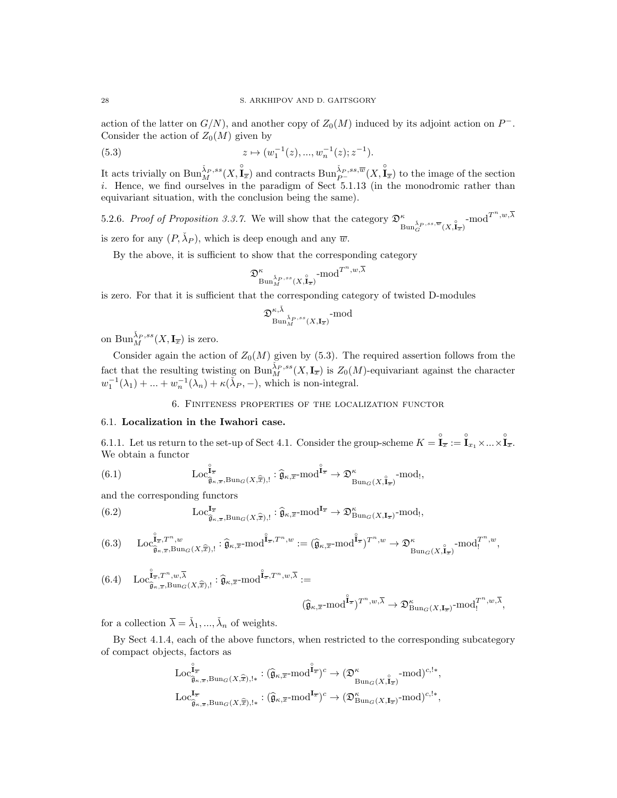action of the latter on  $G/N$ ), and another copy of  $Z_0(M)$  induced by its adjoint action on  $P^-$ . Consider the action of  $Z_0(M)$  given by

(5.3) 
$$
z \mapsto (w_1^{-1}(z), ..., w_n^{-1}(z); z^{-1}).
$$

It acts trivially on  $\text{Bun}_M^{\tilde{\lambda}_P,ss}(X,\mathring{\mathbf{I}}_{\overline{x}})$  and contracts  $\text{Bun}_{P^-}^{\tilde{\lambda}_P,ss,\overline{w}}(X,\mathring{\mathbf{I}}_{\overline{x}})$  to the image of the section i. Hence, we find ourselves in the paradigm of Sect 5.1.13 (in the monodromic rather than equivariant situation, with the conclusion being the same).

5.2.6. Proof of Proposition 3.3.7. We will show that the category  $\mathfrak{D}^{\kappa}_{\text{Bun}_G^{\tilde{\lambda}_P,ss,\overline{w}}(X,\mathbf{l}_{\overline{x}})}$ -mod $T^{n,w,\overline{\lambda}}$ is zero for any  $(P, \check{\lambda}_P)$ , which is deep enough and any  $\overline{w}$ .

By the above, it is sufficient to show that the corresponding category

$$
\mathfrak{D}^\kappa_{\mathrm{Bun}_M^{\check{\lambda}_P,ss}(X,\hat{\mathbf{l}}_{\overline{x}})} \text{-}\mathrm{mod}^{T^n,w,\overline{\lambda}}
$$

is zero. For that it is sufficient that the corresponding category of twisted D-modules

$$
\mathfrak{D}_{\text{Bun}_{M}^{\breve{\lambda}_{P},ss}(X,\mathbf{I}_{\overline{x}})}^{\kappa,\breve{\lambda}}\text{-mod}
$$

on  $\operatorname{Bun}_M^{\check{\lambda}_P,ss}(X,\mathbf{I}_{\overline{x}})$  is zero.

Consider again the action of  $Z_0(M)$  given by (5.3). The required assertion follows from the fact that the resulting twisting on  $\text{Bun}_M^{\check{\lambda}_P,ss}(X,\mathbf{I}_{\overline{x}})$  is  $Z_0(M)$ -equivariant against the character  $w_1^{-1}(\lambda_1) + \ldots + w_n^{-1}(\lambda_n) + \kappa(\lambda_P, -),$  which is non-integral.

## 6. Finiteness properties of the localization functor

## 6.1. Localization in the Iwahori case.

6.1.1. Let us return to the set-up of Sect 4.1. Consider the group-scheme  $K = \mathbf{\hat{I}}_{\overline{x}} := \mathbf{\hat{I}}_{x_1} \times ... \times \mathbf{\hat{I}}_{\overline{x}}.$ We obtain a functor

(6.1) 
$$
\operatorname{Loc}_{\widehat{\mathfrak{g}}_{\kappa,\overline{x}},\operatorname{Bun}_{G}(X,\widehat{\overline{x}}),!}^{\widehat{\mathfrak{l}}_{\overline{x}}} : \widehat{\mathfrak{g}}_{\kappa,\overline{x}} \text{-mod}^{\widehat{\mathfrak{l}}_{\overline{x}}} \to \mathfrak{D}^{\kappa}_{\operatorname{Bun}_{G}(X,\widehat{\mathfrak{l}}_{\overline{x}})} \text{-mod},
$$

and the corresponding functors

(6.2) 
$$
\operatorname{Loc}_{\widehat{\mathfrak{g}}_{\kappa,\overline{x}},\operatorname{Bun}_{G}(X,\widehat{\overline{x}}),!}^{\mathbf{I}_{\overline{x}}} : \widehat{\mathfrak{g}}_{\kappa,\overline{x}} \text{-mod}^{\mathbf{I}_{\overline{x}}} \to \mathfrak{D}_{\operatorname{Bun}_{G}(X,\mathbf{I}_{\overline{x}})}^{\kappa} \text{-mod},
$$

$$
(6.3)\qquad \operatorname{Loc}_{\widehat{\mathfrak{g}}_{\kappa,\overline{x}},\operatorname{Bun}_{G}(X,\widehat{\overline{x}}),!}^{\widehat{\mathfrak{u}}_{\overline{x}},T^{n},w}:\widehat{\mathfrak{g}}_{\kappa,\overline{x}}\text{-}\mathrm{mod}^{\widehat{\mathbf{I}}_{\overline{x}},T^{n},w}:= (\widehat{\mathfrak{g}}_{\kappa,\overline{x}}\text{-}\mathrm{mod}^{\widehat{\mathbf{I}}_{\overline{x}}})^{T^{n},w}\to \mathfrak{D}_{\operatorname{Bun}_{G}(X,\widehat{\mathbf{I}}_{\overline{x}})}^{\kappa}\text{-}\mathrm{mod}^{T^{n},w}_{!},
$$

$$
(6.4) \quad \mathrm{Loc}_{\widehat{\mathfrak{g}}_{\kappa,\overline{x}},\mathrm{Bun}_G(X,\widehat{\overline{x}}),!}^{\widehat{\mathfrak{l}}_{\overline{x}},T^n,w,\overline{\lambda}} : \widehat{\mathfrak{g}}_{\kappa,\overline{x}}\text{-}\mathrm{mod}^{\widehat{\mathfrak{l}}_{\overline{x}},T^n,w,\overline{\lambda}} :=
$$

$$
(\widehat{\mathfrak{g}}_{\kappa,\overline{x}} \text{-}\mathrm{mod}^{\widehat{\mathbf{I}}_{\overline{x}}})^{T^n,w,\overline{\lambda}} \to \mathfrak{D}^\kappa_{\mathrm{Bun}_G(X,\mathbf{I}_{\overline{x}})} \text{-}\mathrm{mod}^{T^n,w,\overline{\lambda}}_!,
$$

for a collection  $\overline{\lambda} = \check{\lambda}_1, ..., \check{\lambda}_n$  of weights.

By Sect 4.1.4, each of the above functors, when restricted to the corresponding subcategory of compact objects, factors as

$$
\begin{aligned} &\text{Loc}_{\widehat{\mathfrak{g}}_{\kappa,\overline{x}}, \text{Bun}_G(X, \widehat{\overline{x}}), !*}: (\widehat{\mathfrak{g}}_{\kappa,\overline{x}}\text{-mod}^{\widehat{\mathbf{I}}_{\overline{x}}})^c \rightarrow (\mathfrak{D}^\kappa_{\text{Bun}_G(X, \widehat{\mathbf{I}}_{\overline{x}})} \text{-mod}^{c, !*}, \\ &\text{Loc}_{\widehat{\mathfrak{g}}_{\kappa,\overline{x}}, \text{Bun}_G(X, \widehat{\overline{x}}), !*}: (\widehat{\mathfrak{g}}_{\kappa,\overline{x}}\text{-mod}^{\mathbf{I}_{\overline{x}}})^c \rightarrow (\mathfrak{D}^\kappa_{\text{Bun}_G(X, \mathbf{I}_{\overline{x}})} \text{-mod})^{c, !*}, \end{aligned}
$$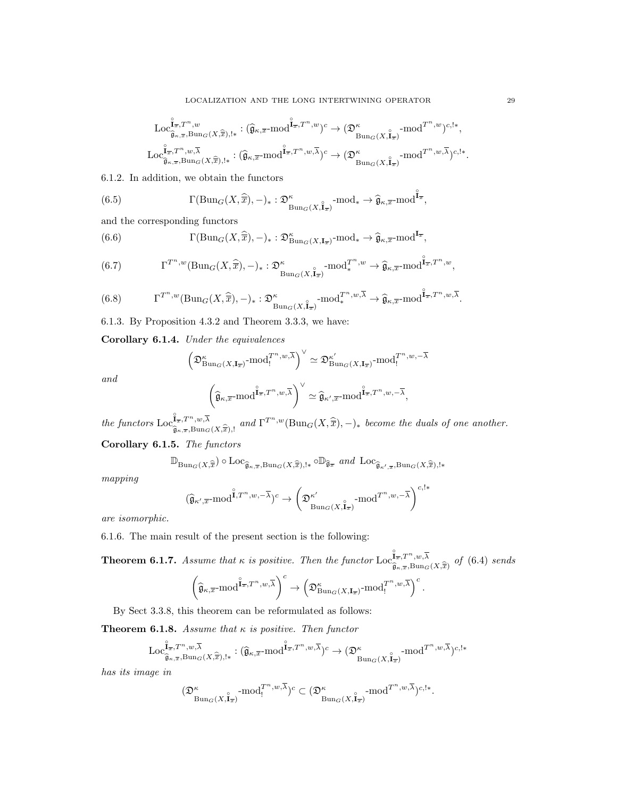$$
\begin{array}{c}\mathrm{Loc}_{\widehat{\mathfrak{g}}_{\kappa,\overline{x}},\mathrm{Bun}_{G}(X,\widehat{\overline{x}}),!*}: (\widehat{\mathfrak{g}}_{\kappa,\overline{x}}\text{-}\mathrm{mod}^{\widehat{\mathbf{I}}_{\overline{x}},T^{n},w})^{c}\rightarrow (\mathfrak{D}_{\mathrm{Bun}_{G}(X,\widehat{\mathbf{I}}_{\overline{x}})}^{\kappa}\text{-}\mathrm{mod}^{T^{n},w})^{c,!*},\\ \mathrm{Loc}_{\widehat{\mathfrak{g}}_{\kappa,\overline{x}},\mathrm{Bun}_{G}(X,\widehat{\overline{x}}),!*}: (\widehat{\mathfrak{g}}_{\kappa,\overline{x}}\text{-}\mathrm{mod}^{\widehat{\mathbf{I}}_{\overline{x}},T^{n},w,\overline{\lambda}})^{c}\rightarrow (\mathfrak{D}_{\mathrm{Bun}_{G}(X,\widehat{\mathbf{I}}_{\overline{x}})}^{\kappa}\text{-}\mathrm{mod}^{T^{n},w,\overline{\lambda}})^{c,!*}.\end{array}
$$

6.1.2. In addition, we obtain the functors

(6.5) 
$$
\Gamma(\mathrm{Bun}_G(X,\widehat{\overline{x}}),-)_*: \mathfrak{D}^{\kappa}_{\mathrm{Bun}_G(X,\mathbf{I}_{\overline{x}})} \text{-mod}_* \to \widehat{\mathfrak{g}}_{\kappa,\overline{x}} \text{-mod}^{\mathbf{I}_{\overline{x}}},
$$

and the corresponding functors

(6.6) 
$$
\Gamma(\mathrm{Bun}_G(X,\widehat{\overline{x}}),-)_*: \mathfrak{D}^\kappa_{\mathrm{Bun}_G(X,\mathbf{I}_{\overline{x}})} \text{-mod}_* \to \widehat{\mathfrak{g}}_{\kappa,\overline{x}} \text{-mod}^{\mathbf{I}_{\overline{x}}},
$$

(6.7) 
$$
\Gamma^{T^n,w}(\text{Bun}_G(X,\widehat{\overline{x}}),-)_*: \mathfrak{D}^{\kappa}_{\text{Bun}_G(X,\widehat{\mathbf{I}}_{\overline{x}})}\text{-mod}_*^{T^n,w}\to \widehat{\mathfrak{g}}_{\kappa,\overline{x}}\text{-mod}_*^{\widehat{\mathbf{I}}_{\overline{x}},T^n,w},
$$

(6.8) 
$$
\Gamma^{T^n,w}(\text{Bun}_G(X,\widehat{\overline{x}}),-)_*: \mathfrak{D}^{\kappa}_{\text{Bun}_G(X,\widehat{\mathbf{I}}_{\overline{x}})}\text{-mod}^{T^n,w,\overline{\lambda}}_{*}\to \widehat{\mathfrak{g}}_{\kappa,\overline{x}}\text{-mod}^{\widehat{\mathbf{I}}_{\overline{x}},T^n,w,\overline{\lambda}}.
$$

6.1.3. By Proposition 4.3.2 and Theorem 3.3.3, we have:

Corollary 6.1.4. Under the equivalences

$$
\left(\mathfrak{D}^\kappa_{\mathrm{Bun}_G(X,\mathbf{I}_{\overline{x}})}\text{-}\mathrm{mod}^{T^n,w,\overline{\lambda}}_! \right)^\vee\simeq \mathfrak{D}^{\kappa'}_{\mathrm{Bun}_G(X,\mathbf{I}_{\overline{x}})}\text{-}\mathrm{mod}^{T^n,w,-\overline{\lambda}}_!
$$

and

$$
\left(\widehat{\mathfrak{g}}_{\kappa,\overline{x}}\text{-mod}^{\widehat{\mathbf{I}}_{\overline{x}},T^n,w,\overline{\lambda}}\right)^{\vee}\simeq \widehat{\mathfrak{g}}_{\kappa',\overline{x}}\text{-mod}^{\widehat{\mathbf{I}}_{\overline{x}},T^n,w,-\overline{\lambda}},
$$

the functors  $\text{Loc}_{\hat{z}}^{\hat{I}_{\overline{x}},T^n,w,\overline{\lambda}}$  $\mathbf{I}_{\overline{x},T^n,w,\overline{\lambda}}$ , and  $\Gamma^{T^n,w}(\text{Bun}_G(X,\widehat{\overline{x}}),-)_*$  become the duals of one another.

Corollary 6.1.5. The functors

$$
\mathbb{D}_{\mathrm{Bun}_G(X,\widehat{\overline{x}})} \circ \mathrm{Loc}_{\widehat{\mathfrak{g}}_{\kappa,\overline{x}},\mathrm{Bun}_G(X,\widehat{\overline{x}}),!*} \circ \mathbb{D}_{\widehat{\mathfrak{g}}_{\overline{x}}} \ \ and \ \mathrm{Loc}_{\widehat{\mathfrak{g}}_{\kappa',\overline{x}},\mathrm{Bun}_G(X,\widehat{\overline{x}}),!*}
$$

mapping

$$
(\widehat{\mathfrak{g}}_{\kappa',\overline{x}} \text{-mod}^{\overset{\circ}{1},T^n,w,-\overline{\lambda}})^c \to \left(\mathfrak{D}^{\kappa'}_{\text{Bun}_G(X,\overset{\circ}{\mathbf{I}}_{\overline{x}})} \text{-mod}^{T^n,w,-\overline{\lambda}}\right)^{c,! *}
$$

are isomorphic.

6.1.6. The main result of the present section is the following:

**Theorem 6.1.7.** Assume that  $\kappa$  is positive. Then the functor  $\text{Loc}_{\infty}^{\mathbb{F}_{\overline{x}},T^n,w,\overline{\lambda}}$  $\widehat{\mathfrak{g}}_{\kappa,\overline{x}}, Bun_{G}(X,\widehat{\overline{x}})$  of  $(6.4)$  sends

$$
\left(\widehat{\mathfrak{g}}_{\kappa,\overline{x}}\text{-}\mathrm{mod}^{\widehat{\mathbf{I}}_{\overline{x}},T^n,w,\overline{\lambda}}\right)^c\to \left(\mathfrak{D}^\kappa_{\mathrm{Bun}_G(X,\mathbf{I}_{\overline{x}})}\text{-}\mathrm{mod}^{T^n,w,\overline{\lambda}}_{!}\right)^c.
$$

By Sect 3.3.8, this theorem can be reformulated as follows:

**Theorem 6.1.8.** Assume that  $\kappa$  is positive. Then functor

$$
\mathrm{Loc}_{\widehat{\mathfrak{g}}_{\kappa,\overline{x}},\mathrm{Bun}_{G}(X,\widehat{\overline{x}}),!*}^{\widehat{\mathfrak{u}}^{\overline{\lambda}}}: (\widehat{\mathfrak{g}}_{\kappa,\overline{x}}\text{-}\mathrm{mod}^{\widehat{\mathbf{I}}_{\overline{x}},T^n,w,\overline{\lambda}})^c \rightarrow (\mathfrak{D}^{\kappa}_{\mathrm{Bun}_{G}(X,\widehat{\mathbf{I}}_{\overline{x}})}\text{-}\mathrm{mod}^{T^n,w,\overline{\lambda}})^{c,!*}
$$

has its image in

$$
(\mathfrak{D}^{\kappa}_{\text{Bun}_G(X,\mathbf{I}_{\overline{x}})} \text{-mod}^{T^n,w,\overline{\lambda}}) \subset \big(\mathfrak{D}^{\kappa}_{\text{Bun}_G(X,\mathbf{I}_{\overline{x}})} \text{-mod}^{T^n,w,\overline{\lambda}})^{c,!*}.
$$

◦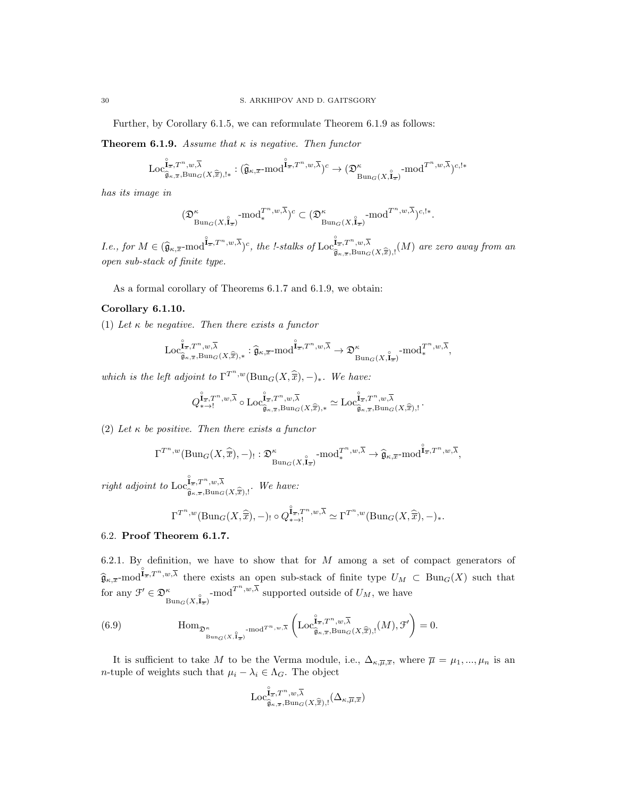Further, by Corollary 6.1.5, we can reformulate Theorem 6.1.9 as follows:

**Theorem 6.1.9.** Assume that  $\kappa$  is negative. Then functor

$$
\text{Loc}_{\widehat{\mathfrak{g}}_{\kappa,\overline{x}},\text{Bun}_G(X,\widehat{\overline{x}}),!*}^{\widehat{\mathfrak{l}}_{\overline{x}},T^n,w,\overline{\lambda}}: (\widehat{\mathfrak{g}}_{\kappa,\overline{x}}\text{-}\mathrm{mod}^{\widehat{\mathbf{l}}_{\overline{x}},T^n,w,\overline{\lambda}})^c \rightarrow (\mathfrak{D}^{\kappa}_{\text{Bun}_G(X,\widehat{\mathbf{l}}_{\overline{x}})}\text{-}\mathrm{mod}^{T^n,w,\overline{\lambda}})^{c,!*}
$$

has its image in

$$
(\mathfrak{D}^\kappa_{\operatorname{Bun}_G(X,\mathring{\mathbf{I}}_{\overline{x}})}\operatorname{-mod}_*^{T^n,w,\overline{\lambda}})^c \subset (\mathfrak{D}^\kappa_{\operatorname{Bun}_G(X,\mathring{\mathbf{I}}_{\overline{x}})}\operatorname{-mod}^{T^n,w,\overline{\lambda}})^{c,!*}.
$$

 $I.e., for M \in (\widehat{\mathfrak{g}}_{\kappa,\overline{x}} \text{-mod}^{\widehat{\mathbf{I}}_{\overline{x}},T^n,w,\overline{\lambda}})^c, the l-stalks of \mathrm{Loc}^{\widehat{\mathbf{I}}_{\overline{x}},T^n,w,\overline{\lambda}}_{\widehat{\mathfrak{g}}_{\kappa,\overline{x}},\mathrm{Bun}_G}$  $\widehat{\mathfrak{g}}_{\kappa,\overline{x}},B$ un $_G(X,\widehat{\overline{x}}),!(M)$  are zero away from an open sub-stack of finite type.

As a formal corollary of Theorems 6.1.7 and 6.1.9, we obtain:

### Corollary 6.1.10.

(1) Let  $\kappa$  be negative. Then there exists a functor

$$
\mathrm{Loc}_{\widehat{\mathfrak{g}}_{\kappa,\overline{x}},\mathrm{Bun}_{G}(X,\widehat{\overline{x}}),\ast}^{\widehat{\mathfrak{e}}_{\overline{x}},\overline{\lambda}}: \widehat{\mathfrak{g}}_{\kappa,\overline{x}} \text{-}\mathrm{mod}^{\widehat{\mathbf{I}}_{\overline{x}},T^n,w,\overline{\lambda}} \to \mathfrak{D}^\kappa_{\mathrm{Bun}_{G}(X,\widehat{\mathbf{I}}_{\overline{x}})} \text{-}\mathrm{mod}^{T^n,w,\overline{\lambda}}_{\ast},
$$

which is the left adjoint to  $\Gamma^{T^n,w}(\text{Bun}_G(X,\widehat{\overline{x}}), -)_*.$  We have:

$$
Q_{\ast \to !}^{\overset{\circ}{1}_\pi, T^n, w, \overline{\lambda}} \circ \mathrm{Loc}_{\overset{\circ}{\widehat{\mathfrak{g}}}_{\kappa, \overline{x}}, \mathrm{Bun}_G(X, \widehat{\overline{x}}), \ast}^{\overset{\circ}{1}_\pi, T^n, w, \overline{\lambda}} \simeq \mathrm{Loc}_{\overset{\circ}{\widehat{\mathfrak{g}}}_{\kappa, \overline{x}}, \mathrm{Bun}_G(X, \widehat{\overline{x}}), !}^{\overset{\circ}{1}_\pi, T^n, w, \overline{\lambda}}.
$$

(2) Let  $\kappa$  be positive. Then there exists a functor

$$
\Gamma^{T^n,w}(\mathrm{Bun}_G(X,\widehat{\overline{x}}),-)_!:\mathfrak{D}^\kappa_{\mathrm{Bun}_G(X,\widehat{\mathbf{I}}_{\overline{x}})}\text{-}\mathrm{mod}^{T^n,w,\overline{\lambda}}_{*}\rightarrow \widehat{\mathfrak{g}}_{\kappa,\overline{x}}\text{-}\mathrm{mod}^{\widehat{\mathbf{I}}_{\overline{x}},T^n,w,\overline{\lambda}},
$$

right adjoint to  $\text{Loc}_{\hat{c}}^{\hat{u}_{\overline{x}},T^n,w,\overline{\lambda}}$  $\widehat{\mathfrak{g}}_{\kappa,\overline{x}}, Bun_G(X,\widehat{\overline{x}}),!$  We have:

$$
\Gamma^{T^n,w}(\mathrm{Bun}_G(X,\widehat{\overline{x}}),-)_! \circ Q_{*\to !}^{\widehat{\mathbf{I}}_{\overline{x}},T^n,w,\overline{\lambda}} \simeq \Gamma^{T^n,w}(\mathrm{Bun}_G(X,\widehat{\overline{x}}),-)_*.
$$

#### 6.2. Proof Theorem 6.1.7.

6.2.1. By definition, we have to show that for  $M$  among a set of compact generators of  $\hat{\mathfrak{g}}_{\kappa,\overline{x}}\text{-mod}^{\mathfrak{a}_{\overline{x}},T^n,w,\overline{\lambda}}$  there exists an open sub-stack of finite type  $U_M \subset \text{Bun}_G(X)$  such that for any  $\mathcal{F}' \in \mathfrak{D}_{\text{Bun}_G(X, \mathbf{I}_{\overline{x}})}^{\kappa}$ -mod $T^{n, w, \overline{\lambda}}$  supported outside of  $U_M$ , we have

(6.9) 
$$
\text{Hom}_{\mathfrak{D}_{\text{Bun}_G(X, \widehat{I}_{\overline{x}})}^{\kappa} \text{-mod}^{T^n, w, \overline{\lambda}}}\left(\text{Loc}_{\widehat{\mathfrak{g}}_{\kappa, \overline{x}}, \text{Bun}_G(X, \widehat{\overline{x}}), !}(M), \mathcal{F}'\right) = 0.
$$

It is sufficient to take M to be the Verma module, i.e.,  $\Delta_{\kappa,\overline{\mu},\overline{x}}$ , where  $\overline{\mu} = \mu_1, ..., \mu_n$  is an *n*-tuple of weights such that  $\mu_i - \lambda_i \in \Lambda_G$ . The object

$$
\mathrm{Loc}_{\widehat{\mathfrak{g}}_\kappa,\overline{x},\mathrm{Bun}_G(X,\widehat{\overline{x}}),!}^{\widehat{\mathfrak{u}}_\pi,T^n,w,\overline{\lambda}}(\Delta_{\kappa,\overline{\mu},\overline{x}})
$$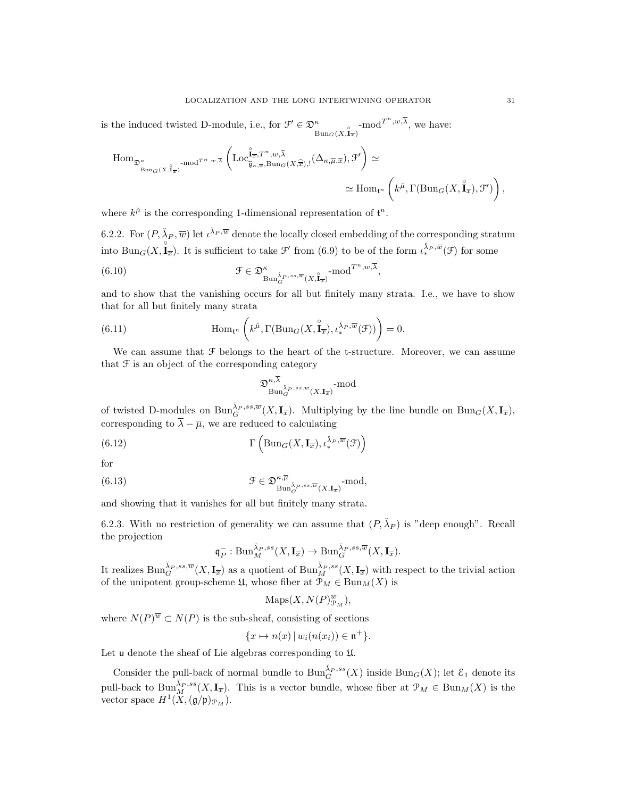is the induced twisted D-module, i.e., for  $\mathcal{F}' \in \mathfrak{D}_{\text{Bun}_G(X, \mathbf{I}_{\overline{x}})}^{\kappa}$ -mod<sup> $T^n, w, \overline{\lambda}$ </sup>, we have:

$$
\begin{split} \mathrm{Hom}_{\mathfrak{D}_{\mathrm{Bun}_G(X, \hat{\mathbf{I}}_{\overline{x}})}^{\kappa}\operatorname{-mod}^{T^n, w, \overline{\lambda}}}\left(\mathrm{Loc}_{\hat{\mathbf{g}}_{\kappa,\overline{x}}, \mathrm{Bun}_G(X, \widehat{\overline{x}}), !}^{\hat{\mathbf{f}}_{\overline{x}}, T^n, w, \overline{\lambda}}(\Delta_{\kappa, \overline{\mu}, \overline{x}}), \mathcal{F}'\right) &\simeq\\ &\simeq \mathrm{Hom}_{\mathfrak{t}^n}\left(k^{\check{\mu}}, \Gamma(\mathrm{Bun}_G(X, \hat{\mathbf{I}}_{\overline{x}}), \mathcal{F}')\right), \end{split}
$$

where  $k^{\mu}$  is the corresponding 1-dimensional representation of  $\mathfrak{t}^n$ .

6.2.2. For  $(P, \check{\lambda}_P, \overline{w})$  let  $\iota^{\check{\lambda}_P, \overline{w}}$  denote the locally closed embedding of the corresponding stratum into  $\text{Bun}_G(X, \hat{\mathbf{I}}_{\overline{x}})$ . It is sufficient to take  $\mathcal{F}'$  from (6.9) to be of the form  $\iota^{\check{\lambda}_P, \overline{w}}_*(\mathcal{F})$  for some

(6.10) 
$$
\mathcal{F} \in \mathfrak{D}^{\kappa}_{\text{Bun}_{G}^{\check{\lambda}_{P},ss,\overline{w}}(X,\mathbf{I}_{\overline{x}})} \text{-mod}^{T^{n},w,\overline{\lambda}},
$$

and to show that the vanishing occurs for all but finitely many strata. I.e., we have to show that for all but finitely many strata

(6.11) 
$$
\text{Hom}_{\mathfrak{t}^n}\left(k^{\check{\mu}}, \Gamma(\text{Bun}_G(X, \overset{\circ}{\mathbf{I}}_{\overline{x}}), \iota_*^{\check{\lambda}_P, \overline{w}}(\mathcal{F}))\right) = 0.
$$

We can assume that  $\mathcal F$  belongs to the heart of the t-structure. Moreover, we can assume that  $\mathfrak F$  is an object of the corresponding category

$$
\mathfrak{D}_{\text{Bun}_G^{\check{\lambda}_P,ss,\overline{w}}(X,\mathbf{I}_{\overline{x}})}^{\kappa,\overline{\lambda}} \text{-mod}
$$

of twisted D-modules on  $\text{Bun}_G^{\tilde{\lambda}_P,ss,\overline{w}}(X,\mathbf{I}_{\overline{x}})$ . Multiplying by the line bundle on  $\text{Bun}_G(X,\mathbf{I}_{\overline{x}})$ , corresponding to  $\overline{\lambda} - \overline{\mu}$ , we are reduced to calculating

(6.12) 
$$
\Gamma\left(\text{Bun}_G(X,\mathbf{I}_{\overline{x}}),\iota^{\check{\lambda}_P,\overline{w}}_*(\mathcal{F})\right)
$$

for

(6.13) 
$$
\mathcal{F} \in \mathfrak{D}_{\text{Bun}_{G}^{\lambda_{P},ss,\overline{w}}(X,\mathbf{I}_{\overline{x}})}^{\kappa,\overline{\mu}}(\mathbf{X},\mathbf{I}_{\overline{x}})^{\text{--mod}},
$$

and showing that it vanishes for all but finitely many strata.

6.2.3. With no restriction of generality we can assume that  $(P, \lambda_P)$  is "deep enough". Recall the projection

$$
\mathfrak{q}_P^-: \mathrm{Bun}_M^{\check{\lambda}_P, ss}(X,\mathbf{I}_{\overline{x}}) \to \mathrm{Bun}_G^{\check{\lambda}_P, ss, \overline{w}}(X,\mathbf{I}_{\overline{x}}).
$$

It realizes  $\text{Bun}_G^{\check{\lambda}_P,ss,\overline{w}}(X,\mathbf{I}_{\overline{x}})$  as a quotient of  $\text{Bun}_M^{\check{\lambda}_P,ss}(X,\mathbf{I}_{\overline{x}})$  with respect to the trivial action of the unipotent group-scheme  $\mathfrak{U}$ , whose fiber at  $\mathcal{P}_M \in \text{Bun}_M(X)$  is

$$
\operatorname{Maps}(X, N(P)_{\mathcal{P}_M}^{\overline{w}}),
$$

where  $N(P)^{\overline{w}} \subset N(P)$  is the sub-sheaf, consisting of sections

$$
\{x \mapsto n(x) \, | \, w_i(n(x_i)) \in \mathfrak{n}^+\}.
$$

Let u denote the sheaf of Lie algebras corresponding to U.

Consider the pull-back of normal bundle to  $\text{Bun}_G^{\check{\lambda}_P,ss}(X)$  inside  $\text{Bun}_G(X)$ ; let  $\mathcal{E}_1$  denote its pull-back to  $\text{Bun}_M^{\tilde{\lambda}_P,ss}(X,\mathbf{I}_{\overline{x}})$ . This is a vector bundle, whose fiber at  $\mathcal{P}_M \in \text{Bun}_M(X)$  is the vector space  $H^1(X,(\mathfrak{g}/\mathfrak{p})_{\mathcal{P}_M}).$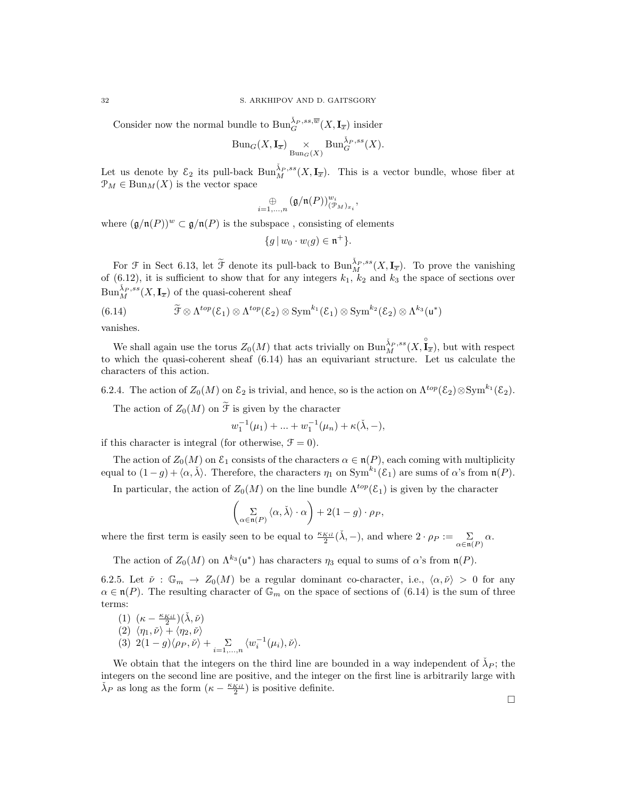Consider now the normal bundle to  $\mathrm{Bun}_G^{\check{\lambda}_P,ss,\overline{w}}(X,\mathbf{I}_{\overline{x}})$  insider

$$
\mathrm{Bun}_G(X,\mathbf{I}_{\overline{x}}) \underset{\mathrm{Bun}_G(X)}{\times} \mathrm{Bun}_G^{\tilde{\lambda}_P,ss}(X).
$$

Let us denote by  $\mathcal{E}_2$  its pull-back  $\text{Bun}_M^{\tilde{\lambda}_P,ss}(X,\mathbf{I}_{\overline{x}})$ . This is a vector bundle, whose fiber at  $\mathcal{P}_M \in \text{Bun}_M(X)$  is the vector space

$$
\underset{i=1,...,n}{\oplus}\big(\mathfrak{g}/\mathfrak{n}(P))^{w_i}_{(\mathcal{P}_M)_{x_i}},
$$

where  $(\mathfrak{g}/\mathfrak{n}(P))^w \subset \mathfrak{g}/\mathfrak{n}(P)$  is the subspace, consisting of elements

$$
\{g \mid w_0 \cdot w_(g) \in \mathfrak{n}^+\}.
$$

For  $\mathcal F$  in Sect 6.13, let  $\widetilde{\mathcal F}$  denote its pull-back to  $\text{Bun}_M^{\lambda_P,ss}(X,\mathbf{I}_{\overline{x}})$ . To prove the vanishing of (6.12), it is sufficient to show that for any integers  $k_1$ ,  $k_2$  and  $k_3$  the space of sections over  $\text{Bun}_M^{\check{\lambda}_P,ss}(X,\mathbf{I}_{\overline{x}})$  of the quasi-coherent sheaf

(6.14) 
$$
\widetilde{\mathcal{F}} \otimes \Lambda^{top}(\mathcal{E}_1) \otimes \Lambda^{top}(\mathcal{E}_2) \otimes \text{Sym}^{k_1}(\mathcal{E}_1) \otimes \text{Sym}^{k_2}(\mathcal{E}_2) \otimes \Lambda^{k_3}(\mathfrak{u}^*)
$$

vanishes.

We shall again use the torus  $Z_0(M)$  that acts trivially on  $\text{Bun}_M^{\check{\lambda}_P,ss}(X,\overset{\circ}{\mathbf{I}}_x)$ , but with respect to which the quasi-coherent sheaf (6.14) has an equivariant structure. Let us calculate the characters of this action.

6.2.4. The action of  $Z_0(M)$  on  $\mathcal{E}_2$  is trivial, and hence, so is the action on  $\Lambda^{top}(\mathcal{E}_2) \otimes \text{Sym}^{k_1}(\mathcal{E}_2)$ .

The action of  $Z_0(M)$  on  $\widetilde{\mathcal{F}}$  is given by the character

$$
w_1^{-1}(\mu_1) + \dots + w_1^{-1}(\mu_n) + \kappa(\lambda, -),
$$

if this character is integral (for otherwise,  $\mathcal{F} = 0$ ).

The action of  $Z_0(M)$  on  $\mathcal{E}_1$  consists of the characters  $\alpha \in \mathfrak{n}(P)$ , each coming with multiplicity equal to  $(1-g) + \langle \alpha, \check{\lambda} \rangle$ . Therefore, the characters  $\eta_1$  on  $\text{Sym}^{k_1}(\mathcal{E}_1)$  are sums of  $\alpha$ 's from  $\mathfrak{n}(P)$ .

In particular, the action of  $Z_0(M)$  on the line bundle  $\Lambda^{top}(\mathcal{E}_1)$  is given by the character

$$
\left(\sum_{\alpha \in \mathfrak{n}(P)} \langle \alpha, \check{\lambda} \rangle \cdot \alpha\right) + 2(1 - g) \cdot \rho_P,
$$

where the first term is easily seen to be equal to  $\frac{\kappa_{Kil}}{2}(\check{\lambda}, -)$ , and where  $2 \cdot \rho_P := \sum_{\alpha \in \mathfrak{n}(P)} \alpha$ .

The action of  $Z_0(M)$  on  $\Lambda^{k_3}(\mathfrak{u}^*)$  has characters  $\eta_3$  equal to sums of  $\alpha$ 's from  $\mathfrak{n}(P)$ .

6.2.5. Let  $\check{\nu}: \mathbb{G}_m \to Z_0(M)$  be a regular dominant co-character, i.e.,  $\langle \alpha, \check{\nu} \rangle > 0$  for any  $\alpha \in \mathfrak{n}(P)$ . The resulting character of  $\mathbb{G}_m$  on the space of sections of (6.14) is the sum of three terms:

(1) 
$$
(\kappa - \frac{\kappa_{Kil}}{2})(\check{\lambda}, \check{\nu})
$$
  
\n(2)  $\langle \eta_1, \check{\nu} \rangle + \langle \eta_2, \check{\nu} \rangle$   
\n(3)  $2(1-g)\langle \rho_P, \check{\nu} \rangle + \sum_{i=1,\dots,n} \langle w_i^{-1}(\mu_i), \check{\nu} \rangle$ .

We obtain that the integers on the third line are bounded in a way independent of  $\check{\lambda}_P$ ; the integers on the second line are positive, and the integer on the first line is arbitrarily large with  $\check{\lambda}_P$  as long as the form  $(\kappa - \frac{\kappa_{Kil}}{2})$  is positive definite.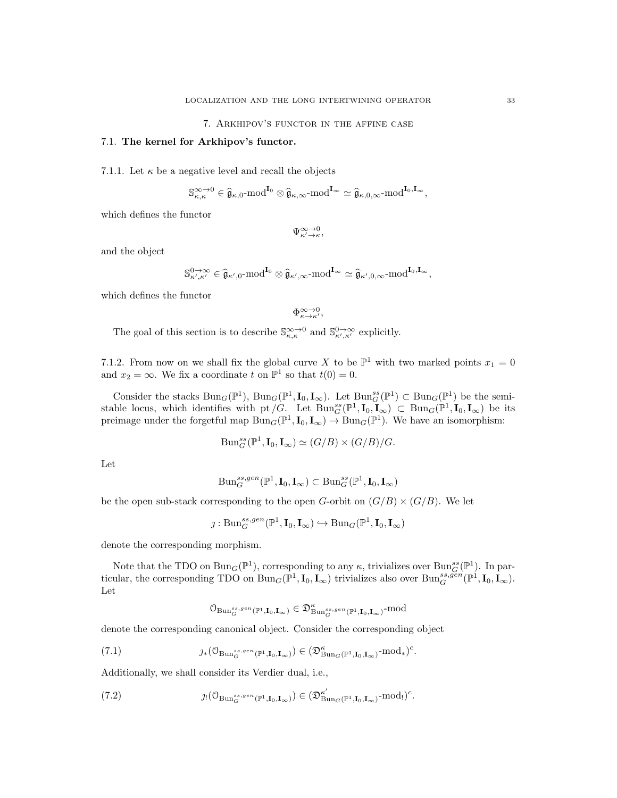## 7.1. The kernel for Arkhipov's functor.

7.1.1. Let  $\kappa$  be a negative level and recall the objects

$$
\mathbb{S}_{\kappa,\kappa}^{\infty\to0}\in\widehat{\mathfrak{g}}_{\kappa,0}\text{-}\mathrm{mod}^{\mathbf{I}_{0}}\otimes\widehat{\mathfrak{g}}_{\kappa,\infty}\text{-}\mathrm{mod}^{\mathbf{I}_{\infty}}\simeq\widehat{\mathfrak{g}}_{\kappa,0,\infty}\text{-}\mathrm{mod}^{\mathbf{I}_{0},\mathbf{I}_{\infty}},
$$

which defines the functor

 $\Psi_{\kappa'\to\kappa}^{\infty\to0}$ 

and the object

$$
\mathbb{S}^{0\to\infty}_{\kappa',\kappa'}\in\widehat{\mathfrak{g}}_{\kappa',0}\text{-mod}^{\mathbf{I}_{0}}\otimes\widehat{\mathfrak{g}}_{\kappa',\infty}\text{-mod}^{\mathbf{I}_{\infty}}\simeq\widehat{\mathfrak{g}}_{\kappa',0,\infty}\text{-mod}^{\mathbf{I}_{0},\mathbf{I}_{\infty}},
$$

which defines the functor

$$
\Phi_{\kappa \to \kappa'}^{\infty \to 0},
$$

The goal of this section is to describe  $\mathbb{S}_{\kappa,\kappa}^{\infty,\to0}$  and  $\mathbb{S}_{\kappa',\kappa'}^{0\to\infty}$  explicitly.

7.1.2. From now on we shall fix the global curve X to be  $\mathbb{P}^1$  with two marked points  $x_1 = 0$ and  $x_2 = \infty$ . We fix a coordinate t on  $\mathbb{P}^1$  so that  $t(0) = 0$ .

Consider the stacks  $Bun_G(\mathbb{P}^1)$ ,  $Bun_G(\mathbb{P}^1, I_0, I_\infty)$ . Let  $Bun_G^s(\mathbb{P}^1) \subset Bun_G(\mathbb{P}^1)$  be the semistable locus, which identifies with pt  $/G$ . Let  $Bun_{G}^{ss}(\mathbb{P}^1, I_0, I_\infty) \subset Bun_{G}(\mathbb{P}^1, I_0, I_\infty)$  be its preimage under the forgetful map  $\text{Bun}_G(\mathbb{P}^1, I_0, I_\infty) \to \text{Bun}_G(\mathbb{P}^1)$ . We have an isomorphism:

$$
\mathrm{Bun}_G^{ss}(\mathbb{P}^1, \mathbf{I}_0, \mathbf{I}_{\infty}) \simeq (G/B) \times (G/B)/G.
$$

Let

$$
\mathrm{Bun}_G^{ss,gen}(\mathbb{P}^1,\mathbf{I}_0,\mathbf{I}_\infty)\subset \mathrm{Bun}_G^{ss}(\mathbb{P}^1,\mathbf{I}_0,\mathbf{I}_\infty)
$$

be the open sub-stack corresponding to the open G-orbit on  $(G/B) \times (G/B)$ . We let

$$
\jmath: \mathrm{Bun}_G^{ss,gen}(\mathbb{P}^1,\mathbf{I}_0,\mathbf{I}_{\infty}) \hookrightarrow \mathrm{Bun}_G(\mathbb{P}^1,\mathbf{I}_0,\mathbf{I}_{\infty})
$$

denote the corresponding morphism.

Note that the TDO on  $\text{Bun}_G(\mathbb{P}^1)$ , corresponding to any  $\kappa$ , trivializes over  $\text{Bun}_G^{ss}(\mathbb{P}^1)$ . In particular, the corresponding TDO on  $\text{Bun}_G(\mathbb{P}^1, I_0, I_\infty)$  trivializes also over  $\text{Bun}_G^{ss,gen}(\mathbb{P}^1, I_0, I_\infty)$ . Let

$$
0_{\mathrm{Bun}_G^{ss,gen}({\mathbb P^1},\mathbf{I}_0,\mathbf{I}_\infty)}\in \mathfrak{D}^\kappa_{\mathrm{Bun}_G^{ss,gen}({\mathbb P^1},\mathbf{I}_0,\mathbf{I}_\infty)}\text{-}\mathrm{mod}
$$

denote the corresponding canonical object. Consider the corresponding object

(7.1) 
$$
\jmath_*(\mathbb{O}_{\mathrm{Bun}_G^{ss,gen}(\mathbb{P}^1,\mathbf{I}_0,\mathbf{I}_\infty)}) \in (\mathfrak{D}_{\mathrm{Bun}_G(\mathbb{P}^1,\mathbf{I}_0,\mathbf{I}_\infty)}^{\kappa}\text{-mod}_*)^c.
$$

Additionally, we shall consider its Verdier dual, i.e.,

(7.2) 
$$
\jmath!(\mathbb{O}_{\text{Bun}_{G}^{ss,gen}(\mathbb{P}^{1},\mathbf{I}_{0},\mathbf{I}_{\infty})})\in(\mathfrak{D}_{\text{Bun}_{G}(\mathbb{P}^{1},\mathbf{I}_{0},\mathbf{I}_{\infty})}^{\kappa'}\text{-mod}!)^{c}.
$$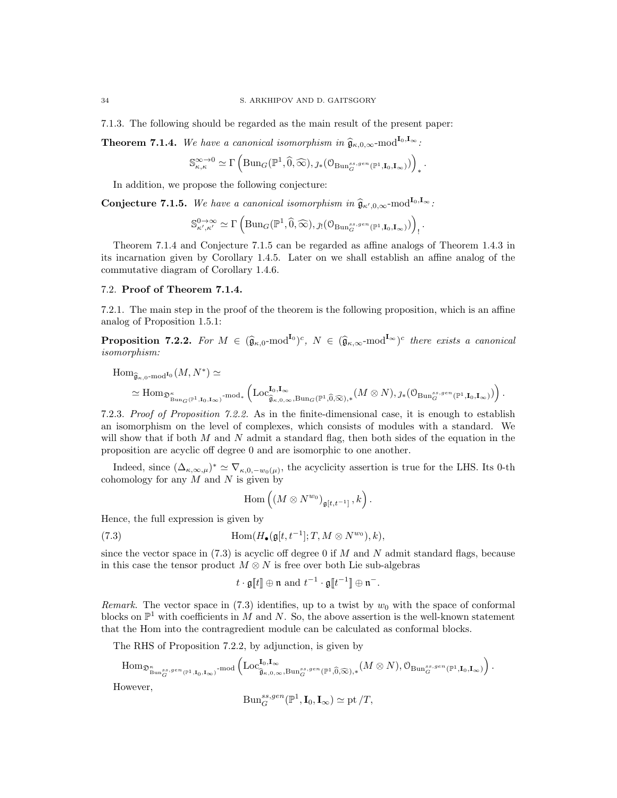7.1.3. The following should be regarded as the main result of the present paper:

**Theorem 7.1.4.** We have a canonical isomorphism in  $\hat{\mathfrak{g}}_{\kappa,0,\infty}$ -mod<sup>I<sub>0</sub>,I<sub>∞</sub>:</sup>

$$
\mathbb{S}_{\kappa,\kappa}^{\infty\to0}\simeq\Gamma\left(\mathrm{Bun}_G(\mathbb{P}^1,\widehat{0},\widehat{\infty}),\jmath_*(\mathcal{O}_{\mathrm{Bun}_G^{ss,gen}(\mathbb{P}^1,\mathbf{I}_0,\mathbf{I}_{\infty})})\right)_*.
$$

In addition, we propose the following conjecture:

**Conjecture 7.1.5.** We have a canonical isomorphism in  $\hat{\mathfrak{g}}_{\kappa',0,\infty}$ -mod<sup>I<sub>0</sub>,I<sub>∞</sub>:</sup>

$$
\mathbb{S}_{\kappa',\kappa'}^{\mathbf{0}\to\infty}\simeq \Gamma\left( \mathrm{Bun}_G(\mathbb{P}^1,\widehat{\mathbf{0}},\widehat{\infty}), \jmath! (\mathbf{0}_{\mathrm{Bun}_G^{ss,gen}(\mathbb{P}^1,\mathbf{I}_0,\mathbf{I}_\infty)}) \right)_!.
$$

Theorem 7.1.4 and Conjecture 7.1.5 can be regarded as affine analogs of Theorem 1.4.3 in its incarnation given by Corollary 1.4.5. Later on we shall establish an affine analog of the commutative diagram of Corollary 1.4.6.

## 7.2. Proof of Theorem 7.1.4.

7.2.1. The main step in the proof of the theorem is the following proposition, which is an affine analog of Proposition 1.5.1:

**Proposition 7.2.2.** For  $M \in (\widehat{\mathfrak{g}}_{\kappa,0} \text{-mod}^{\mathbf{I}_0})^c$ ,  $N \in (\widehat{\mathfrak{g}}_{\kappa,\infty} \text{-mod}^{\mathbf{I}_{\infty}})^c$  there exists a canonical isomorphism:

$$
\begin{split} \mathrm{Hom}_{\widehat{\mathfrak{g}}_{\kappa,0}\text{-}\mathrm{mod}^{\mathbf{I}_{0}}}(M,N^{*})&\simeq\\ &\simeq \mathrm{Hom}_{\mathfrak{D}_{\mathrm{Bur}_{G}(\mathbb{P}^{1},\mathbf{I}_{0},\mathbf{I}_{\infty})}\text{-}\mathrm{mod}_{*}\left(\mathrm{Loc}_{\widehat{\mathfrak{g}}_{\kappa,0,\infty},\mathrm{Bun}_{G}(\mathbb{P}^{1},\widehat{0},\widehat{\infty}),*}(M\otimes N),\jmath_{*}(\mathcal{O}_{\mathrm{Bun}_{G}^{ss,gen}(\mathbb{P}^{1},\mathbf{I}_{0},\mathbf{I}_{\infty})})\right). \end{split}
$$

7.2.3. Proof of Proposition 7.2.2. As in the finite-dimensional case, it is enough to establish an isomorphism on the level of complexes, which consists of modules with a standard. We will show that if both  $M$  and  $N$  admit a standard flag, then both sides of the equation in the proposition are acyclic off degree 0 and are isomorphic to one another.

Indeed, since  $(\Delta_{\kappa,\infty,\mu})^* \simeq \nabla_{\kappa,0,-w_0(\mu)}$ , the acyclicity assertion is true for the LHS. Its 0-th cohomology for any  $M$  and  $N$  is given by

$$
\mathrm{Hom}\left(\left(M\otimes N^{w_0}\right)_{\mathfrak{g}[t,t^{-1}]},k\right).
$$

Hence, the full expression is given by

(7.3) 
$$
\text{Hom}(H_{\bullet}(\mathfrak{g}[t,t^{-1}];T,M\otimes N^{w_0}),k),
$$

since the vector space in  $(7.3)$  is acyclic off degree 0 if M and N admit standard flags, because in this case the tensor product  $M \otimes N$  is free over both Lie sub-algebras

$$
t \cdot \mathfrak{g}[t] \oplus \mathfrak{n}
$$
 and  $t^{-1} \cdot \mathfrak{g}[t^{-1}] \oplus \mathfrak{n}^{-}$ .

Remark. The vector space in  $(7.3)$  identifies, up to a twist by  $w_0$  with the space of conformal blocks on  $\mathbb{P}^1$  with coefficients in M and N. So, the above assertion is the well-known statement that the Hom into the contragredient module can be calculated as conformal blocks.

The RHS of Proposition 7.2.2, by adjunction, is given by

$$
\mathrm{Hom}_{\mathfrak{D}_{\mathrm{Bun}_G^{ss,gen}(\mathbb{P}^1,\mathrm{I}_0,\mathrm{I}_\infty)}^{\kappa}\text{-}\mathrm{mod}}\left(\mathrm{Loc}_{\widehat{\mathfrak{g}}_{\kappa,0,\infty},\mathrm{Bun}_G^{ss,gen}(\mathbb{P}^1,\widehat{0},\widehat{\infty}),*}^{\mathrm{I}_0(M\otimes N),\mathcal{O}_{\mathrm{Bun}_G^{ss,gen}(\mathbb{P}^1,\mathrm{I}_0,\mathrm{I}_\infty)}}\right).
$$
  
However,

$$
\mathrm{Bun}_G^{ss,gen}(\mathbb{P}^1,\mathbf{I}_0,\mathbf{I}_{\infty})\simeq \mathrm{pt}/T,
$$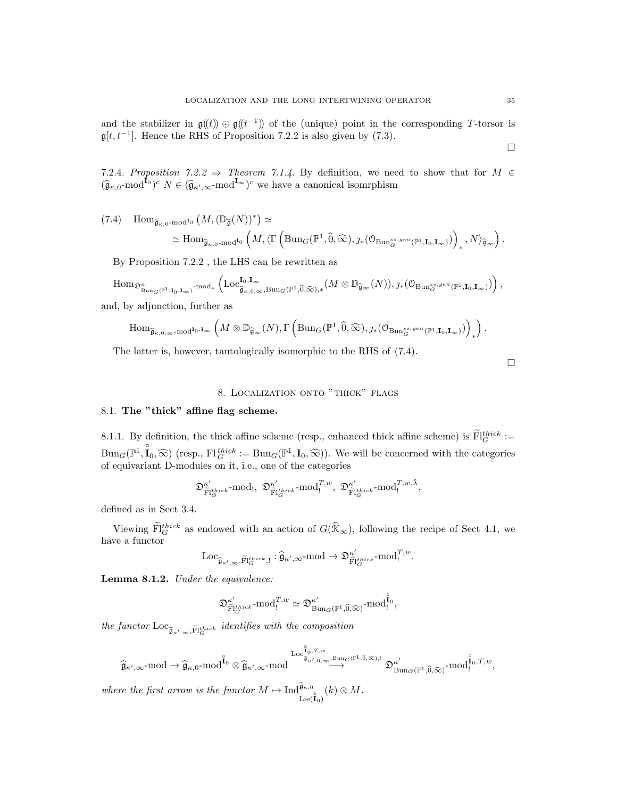and the stabilizer in  $\mathfrak{g}(\mathfrak{t})\oplus\mathfrak{g}(\mathfrak{t}^{-1})$  of the (unique) point in the corresponding T-torsor is  $\mathfrak{g}[t, t^{-1}]$ . Hence the RHS of Proposition 7.2.2 is also given by (7.3).

7.2.4. Proposition 7.2.2  $\Rightarrow$  Theorem 7.1.4. By definition, we need to show that for  $M \in$  $(\widehat{\mathfrak{g}}_{\kappa,0} \text{-mod}^{\mathbf{I}_0})^c$   $N \in (\widehat{\mathfrak{g}}_{\kappa',\infty} \text{-mod}^{\mathbf{I}_{\infty}})^c$  we have a canonical isomrphism

$$
(7.4) \quad \text{Hom}_{\widehat{\mathfrak{g}}_{\kappa,0}\text{-}\mathrm{mod}^{\mathbf{I}_{0}}}\left(M,(\mathbb{D}_{\widehat{\mathfrak{g}}}(N))^{*}\right) \simeq \\ \simeq \mathrm{Hom}_{\widehat{\mathfrak{g}}_{\kappa,0}\text{-}\mathrm{mod}^{\mathbf{I}_{0}}}\left(M,\langle\Gamma\left(\mathrm{Bun}_{G}(\mathbb{P}^{1},\widehat{0},\widehat{\infty}),\jmath_{*}(\mathcal{O}_{\mathrm{Bun}_{G}^{ss},g^{en}}(\mathbb{P}^{1},\mathbf{I}_{0},\mathbf{I}_{\infty})\right)\right)_{*},N\rangle_{\widehat{\mathfrak{g}}_{\infty}}\right).
$$

By Proposition 7.2.2 , the LHS can be rewritten as

$$
\mathrm{Hom}_{\mathfrak{D}^{\kappa}_{\mathrm{Bun}_G(\mathbb{P}^1,\mathbf{I}_0,\mathbf{I}_\infty)}\text{-}\mathrm{mod}_*}\left(\mathrm{Loc}^{\mathbf{I}_0,\mathbf{I}_\infty}_{\widehat{\mathfrak{g}}_{\kappa,0,\infty},\mathrm{Bun}_G(\mathbb{P}^1,\widehat{0},\widehat{\infty}),*}(M\otimes\mathbb{D}_{\widehat{\mathfrak{g}}_\infty}(N)),\jmath_*\big(\mathfrak{O}_{\mathrm{Bun}_G^{ss,gen}(\mathbb{P}^1,\mathbf{I}_0,\mathbf{I}_\infty)}\big)\right),
$$

and, by adjunction, further as

$$
\mathrm{Hom}_{\widehat{\mathfrak{g}}_{\kappa,0,\infty} \text{-}\mathrm{mod}^{\mathbf{I}_0,\mathbf{I}_\infty}}\left( M \otimes \mathbb{D}_{\widehat{\mathfrak{g}}_\infty}(N), \Gamma\left(\mathrm{Bun}_G(\mathbb{P}^1, \widehat{0}, \widehat{\infty}), \jmath_*(\mathcal{O}_{\mathrm{Bun}_G^{ss,gen}(\mathbb{P}^1, \mathbf{I}_0, \mathbf{I}_\infty)}) \right)_* \right).
$$

The latter is, however, tautologically isomorphic to the RHS of (7.4).

## 8. Localization onto "thick" flags

## 8.1. The "thick" affine flag scheme.

8.1.1. By definition, the thick affine scheme (resp., enhanced thick affine scheme) is  $\widetilde{\mathrm{Fl}}_G^{thick} :=$  $Bun_G(\mathbb{P}^1, \mathbf{I}_0, \widehat{\infty})$  (resp., Fl<sup>thick</sup> :=  $Bun_G(\mathbb{P}^1, \mathbf{I}_0, \widehat{\infty})$ ). We will be concerned with the categories of equivariant D-modules on it, i.e., one of the categories

$$
\mathfrak{D}^{\kappa'}_{\widetilde{\mathrm{Fl}}^{\mathrm{thick}}_G}\text{-mod}_!,\ \mathfrak{D}^{\kappa'}_{\widetilde{\mathrm{Fl}}^{\mathrm{thick}}_G}\text{-mod}_!,^\mathcal{T,w},\ \mathfrak{D}^{\kappa'}_{\widetilde{\mathrm{Fl}}^{\mathrm{thick}}_G}\text{-mod}_!,^\mathcal{T,w,\check{\lambda}},
$$

defined as in Sect 3.4.

Viewing  $\text{Ff}_{G}^{thick}$  as endowed with an action of  $G(\hat{\mathcal{K}}_{\infty})$ , following the recipe of Sect 4.1, we have a functor

$$
\mathrm{Loc}_{\widehat{\mathfrak{g}}_{\kappa',\infty},\widetilde{\mathrm{Fl}}^\mathrm{thick}_G, !} : \widehat{\mathfrak{g}}_{\kappa',\infty} \text{-}\mathrm{mod} \to \mathfrak{D}^{\kappa'}_{\widehat{\mathrm{Fl}}^\mathrm{thick}_G} \text{-}\mathrm{mod}^{T,w}_!.
$$

Lemma 8.1.2. Under the equivalence:

$$
\mathfrak{D}^{\kappa'}_{\hat{\mathrm{Fl}}^{\mathrm{thick}}_{G}} \textrm{-mod}^{T,w}_! \simeq \mathfrak{D}^{\kappa'}_{\mathrm{Bun}_G(\mathbb{P}^1, \widehat{0}, \widehat{\infty})} \textrm{-mod}^{\hat{\mathbf{I}}_0}_{!},
$$

the functor  $\text{Loc}_{\widehat{\mathfrak{g}}_{\kappa',\infty},\widetilde{\text{FI}}_G^{\text{thick}}}$  identifies with the composition

$$
\widehat{\mathfrak{g}}_{\kappa',\infty}\text{-mod}\to \widehat{\mathfrak{g}}_{\kappa,0}\text{-mod}^{\overset{\circ}{\mathbf{I}}_{0}}\otimes \widehat{\mathfrak{g}}_{\kappa',\infty}\text{-mod}^{\overset{\circ}{\mathbf{I}}_{0},\mathcal{T},w}\overset{\mathrm{Log}^{\overset{\circ}{\mathbf{I}}_{0},\mathcal{T},w}}{\longrightarrow}\mathfrak{D}^{\kappa'}_{\mathrm{Bun}_{G}(\mathbb{P}^{1},\widehat{0},\widehat{\infty})}\text{-mod}^{\overset{\circ}{\mathbf{I}}_{0},\mathcal{T},w},
$$

where the first arrow is the functor  $M \mapsto \text{Ind}_{\text{Lie}(\hat{\mathbf{I}}_0)}^{\hat{\mathfrak{g}}_{\kappa,0}}(k) \otimes M$ .

 $\Box$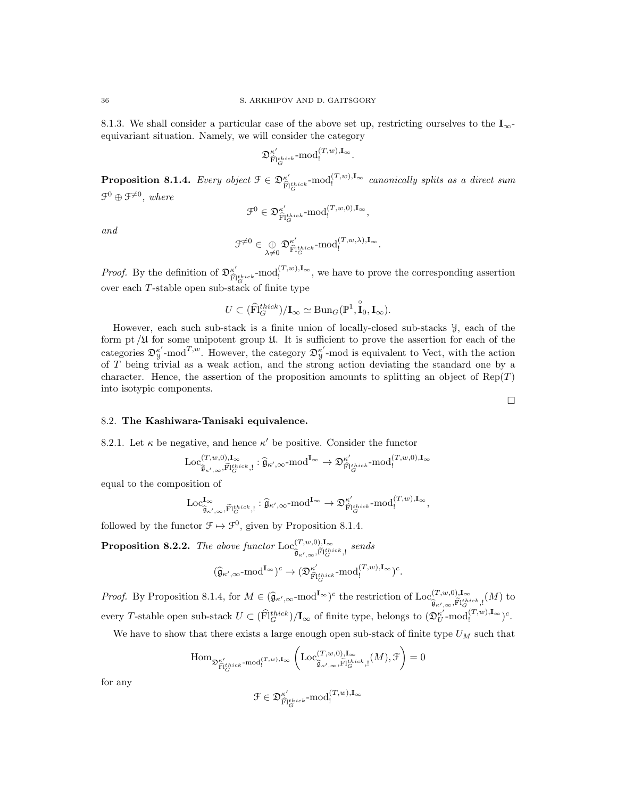8.1.3. We shall consider a particular case of the above set up, restricting ourselves to the  $I_{\infty}$ equivariant situation. Namely, we will consider the category

$$
\mathfrak{D}^{\kappa'}_{\widehat{\mathrm{Fl}}^{\mathit{thick}}_G}\text{-}\mathrm{mod}^{(T,w),{\mathbf{I}}_\infty}_{!}.
$$

**Proposition 8.1.4.** Every object  $\mathfrak{F} \in \mathfrak{D}_{\widehat{\mathfrak{M}}}^{\kappa'}$  $\widehat{\mathbb{F}}_{G}^{t_{thick}}\text{-mod}^{(T,w),\mathbf{I}_{\infty}}$  canonically splits as a direct sum  $\mathfrak{F}^0\oplus \mathfrak{F}^{\neq 0}$ , where

$$
\mathcal{F}^0 \in \mathfrak{D}^{\kappa'}_{\widehat{\mathrm{Fl}}^{\mathrm{thick}}_G} \mathrm{\text{-}mod}^{(T,w,0),\mathbf{I}_{\infty}}_!
$$

and

$$
\mathfrak{F}^{\neq 0} \in \underset{\lambda \neq 0}{\oplus} \mathfrak{D}^{\kappa'}_{\widehat{\mathrm{Fl}}^{\text{thick}}_{G}} \text{-mod}^{(T,w,\lambda),\mathbf{I}_{\infty}}.
$$

*Proof.* By the definition of  $\mathfrak{D}_{\widehat{\mathcal{D}}}^{\kappa'}$  $\mathcal{F}_{\hat{\mathbf{H}}_{\mathcal{G}}^{thick}}^{(t)}$  -mod $\mathcal{G}_{\mathbf{H}_{\mathcal{G}}}^{(T,w),\mathbf{I}_{\infty}}$ , we have to prove the corresponding assertion over each T-stable open sub-stack of finite type

$$
U \subset (\widehat{\mathrm{Fl}}_G^{thick})/\mathbf{I}_{\infty} \simeq \mathrm{Bun}_G(\mathbb{P}^1, \widehat{\mathbf{I}}_0, \mathbf{I}_{\infty}).
$$

However, each such sub-stack is a finite union of locally-closed sub-stacks Y, each of the form pt  $\mu$  for some unipotent group  $\mathfrak{U}$ . It is sufficient to prove the assertion for each of the categories  $\mathfrak{D}_{\mathcal{Y}}^{\kappa'}$ -mod<sup>T,w</sup>. However, the category  $\mathfrak{D}_{\mathcal{Y}}^{\kappa'}$ -mod is equivalent to Vect, with the action of T being trivial as a weak action, and the strong action deviating the standard one by a character. Hence, the assertion of the proposition amounts to splitting an object of  $Rep(T)$ into isotypic components.

### 8.2. The Kashiwara-Tanisaki equivalence.

8.2.1. Let  $\kappa$  be negative, and hence  $\kappa'$  be positive. Consider the functor

$$
\operatorname{Loc}^{(T,w,0),\mathbf{I}_{\infty}}_{\widehat{\mathfrak{g}}_{\kappa',\infty},\widetilde{\mathbf{H}}^{\operatorname{thick}}_{G},!}:\widehat{\mathfrak{g}}_{\kappa',\infty}\text{-}\mathrm{mod}^{\mathbf{I}_{\infty}}\to \mathfrak{D}^{\kappa'}_{\widehat{\mathbf{H}}^{\operatorname{thick}}_{G}}\text{-}\mathrm{mod}^{(T,w,0),\mathbf{I}_{\infty}}_{!}
$$

equal to the composition of

$$
\operatorname{Loc}^{I_\infty}_{\widehat{\mathfrak{g}}_{\kappa',\infty},\widetilde{\mathrm{Fl}}^\mathrm{thick}_G, !} : \widehat{\mathfrak{g}}_{\kappa',\infty}\text{-}\mathrm{mod}^{I_\infty} \rightarrow \mathfrak{D}^{\kappa'}_{\widehat{\mathrm{Fl}}^\mathrm{thick}_G}\text{-}\mathrm{mod}^{(T,w),I_\infty}_!,
$$

followed by the functor  $\mathcal{F} \mapsto \mathcal{F}^0$ , given by Proposition 8.1.4.

**Proposition 8.2.2.** The above functor  $\text{Loc}_{\infty}^{(T,w,0),I_{\infty}}$  $\widehat{\mathfrak{g}}_{\kappa',\infty}, \widetilde{\mathbb{F}}_{G}^{thick}$ , sends

$$
(\widehat{\mathfrak{g}}_{\kappa',\infty}\text{-mod}^{\mathbf{I}_{\infty}})^c \rightarrow (\mathfrak{D}^{\kappa'}_{\widehat{\mathbf{F}}|^{\operatorname{thick}}_{G}}\text{-mod}^{(T,w),\mathbf{I}_{\infty}})^c.
$$

Proof. By Proposition 8.1.4, for  $M \in (\widehat{\mathfrak{g}}_{\kappa', \infty} \text{-mod}^{\mathbf{I}_{\infty}})^c$  the restriction of  $\text{Loc}_{\widehat{\mathfrak{g}}_{\kappa', \infty}, \widehat{\mathbb{P}}_{G}^{\{t\}}$  $\widehat{\mathfrak{g}}_{\kappa',\infty},\widehat{\mathbb{F}}_{G}^{\text{thick}},\mathfrak{h}^{\text{in}}(M)$  to every T-stable open sub-stack  $U \subset (\widehat{\mathrm{Fl}}_G^{thick})/\mathbf{I}_{\infty}$  of finite type, belongs to  $(\mathfrak{D}_U^{\kappa'}\text{-mod}_!^{(T,w),\mathbf{I}_{\infty}})^c$ .

We have to show that there exists a large enough open sub-stack of finite type  $U_M$  such that

$$
{\rm Hom}_{\mathfrak{D}_{\widehat{\mathbf{Fl}}^{thick}_{G}}^{\kappa'}\text{-}\mathrm{mod}^{(T,w),\mathbf{I}_{\infty}}_{!}}\left({\rm Loc}^{(T,w,0),{\bf I}_{\infty}}_{\widehat{\mathfrak{g}}_{\kappa',\infty},\widehat{\mathbf{Fl}}^{thick}_{G},!}(M),\mathcal{F}\right)=0
$$

for any

$$
\mathcal{F}\in\mathfrak{D}_{\widehat{\mathbf{F}}|^{\boldsymbol{thick}}_{G}}^{\kappa'}\text{-}\mathrm{mod}_{!}^{(T,w),\mathbf{I}_{\infty}}
$$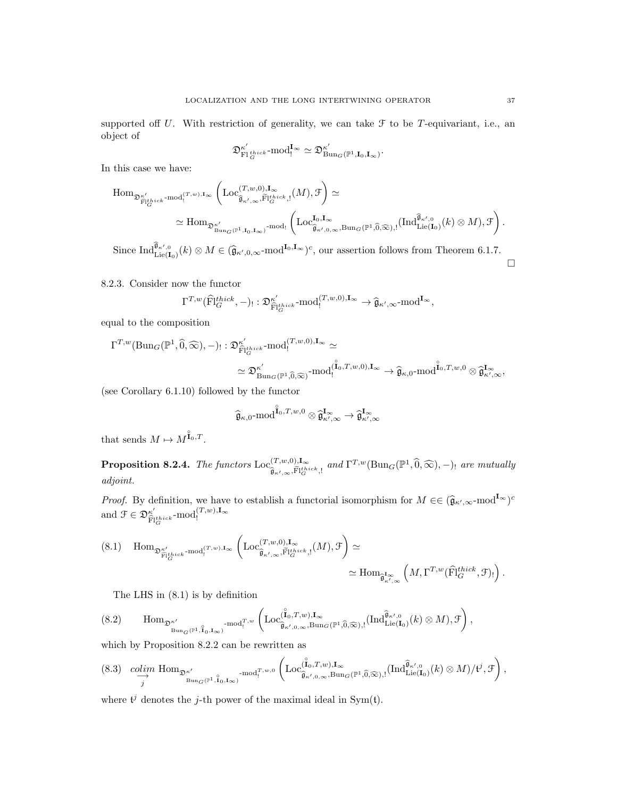supported off U. With restriction of generality, we can take  $\mathcal F$  to be T-equivariant, i.e., an object of

$$
\mathfrak{D}_{\mathrm{FI}_G^{thick}}^{\kappa'}\text{-}\mathrm{mod}^{ \mathbf{I}_\infty}_{!}\simeq \mathfrak{D}_{\mathrm{Bun}_G(\mathbb{P}^1,\mathbf{I}_0,\mathbf{I}_\infty)}^{\kappa'}.
$$

In this case we have:

$$
\begin{split} \mathrm{Hom}_{\mathfrak{D}^{\kappa'}_{\widehat{\mathrm{Fl}}^{thick}_G\text{-}\mathrm{mod}^{\{T,w\},\mathrm{I}_{\infty}}_{!}}\left(\mathrm{Loc}_{\widehat{\mathfrak{g}}_{\kappa',\infty},\widehat{\mathrm{Fl}}^{thick}_G,!}^{(T,w),\mathrm{I}_{\infty}}(M),\mathcal{F}\right) &\simeq\\ &\simeq \mathrm{Hom}_{\mathfrak{D}^{\kappa'}_{\mathrm{Bun}_G(\mathbb{P}^1,\mathrm{I}_0,\mathrm{I}_{\infty})}\text{-}\mathrm{mod}{}_!}\left(\mathrm{Loc}_{\widehat{\mathfrak{g}}_{\kappa',0,\infty},\mathrm{Bun}_G(\mathbb{P}^1,\widehat{0},\widehat{\infty}),!}^{(I_0,\mathrm{I}_{\infty})}( \mathrm{Ind}_{\mathrm{Lie}(\mathrm{I}_0)}^{\widehat{\mathfrak{g}}_{\kappa',0}}(k)\otimes M),\mathcal{F}\right). \end{split}
$$

Since  $\text{Ind}_{\text{Lie}(\mathbf{I}_0)}^{\widehat{\mathbf{g}}_{\kappa',0}}(k) \otimes M \in (\widehat{\mathbf{g}}_{\kappa',0,\infty} \text{-mod}^{\mathbf{I}_0,\mathbf{I}_{\infty}})^c$ , our assertion follows from Theorem 6.1.7.

8.2.3. Consider now the functor

$$
\Gamma^{T,w}(\widehat{\mathrm{Fl}}_G^{thick},-)! : \mathfrak{D}^{\kappa'}_{\widehat{\mathrm{Fl}}_G^{thick}} \text{-}\mathrm{mod}^{(T,w,0),{\bf I}_{\infty}}_! \rightarrow \widehat{\mathfrak{g}}_{\kappa',\infty} \text{-}\mathrm{mod}^{{\bf I}_{\infty}},
$$

equal to the composition

$$
\begin{aligned}\n\Gamma^{T,w}(\mathrm{Bun}_G(\mathbb{P}^1,\widehat{0},\widehat{\infty}),-):&:\mathfrak{D}^{\kappa'}_{\widehat{\mathrm{Pl}}^{thick}_G}\mathrm{-mod}_!^{(T,w,0),\mathbf{I}_{\infty}}\simeq\\ &\simeq\mathfrak{D}^{\kappa'}_{\mathrm{Bun}_G(\mathbb{P}^1,\widehat{0},\widehat{\infty})}\text{-mod}_!^{(\widehat{I}_0,T,w,0),\mathbf{I}_{\infty}}\to \widehat{\mathfrak{g}}_{\kappa,0}\text{-mod}_!^{\widehat{I}_0,T,w,0}\otimes \widehat{\mathfrak{g}}_{\kappa',\infty}^{I_{\infty}},\n\end{aligned}
$$

(see Corollary 6.1.10) followed by the functor

$$
\widehat{\mathfrak{g}}_{\kappa,0}\text{-mod}\widehat{\mathring{I}}_0,\!T,\!w,\!0\otimes\widehat{\mathfrak{g}}_{\kappa',\infty}^{\mathbf{I}_{\infty}}\to\widehat{\mathfrak{g}}_{\kappa',\infty}^{\mathbf{I}_{\infty}}
$$

that sends  $M \mapsto M^{\mathbf{1}_{0},T}$ .

**Proposition 8.2.4.** The functors  $\text{Loc}_{\hat{\sigma}}^{(T,w,0),1_{\infty}}$  $\widehat{\mathfrak{g}}_{\kappa',\infty}^{(T,w,0),\mathbf{I}_{\infty}}$  and  $\Gamma^{T,w}(\mathrm{Bun}_G(\mathbb{P}^1,\widehat{0},\widehat{\infty}),-)$  are mutually adjoint.

*Proof.* By definition, we have to establish a functorial isomorphism for  $M \in \left(\widehat{\mathfrak{g}}_{\kappa',\infty}\text{-mod}^{\mathbf{I}_{\infty}}\right)^c$ and  $\mathcal{F} \in \mathfrak{D}_{\widehat{\mathfrak{m}}}^{\kappa'}$  $\widehat{\mathrm{F}}_{G}^{thick}$ - $\mathrm{mod}^{(T,w),{\bf I}_{\infty}}_{!}$ 

$$
(8.1) \quad \text{Hom}_{\mathfrak{D}_{\widetilde{\mathbf{F}}_{|G}^{\kappa'}}^{\kappa'} \text{mod}^{(T,w),\mathbf{I}_{\infty}}_{!}} \left( \text{Loc}_{\widehat{\mathfrak{g}}_{\kappa',\infty},\widetilde{\mathbf{F}}_{|G}^{\kappa}}^{\left(T,w,0\right),\mathbf{I}_{\infty}},\mathbb{F}_{|G}^{\kappa'}\right) \simeq \\ \simeq \text{Hom}_{\widehat{\mathfrak{g}}_{\kappa',\infty}^{\mathbf{I}_{\infty}}} \left( M,\Gamma^{T,w}(\widehat{\mathbf{F}}_{|G}^{\kappa}\text{thick},\mathcal{F})_{!} \right).
$$

The LHS in (8.1) is by definition

$$
(8.2) \qquad \mathrm{Hom}_{\mathfrak{D}^{\kappa'}}_{\mathrm{Bun}_{G}(\mathbb{P}^1,\, \hat{\mathbf{I}}_0, \mathbf{I}_{\infty})} \cdot \mathrm{mod}^{T,w}_{!} \left( \mathrm{Loc}_{\hat{\mathbf{B}}_{\kappa',0,\infty}, \mathrm{Bun}_{G}(\mathbb{P}^1,\widehat{0},\widehat{\infty}),!}^{\hat{\mathbf{I}}_0', \mathbf{I}_{\infty}}(\mathrm{Ind}_{\mathrm{Lie}(\mathbf{I}_0)}^{\hat{\mathbf{G}}_{\kappa',0}}(k) \otimes M), \mathcal{F} \right),
$$

which by Proposition 8.2.2 can be rewritten as

$$
(8.3) \quad \underset{j}{\text{colim}} \text{Hom}_{\mathfrak{D}_{\text{Bun}_G(\mathbb{P}^1, \overset{\circ}{\mathbf{I}}_{0}, \mathbf{I}_{\infty})} - \text{mod}_!^{T,w,0}} \left( \text{Loc}_{\widehat{\mathfrak{g}}_{\kappa',0,\infty}, \text{Bun}_G(\mathbb{P}^1, \widehat{0},\widehat{\infty}),!}^{(\overset{\circ}{\mathbf{I}}_{0}, \overset{\circ}{\mathbf{I}}_{0}, \overset{\circ}{\mathbf{I}}_{0}})}(\text{Ind}_{\text{Lie}(\mathbf{I}_{0})}^{\widehat{\mathfrak{g}}_{\kappa',0}}(k) \otimes M) / t^{j}, \mathcal{F} \right),
$$

where  $\mathfrak{t}^j$  denotes the j-th power of the maximal ideal in Sym(t).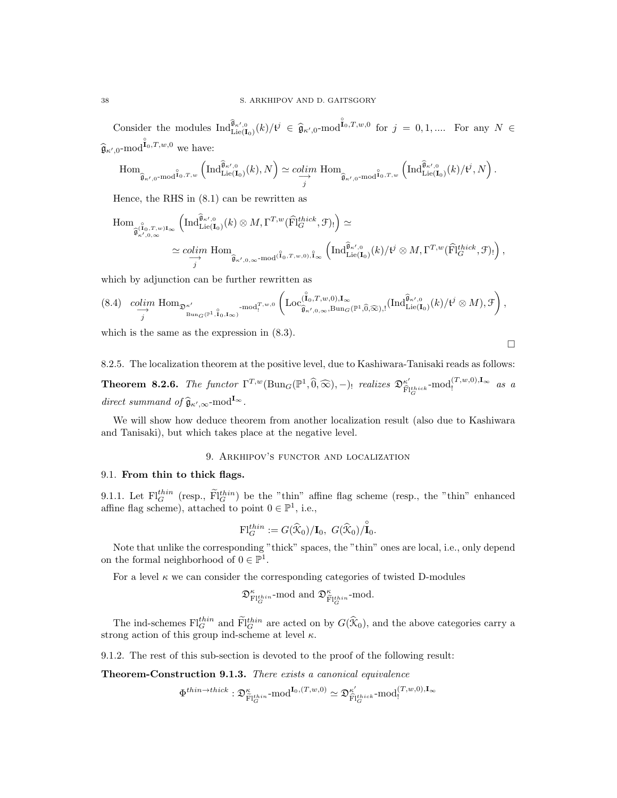Consider the modules  $\text{Ind}_{\text{Lie}(\mathbf{I}_{0})}^{\widehat{\mathfrak{g}}_{\kappa',0}}(k)/\mathfrak{t}^{j} \in \widehat{\mathfrak{g}}_{\kappa',0}$ -mod $\mathring{\mathfrak{l}}^{0,T,w,0}$  for  $j = 0,1,...$  For any  $N \in$  $\hat{\mathfrak{g}}_{\kappa',0}$ -mod $\hat{\mathfrak{l}}_{0},T,w,0$  we have:

$$
\mathrm{Hom}_{\widehat{\mathfrak{g}}_{\kappa',0}\text{-mod}^{\widehat{\mathbf{I}}_0,T,w}}\left(\mathrm{Ind}_{\mathrm{Lie}(\mathbf{I}_0)}^{\widehat{\mathfrak{g}}_{\kappa',0}}(k),N\right)\simeq \underset{j}{colim}\,\mathrm{Hom}_{\widehat{\mathfrak{g}}_{\kappa',0}\text{-mod}^{\widehat{\mathbf{I}}_0,T,w}}\left(\mathrm{Ind}_{\mathrm{Lie}(\mathbf{I}_0)}^{\widehat{\mathfrak{g}}_{\kappa',0}}(k)/\mathfrak{t}^j,N\right).
$$

Hence, the RHS in (8.1) can be rewritten as

$$
\text{Hom}_{\widehat{\mathfrak{g}}_{\kappa',0,\infty}^{(\widehat{I}_{0},T,w)I_{\infty}}}\left(\text{Ind}_{\text{Lie}(\mathbf{I}_{0})}^{\widehat{\mathfrak{g}}_{\kappa',0}}(k)\otimes M,\Gamma^{T,w}(\widehat{\text{Fl}}_{G}^{thick},\mathcal{F})_{!}\right)\simeq
$$
\n
$$
\simeq \underset{j}{\text{colim }} \text{Hom}_{\widehat{\mathfrak{g}}_{\kappa',0,\infty}\text{-mod}^{(\widehat{I}_{0},T,w,0),\widehat{I}_{\infty}}}\left(\text{Ind}_{\text{Lie}(\mathbf{I}_{0})}^{\widehat{\mathfrak{g}}_{\kappa',0}}(k)/t^{j}\otimes M,\Gamma^{T,w}(\widehat{\text{Fl}}_{G}^{thick},\mathcal{F})_{!}\right),
$$

which by adjunction can be further rewritten as

$$
(8.4) \quad \underset{j}{\text{colim}} \text{ Hom}_{\mathfrak{D}_{\text{Bun}_G(\mathbb{P}^1, \overset{\circ}{\mathbf{H}}_{0}, \mathbf{I}_{\infty})} \text{mod}^{T,w,0}_{!}} \left( \text{Loc}_{\widehat{\mathfrak{g}}_{\kappa',0,\infty}, \text{Bun}_G(\mathbb{P}^1, \widehat{0},\widehat{\infty}),!}^{\widehat{\mathbf{H}}_{0},\mathbf{I}_{\infty}}(\text{Ind}_{\text{Lie}(\mathbf{I}_{0})}^{\widehat{\mathfrak{g}}_{\kappa',0}}(k)/t^{j} \otimes M), \mathcal{F} \right),
$$

which is the same as the expression in (8.3).

$$
\Box
$$

8.2.5. The localization theorem at the positive level, due to Kashiwara-Tanisaki reads as follows:

**Theorem 8.2.6.** The functor  $\Gamma^{T,w}(\text{Bun}_G(\mathbb{P}^1, \widehat{0}, \widehat{\infty}), -)$  realizes  $\mathfrak{D}_{\widehat{F}}^{\kappa'}$  $\widehat{\mathbf{F}}_{G}^{thick}$ - $\text{mod}_{!}^{(T,w,0),\mathbf{I}_{\infty}}$  as a direct summand of  $\widehat{\mathfrak{g}}_{\kappa',\infty}$ -mod<sup>I</sup><sup>∞</sup>.

We will show how deduce theorem from another localization result (also due to Kashiwara and Tanisaki), but which takes place at the negative level.

#### 9. Arkhipov's functor and localization

#### 9.1. From thin to thick flags.

9.1.1. Let  $\mathrm{Fl}_G^{thin}$  (resp.,  $\widetilde{\mathrm{Fl}}_G^{thin}$ ) be the "thin" affine flag scheme (resp., the "thin" enhanced affine flag scheme), attached to point  $0 \in \mathbb{P}^1$ , i.e.,

$$
\mathrm{Fl}_G^{thin} := G(\widehat{\mathcal{K}}_0)/\mathbf{I}_0, \ G(\widehat{\mathcal{K}}_0)/\widehat{\mathbf{I}}_0.
$$

Note that unlike the corresponding "thick" spaces, the "thin" ones are local, i.e., only depend on the formal neighborhood of  $0 \in \mathbb{P}^1$ .

For a level  $\kappa$  we can consider the corresponding categories of twisted D-modules

$$
\mathfrak{D}^{\kappa}_{\mathrm{Fl}_G^{thin}} \text{-}\mathrm{mod} \text{ and } \mathfrak{D}^{\kappa}_{\widetilde{\mathrm{Fl}}_G^{thin}} \text{-}\mathrm{mod}.
$$

The ind-schemes  $\text{Fl}_G^{thin}$  and  $\tilde{\text{Fl}}_G^{thin}$  are acted on by  $G(\hat{\mathcal{K}}_0)$ , and the above categories carry a strong action of this group ind-scheme at level  $\kappa$ .

9.1.2. The rest of this sub-section is devoted to the proof of the following result:

Theorem-Construction 9.1.3. There exists a canonical equivalence

$$
\Phi^{thin\rightarrow thick} : \mathfrak{D}^\kappa_{\widetilde{\mathrm{Fl}}^{thin}_G}\text{-}\mathrm{mod}^{\mathbf{I}_0,(T,w,0)} \simeq \mathfrak{D}^{\kappa'}_{\widehat{\mathrm{Fl}}^{thick}_G}\text{-}\mathrm{mod}^{(T,w,0),\mathbf{I}_\infty}_!
$$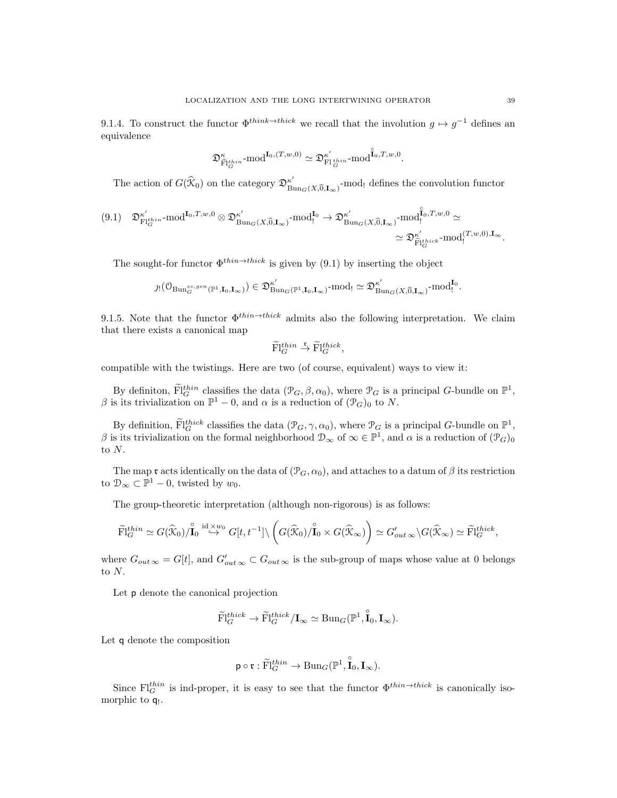9.1.4. To construct the functor  $\Phi^{think\to thick}$  we recall that the involution  $g \mapsto g^{-1}$  defines an equivalence

$$
\mathfrak{D}^\kappa_{\widetilde{\mathrm{Fl}}_G^{thin}} \text{-}\mathrm{mod}^{\mathbf{I}_0,(T,w,0)} \simeq \mathfrak{D}^{\kappa'}_{\mathrm{Fl}_G^{thin}} \text{-}\mathrm{mod}^{\hat{\mathbf{I}}_0,T,w,0}.
$$

The action of  $G(\widehat{X}_0)$  on the category  $\mathfrak{D}^{\kappa'}_{\mathrm{Bn}}$  $\lim_{\text{Bun}_G(X,\widehat{0},\mathbf{I}_{\infty})}$ -mod! defines the convolution functor

$$
(9.1) \quad \mathfrak{D}^{\kappa'}_{\mathrm{Fl}_G^{thin}} \text{-mod}^{\mathrm{I}_0,T,w,0} \otimes \mathfrak{D}^{\kappa'}_{\mathrm{Bun}_G(X,\widehat{0},\mathbf{I}_{\infty})} \text{-mod}^{\mathrm{I}_0}_{\mathrm{I}} \rightarrow \mathfrak{D}^{\kappa'}_{\mathrm{Bun}_G(X,\widehat{0},\mathbf{I}_{\infty})} \text{-mod}^{\widehat{\mathrm{I}}_0,T,w,0}_{\widehat{\mathrm{I}}} \simeq \\ \simeq \mathfrak{D}^{\kappa'}_{\widehat{\mathrm{Fl}}^{thick}_G} \text{-mod}^{\{T,w,0\},\mathbf{I}_{\infty}}.
$$

The sought-for functor  $\Phi^{thin\to thick}$  is given by (9.1) by inserting the object

$$
\jmath! \left(\mathcal{O}_{\mathrm{Bun}_G^{ss,gen}(\mathbb{P}^1,\mathbf{I}_0,\mathbf{I}_\infty)}\right) \in \mathfrak{D}^{\kappa'}_{\mathrm{Bun}_G(\mathbb{P}^1,\mathbf{I}_0,\mathbf{I}_\infty)} \text{-mod}_! \simeq \mathfrak{D}^{\kappa'}_{\mathrm{Bun}_G(X, \widehat{0}, \mathbf{I}_\infty)} \text{-mod}_!^{\mathbf{I}_0}.
$$

9.1.5. Note that the functor  $\Phi^{thin\to thick}$  admits also the following interpretation. We claim that there exists a canonical map

$$
\widetilde{\mathrm{Fl}}_G^{thin} \overset{\mathfrak{r}}{\to} \widetilde{\mathrm{Fl}}_G^{thick},
$$

compatible with the twistings. Here are two (of course, equivalent) ways to view it:

By definition,  $\widetilde{\mathrm{Fl}}_G^{thin}$  classifies the data  $(\mathcal{P}_G, \beta, \alpha_0)$ , where  $\mathcal{P}_G$  is a principal G-bundle on  $\mathbb{P}^1$ , β is its trivialization on  $\mathbb{P}^1$  – 0, and  $\alpha$  is a reduction of  $(\mathcal{P}_G)_0$  to N.

By definition,  $\widetilde{\mathrm{Fl}}_G^{thick}$  classifies the data  $(\mathcal{P}_G, \gamma, \alpha_0)$ , where  $\mathcal{P}_G$  is a principal G-bundle on  $\mathbb{P}^1$ , β is its trivialization on the formal neighborhood  $\mathcal{D}_{\infty}$  of  $\infty \in \mathbb{P}^1$ , and  $\alpha$  is a reduction of  $(\mathcal{P}_G)_0$ to N.

The map r acts identically on the data of  $(\mathcal{P}_G, \alpha_0)$ , and attaches to a datum of  $\beta$  its restriction to  $\mathcal{D}_{\infty} \subset \mathbb{P}^1 - 0$ , twisted by  $w_0$ .

The group-theoretic interpretation (although non-rigorous) is as follows:

$$
\widetilde{\mathrm{Fl}}_G^{thin} \simeq G(\widehat{\mathcal{K}}_0)/\overset{\circ}{\mathrm{I}}_0 \stackrel{\mathrm{id} \times w_0}{\hookrightarrow} G[t, t^{-1}] \setminus \left( G(\widehat{\mathcal{K}}_0)/\overset{\circ}{\mathrm{I}}_0 \times G(\widehat{\mathcal{K}}_\infty) \right) \simeq G'_{out} \otimes \setminus G(\widehat{\mathcal{K}}_\infty) \simeq \widetilde{\mathrm{Fl}}_G^{thick},
$$

where  $G_{out\infty} = G[t]$ , and  $G'_{out\infty} \subset G_{out\infty}$  is the sub-group of maps whose value at 0 belongs to N.

Let p denote the canonical projection

$$
\widetilde{\mathrm{Fl}}_G^{thick} \to \widetilde{\mathrm{Fl}}_G^{thick}/\mathbf{I}_{\infty} \simeq \mathrm{Bun}_G(\mathbb{P}^1, \overset{\circ}{\mathbf{I}}_0, \mathbf{I}_{\infty}).
$$

Let q denote the composition

$$
\mathsf{p}\circ\mathfrak{r}:\widetilde{\mathrm{Fl}}_G^{thin}\to\mathrm{Bun}_G(\mathbb{P}^1,\overset{\circ}{\mathrm{I}}_0,\mathrm{I}_{\infty}).
$$

Since  $\mathrm{Fl}_G^{thin}$  is ind-proper, it is easy to see that the functor  $\Phi^{thin\to thick}$  is canonically isomorphic to **q**<sub>!</sub>.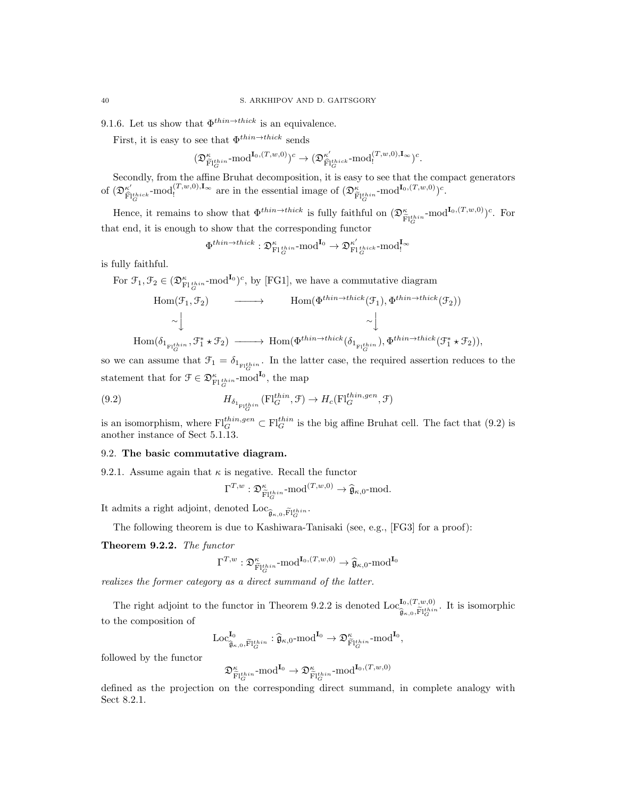9.1.6. Let us show that  $\Phi^{thin\rightarrow thick}$  is an equivalence.

First, it is easy to see that  $\Phi^{thin\rightarrow thick}$  sends

$$
(\mathfrak{D}_{\widehat{\mathrm{Fl}}^{\ell_{\mathrm{fin}}}_{G}}^{\kappa}\text{-}\mathrm{mod}^{\mathrm{I}_{0},(T,w,0)})^{c}\rightarrow(\mathfrak{D}_{\widehat{\mathrm{Fl}}^{\ell_{\mathrm{rig}}'}_{G}}^{\kappa'}\text{-}\mathrm{mod}^{(T,w,0),\mathrm{I}_{\infty}}_{!})^{c}.
$$

Secondly, from the affine Bruhat decomposition, it is easy to see that the compact generators of  $(\mathfrak{D}_{\widehat{\mathrm{m}}}^{\kappa'}$  $\hat{\mathbf{F}}_{G}^{t}$   $\text{mod}^{(T,w,0),\mathbf{I}_{\infty}}$  are in the essential image of  $(\mathfrak{D}_{\tilde{\mathbf{F}}|G}^{\kappa}$  -mod<sup>I<sub>0</sub>, $(T,w,0)$ </sup>)<sup>c</sup>.

Hence, it remains to show that  $\Phi^{thin\to thick}$  is fully faithful on  $(\mathfrak{D}_{\widetilde{\mathrm{FI}}_G^{thin}}^{\kappa} \text{-mod}^{\mathbf{I}_0,(T,w,0)})^c$ . For that end, it is enough to show that the corresponding functor

$$
\Phi^{thin\rightarrow thick} : \mathfrak{D}^\kappa_{\mathrm{Fl}^{\,thin}_G} \text{-}\mathrm{mod}^{\mathrm{I}_0} \to \mathfrak{D}^{\kappa'}_{\mathrm{Fl}^{\,thick}_G} \text{-}\mathrm{mod}^{\mathrm{I}_\infty}_!
$$

is fully faithful.

 $H<sub>o</sub>$ 

For  $\mathcal{F}_1, \mathcal{F}_2 \in (\mathfrak{D}_{\mathrm{Fl}\,{}^{thin}_{G}}^{\kappa} \text{-mod}^{\mathbf{I}_0})^c$ , by [FG1], we have a commutative diagram

$$
\text{Hom}(\mathcal{F}_1, \mathcal{F}_2) \longrightarrow \text{Hom}(\Phi^{thin \to thick}(\mathcal{F}_1), \Phi^{thin \to thick}(\mathcal{F}_2))
$$
  
\n
$$
\sim \downarrow \sim \downarrow
$$
  
\n
$$
\text{Im}(\delta_{1_{\text{F1}_G^{thin}}}, \mathcal{F}_1^* \star \mathcal{F}_2) \longrightarrow \text{Hom}(\Phi^{thin \to thick}(\delta_{1_{\text{F1}_G^{thin}}}), \Phi^{thin \to thick}(\mathcal{F}_1^* \star \mathcal{F}_2)),
$$

so we can assume that  $\mathcal{F}_1 = \delta_{1_{\text{F1}_G^{thin}}}.$  In the latter case, the required assertion reduces to the statement that for  $\mathcal{F} \in \mathfrak{D}_{\mathrm{FlG}}^{\kappa}$  and  $\mathbf{I}^{\mathbf{0}}$ , the map

(9.2) 
$$
H_{\delta_{1_{\Gamma_{G}^{thin}}}}(\mathcal{F}_{G}^{thin}, \mathcal{F}) \to H_{c}(\mathcal{F}_{G}^{thin,gen}, \mathcal{F})
$$

is an isomorphism, where  $\text{Fl}_G^{thin,gen} \subset \text{Fl}_G^{thin}$  is the big affine Bruhat cell. The fact that (9.2) is another instance of Sect 5.1.13.

#### 9.2. The basic commutative diagram.

9.2.1. Assume again that  $\kappa$  is negative. Recall the functor

$$
\Gamma^{T,w}: \mathfrak{D}^{\kappa}_{\widetilde{\mathrm{Fl}}^{thin}_G}\text{-}\mathrm{mod}^{(T,w,0)}\to \widehat{\mathfrak{g}}_{\kappa,0}\text{-}\mathrm{mod}.
$$

It admits a right adjoint, denoted  $\text{Loc}_{\widehat{\mathfrak{g}}_{\kappa,0},\widetilde{\text{FI}}_G^{thin}}$ .

The following theorem is due to Kashiwara-Tanisaki (see, e.g., [FG3] for a proof):

Theorem 9.2.2. The functor

$$
\Gamma^{T,w}: \mathfrak{D}^\kappa_{\widetilde{\mathrm{Fl}}^{\mathrm{thin}}_G}\text{-}\mathrm{mod}^{\mathrm{I}_0,(T,w,0)}\to \widehat{\mathfrak{g}}_{\kappa,0}\text{-}\mathrm{mod}^{\mathrm{I}_0}
$$

realizes the former category as a direct summand of the latter.

The right adjoint to the functor in Theorem 9.2.2 is denoted Loc<sub>o</sub><sup>I<sub>0</sub>,(T,w,0)</sup>  $\widehat{\mathfrak{g}}_{\kappa,0}, \widetilde{\mathbb{F}}_{G}^{thin}$ . It is isomorphic to the composition of

$$
\mathrm{Loc}_{\widehat{\mathfrak{g}}_{\kappa,0},\widetilde{\mathrm{F}}_{G}^{\mathrm{1}bin}}^{\mathrm{I}_0}:\widehat{\mathfrak{g}}_{\kappa,0}\text{-}\mathrm{mod}^{\mathrm{I}_0}\to \mathfrak{D}_{\widetilde{\mathrm{F}}_{G}^{\mathrm{1}bin}}^{\kappa}\mathrm{mod}^{\mathrm{I}_0},
$$

followed by the functor

$$
\mathfrak{D}^\kappa_{\widetilde{\mathrm{Fl}}_G^{thin}}\text{-}\mathrm{mod}^{\mathrm{I}_0} \to \mathfrak{D}^\kappa_{\widetilde{\mathrm{Fl}}_G^{thin}}\text{-}\mathrm{mod}^{\mathrm{I}_0,(T,w,0)}
$$

defined as the projection on the corresponding direct summand, in complete analogy with Sect 8.2.1.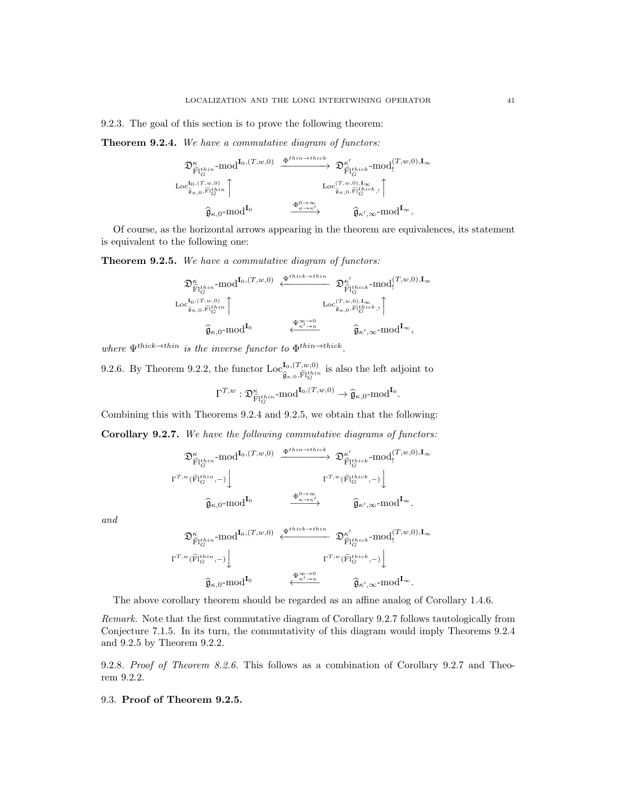9.2.3. The goal of this section is to prove the following theorem:

Theorem 9.2.4. We have a commutative diagram of functors:

$$
\begin{array}{ccc}\n\mathfrak{D}^{\kappa}_{\widetilde{\mathrm{FI}}^{l\:\!thin}_{G}}\text{-mod}^{\mathrm{I}_{0},(T,w,0)} & \xrightarrow{\Phi^{thin\to thick}} & \mathfrak{D}^{\kappa'}_{\widehat{\mathrm{FI}}^{l\:\!thick}_{G}}\text{-mod}^{(T,w,0),\mathrm{I}_{\infty}}\\
\downarrow\n\text{Loc}^{\mathrm{I}_{0},(T,w,0)}_{\widehat{\mathfrak{g}}_{\kappa,0},\widetilde{\mathrm{FI}}^{l\:\!thin}_{G}}\n\end{array}
$$
\n
$$
\begin{array}{ccc}\n\downarrow\n\text{Loc}^{(T,w,0),\mathrm{I}_{\infty}}_{\widehat{\mathfrak{g}}_{\kappa,0},\widetilde{\mathrm{FI}}^{l\:\!thick}_{G},\mathfrak{l}}\n\end{array}
$$
\n
$$
\begin{array}{ccc}\n\downarrow\n\end{array}
$$
\n
$$
\widehat{\mathfrak{g}}_{\kappa,0}\text{-mod}^{\mathrm{I}_{0}}\n\end{array}
$$
\n
$$
\begin{array}{ccc}\n\downarrow\n\end{array}
$$
\n
$$
\begin{array}{ccc}\n\downarrow\n\end{array}
$$
\n
$$
\begin{array}{ccc}\n\downarrow\n\end{array}
$$

Of course, as the horizontal arrows appearing in the theorem are equivalences, its statement is equivalent to the following one:

Theorem 9.2.5. We have a commutative diagram of functors:

$$
\mathfrak{D}^{\kappa}_{\widetilde{\mathrm{F}}|t^{bin}} \mathrm{mod}^{\mathrm{I}_{0},(T,w,0)} \xleftarrow{\Psi^{thick\rightarrow thin} \atop \widetilde{\mathrm{F}}|t^{hist}_{G}} \mathfrak{D}^{\kappa'}_{\widetilde{\mathrm{F}}|t^{hist}_{G}} \mathrm{mod}^{(T,w,0),\mathrm{I}_{\infty}}_{!} \\ \mathrm{Loc}_{\widetilde{\mathfrak{g}}_{\kappa,0},\widetilde{\mathrm{F}}|t^{bin}_{G}}^{\mathrm{I}_{0},(T,w,0)} \xrightarrow{\mathrm{Loc}_{\widetilde{\mathfrak{g}}_{\kappa,0},\widetilde{\mathrm{F}}|t^{hist}_{G}}^{\mathrm{I}_{0},\mathrm{I}_{\infty}} \mathrm{Loc}_{\widetilde{\mathfrak{g}}_{\kappa,0},\widetilde{\mathrm{F}}|t^{hist}_{G}}^{\mathrm{I}_{\infty},\mathrm{I}_{\infty}} \xrightarrow{\Psi^{\infty\rightarrow 0}} \mathrm{Loc}_{\widetilde{\mathfrak{g}}_{\kappa',\infty} \mathrm{mod}}^{\mathrm{I}_{\infty}} \mathrm{I}_{\infty},
$$

where  $\Psi^{thick \to thin}$  is the inverse functor to  $\Phi^{thin \to thick}$ .

9.2.6. By Theorem 9.2.2, the functor  $\text{Loc}_{\hat{c}}^{\mathbf{I}_{0},(T,w,0)}$  $\hat{\mathfrak{g}}_{\kappa,0,\widetilde{\mathrm{Fl}}_G^{thin}}$  is also the left adjoint to

$$
\Gamma^{T,w}: \mathfrak{D}_{\widetilde{\mathrm{Fl}}_G^{t\hbar in}}^{\kappa}\text{-}\mathrm{mod}^{\mathbf{I}_0,(T,w,0)}\to \widehat{\mathfrak{g}}_{\kappa,0}\text{-}\mathrm{mod}^{\mathbf{I}_0}.
$$

Combining this with Theorems 9.2.4 and 9.2.5, we obtain that the following:

Corollary 9.2.7. We have the following commutative diagrams of functors:

$$
\begin{array}{ccc}\mathfrak{D}^{\kappa}_{\widetilde{\mathrm{F}}_{1}^{1} \dot{m}} \text{-mod}^{\mathrm{I}_{0},(T,w,0)} & \xrightarrow{\Phi^{thin \rightarrow thick}} & \mathfrak{D}^{\kappa'}_{\widehat{\mathrm{F}}_{1}^{1} \dot{m} \dot{c}k} \text{-mod}^{\{T,w,0\},\mathrm{I}_{\infty}}_{\Gamma} \\ \uparrow^{T,w}(\widetilde{\mathrm{F}}_{G}^{1 \dot{m} \dot{m}},-) \downarrow & & \uparrow^{T,w}(\widetilde{\mathrm{F}}_{G}^{1 \dot{m} \dot{c}k},-) \downarrow \\ & & & \downarrow & \\ & & & \widehat{\mathfrak{g}}_{\kappa,0} \text{-mod}^{\mathrm{I}_{0}} & \xrightarrow{\Phi^{0 \rightarrow \infty}_{\kappa \rightarrow \kappa'}} & \widehat{\mathfrak{g}}_{\kappa',\infty} \text{-mod}^{\mathrm{I}_{\infty}}.\end{array}
$$

and

$$
\mathfrak{D}^{\kappa}_{\widetilde{F}{}^{t\:\!h\:\!in}_{G}}\text{-mod}^{\mathbf{I}_{0},(T,w,0)}\xleftarrow{\Psi^{thick\rightarrow thin}}\mathfrak{D}^{\kappa'}_{\widehat{F}{}^{t\:\!h\:\!ick}_{G}}\text{-mod}^{(T,w,0),\mathbf{I}_{\infty}}_{\mathbf{I}_{\infty}} \\ \Gamma^{T,w}(\widetilde{F}{}^{t\:\!h\:\!ick}_{G},-)\rightdownarrow \qquad \qquad \Gamma^{T,w}(\widetilde{F}{}^{t\:\!h\:\!ick}_{G},-)\downarrow \qquad \qquad \mathfrak{F}_{\kappa',\infty}\text{-mod}^{\mathbf{I}_{\infty}}.
$$

The above corollary theorem should be regarded as an affine analog of Corollary 1.4.6.

Remark. Note that the first commutative diagram of Corollary 9.2.7 follows tautologically from Conjecture 7.1.5. In its turn, the commutativity of this diagram would imply Theorems 9.2.4 and 9.2.5 by Theorem 9.2.2.

9.2.8. Proof of Theorem 8.2.6. This follows as a combination of Corollary 9.2.7 and Theorem 9.2.2.

#### 9.3. Proof of Theorem 9.2.5.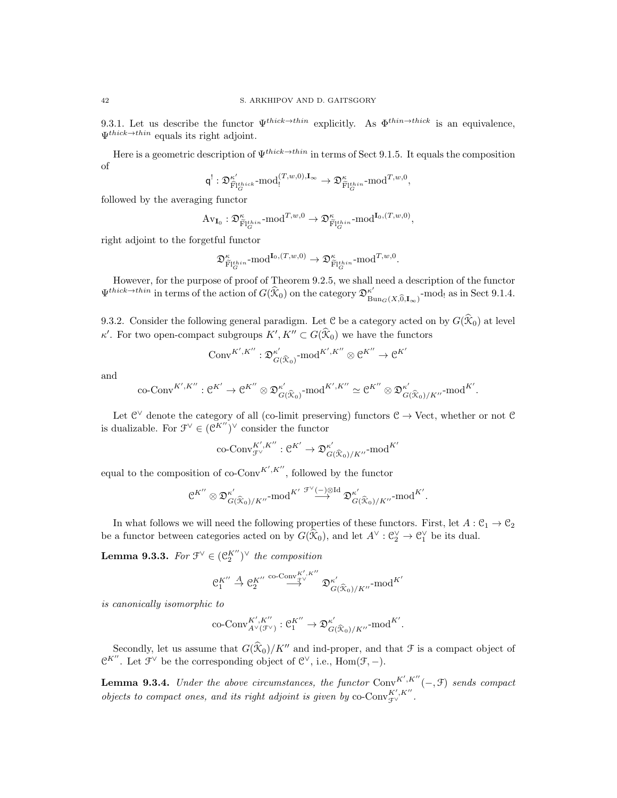9.3.1. Let us describe the functor  $\Psi^{thick\to thin}$  explicitly. As  $\Phi^{thin\to thick}$  is an equivalence,  $\Psi^{thick\to thin}$  equals its right adjoint.

Here is a geometric description of  $\Psi^{thick\to thin}$  in terms of Sect 9.1.5. It equals the composition of

$$
\mathsf{q}^!: \mathfrak{D}^{\kappa'}_{\widehat{\mathbf{F}}|^{\mathbf{th}ick}_G} \text{-}\mathrm{mod}^{(T,w,0),\mathbf{I}_{\infty}}_{!} \rightarrow \mathfrak{D}^{\kappa}_{\widehat{\mathbf{F}}|^{\mathbf{th}in}_{G}} \text{-}\mathrm{mod}^{T,w,0},
$$

followed by the averaging functor

$$
\mathrm{Av}_{\mathbf{I}_0}: \mathfrak{D}^{\kappa}_{\widetilde{\mathrm{Fl}}_G^{thin}} \text{-}\mathrm{mod}^{T,w,0} \to \mathfrak{D}^{\kappa}_{\widetilde{\mathrm{Fl}}_G^{thin}} \text{-}\mathrm{mod}^{\mathbf{I}_0,(T,w,0)},
$$

right adjoint to the forgetful functor

$$
\mathfrak{D}^\kappa_{\widetilde{\mathrm{Fl}}^{\mathrm{thin}}_G}\mathrm{\cdot mod}^{\mathrm{I}_0,(T,w,0)}\to \mathfrak{D}^\kappa_{\widetilde{\mathrm{Fl}}^{\mathrm{thin}}_G}\mathrm{\cdot mod}^{T,w,0}.
$$

However, for the purpose of proof of Theorem 9.2.5, we shall need a description of the functor  $\Psi^{thick\to thin}$  in terms of the action of  $G(\widehat{X}_0)$  on the category  $\mathfrak{D}^{\kappa'}_{\mathrm{B}^{\kappa}}$  $\int_{\text{Bun}_G(X,\widehat{0},\mathbf{I}_{\infty})}^{\kappa'}$ -mod! as in Sect 9.1.4.

9.3.2. Consider the following general paradigm. Let C be a category acted on by  $G(\mathcal{K}_0)$  at level  $\kappa'$ . For two open-compact subgroups  $K', K'' \subset G(\mathcal{K}_0)$  we have the functors

$$
\mathrm{Conv}^{K',K''}: \mathfrak{D}^{\kappa'}_{G(\widehat{\mathcal{K}}_0)}\text{-mod}^{K',K''} \otimes \mathcal{C}^{K''} \to \mathcal{C}^{K'}
$$

and

$$
\text{co-Conv}^{K',K''}:\mathcal{C}^{K'}\rightarrow \mathcal{C}^{K''}\otimes \mathfrak{D}^{\kappa'}_{G(\widehat{\mathfrak{X}}_{0})}\text{-mod}^{K',K''}\simeq \mathcal{C}^{K''}\otimes \mathfrak{D}^{\kappa'}_{G(\widehat{\mathfrak{X}}_{0})/K''}\text{-mod}^{K'}.
$$

Let  $\mathbb{C}^{\vee}$  denote the category of all (co-limit preserving) functors  $\mathbb{C} \to \text{Vect}$ , whether or not  $\mathbb{C}$ is dualizable. For  $\mathcal{F}^{\vee} \in (\mathcal{C}^{K''})^{\vee}$  consider the functor

$$
\operatorname{co-Conv}^{K',K''}_{\mathcal{F}^\vee}: \mathcal{C}^{K'} \to \mathfrak{D}^{\kappa'}_{G(\widehat{\mathfrak{X}}_0)/K''} \text{-mod}^{K'}
$$

equal to the composition of co-Conv<sup>K',K''</sup>, followed by the functor

$$
\mathfrak{C}^{K''} \otimes \mathfrak{D}^{\kappa'}_{G(\widehat{X}_0)/K''} \text{-mod}^{K'} \overset{\mathcal{F}^{\vee}(-) \otimes \text{Id}}{\longrightarrow} \mathfrak{D}^{\kappa'}_{G(\widehat{X}_0)/K''} \text{-mod}^{K'}.
$$

In what follows we will need the following properties of these functors. First, let  $A: \mathcal{C}_1 \to \mathcal{C}_2$ be a functor between categories acted on by  $G(\widehat{X}_0)$ , and let  $A^{\vee} : \mathcal{C}_2^{\vee} \to \mathcal{C}_1^{\vee}$  be its dual.

**Lemma 9.3.3.** For  $\mathfrak{F}^{\vee} \in (\mathfrak{C}_{2}^{K^{\prime\prime}})^{\vee}$  the composition

$$
\mathfrak{C}_1^{K''} \stackrel{A}{\rightarrow} \mathfrak{C}_2^{K''} \stackrel{\operatorname{co-Com}_{\mathfrak{F}^{\vee}}^{K',K''}}{\longrightarrow} \mathfrak{D}^{\kappa'}_{G(\widehat{\mathfrak{X}}_0)/K''} \operatorname{-mod}^{K'}
$$

is canonically isomorphic to

$$
\operatorname{co-Conv}^{K',K''}_{A^\vee(\mathcal{F}^\vee)}: \mathfrak{C}_1^{K''} \to \mathfrak{D}^{\kappa'}_{G(\widehat{\mathfrak{X}}_0)/K''}\text{-mod}^{K'}.
$$

Secondly, let us assume that  $G(\hat{X}_0)/K''$  and ind-proper, and that  $\mathcal F$  is a compact object of  $\mathfrak{C}^{K''}$ . Let  $\mathfrak{F}^{\vee}$  be the corresponding object of  $\mathfrak{C}^{\vee}$ , i.e.,  $\text{Hom}(\mathfrak{F},-)$ .

**Lemma 9.3.4.** Under the above circumstances, the functor  $Conv^{K', K''}(-, \mathcal{F})$  sends compact objects to compact ones, and its right adjoint is given by co-Conv ${}_{\mathcal{F}^{\vee}}^{K',K''}.$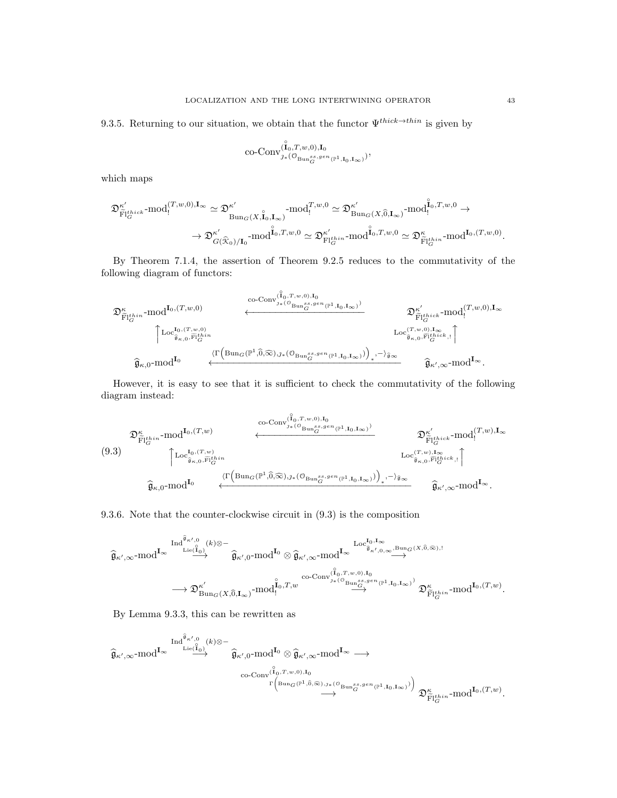9.3.5. Returning to our situation, we obtain that the functor  $\Psi^{thick \to thin}$  is given by

$$
\text{co-Conv}_{\mathcal{I}*(\mathbb{O}_{\operatorname{Bun}_G^{ss,gen}(\mathbb{P}^1,\mathbf{I}_0,\mathbf{I}_\infty)}^{\mathring{I}_0})},
$$

which maps

$$
\begin{split} \mathfrak{D}^{\kappa'}_{\widetilde{\mathrm{F}}|^{\mathrm{thick}}}\text{-mod}^{(T,w,0),\mathrm{\bf I}_{\infty}}_!\simeq\mathfrak{D}^{\kappa'}_{\mathrm{Bun}_{G}(X,\widetilde{\mathrm{\bf I}}_{0},\mathrm{\bf I}_{\infty})}\text{-mod}^{T,w,0}_!\simeq\mathfrak{D}^{\kappa'}_{\mathrm{Bun}_{G}(X,\widehat{0},\mathrm{\bf I}_{\infty})}\text{-mod}^{\widetilde{\mathrm{I}}_{0},T,w,0}_!,\\ \to\mathfrak{D}^{\kappa'}_{G(\widehat{\mathfrak{X}}_{0})/\mathrm{\bf I}_{0}}\text{-mod}^{\widehat{\mathrm{I}}_{0},T,w,0}_!\simeq\mathfrak{D}^{\kappa'}_{\mathrm{F}^{\dagger}\mathrm{t}^{\mathrm{fin}}_{G}}\text{-mod}^{\widetilde{\mathrm{I}}_{0},T,w,0}_!\simeq\mathfrak{D}^{\kappa'}_{\widetilde{\mathrm{F}}^{\dagger}\mathrm{t}^{\mathrm{fin}}_{G}}\text{-mod}^{\mathrm{\bf I}_{0},(T,w,0)}.\end{split}
$$

By Theorem 7.1.4, the assertion of Theorem 9.2.5 reduces to the commutativity of the following diagram of functors:

$$
\mathfrak{D}^{\kappa}_{\widetilde{\mathrm{FI}}^{\mathrm{t}hin}_{G}}\text{-mod}^{I_{0},(T,w,0)}\longleftrightarrow\\\begin{matrix} \sum_{\widetilde{\mathrm{F}}^{\mathrm{1}t}^{hin}}\text{-mod}^{I_{0},(T,w,0)}\left(\sum_{\widetilde{\mathrm{B}}^{\mathrm{u}},\widetilde{\mathrm{F}}^{\mathrm{1}t}^{hin}_{G}}\text{-mod}^{\left(\widetilde{\mathrm{I}}^{\mathrm{u}},T,w,0\right),I_{0}}\right) & \sum_{\widetilde{\mathrm{F}}^{\mathrm{u}}^{\mathrm{u}}_{G}}\text{-mod}^{\left(T,w,0\right),I_{\infty}}\left(\sum_{\widetilde{\mathrm{B}}^{\mathrm{u}},\widetilde{\mathrm{F}}^{\mathrm{1}t}^{hin}_{G}}\text{-mod}^{\left(T,w,0\right),I_{\infty}}\right) & \sum_{\widetilde{\mathrm{F}}^{\mathrm{u}}^{\mathrm{u}}_{G}}\text{-mod}^{\left(T,w,0\right),I_{\infty}}\left(\sum_{\widetilde{\mathrm{B}}^{\mathrm{u}},\widetilde{\mathrm{F}}^{\mathrm{1}t}^{hin}_{G}}\text{-mod}^{\left(T,w,0\right),I_{\infty}}\right) & \sum_{\widetilde{\mathrm{B}}^{\mathrm{u}},\widetilde{\mathrm{B}}^{\mathrm{u}}^{\mathrm{1}t}^{hick}_{G}}\text{-mod}^{\left(T,w,0\right),I_{\infty}}\left(\sum_{\widetilde{\mathrm{B}}^{\mathrm{u}},\widetilde{\mathrm{B}}^{\mathrm{u}}^{\mathrm{1}t}^{hin}_{G}}\text{-mod}^{\left(T,w,0\right),I_{\infty}}\right) & \sum_{\widetilde{\mathrm{B}}^{\mathrm{u}},\widetilde{\mathrm{B}}^{\mathrm{u}}^{\mathrm{u}}^{\mathrm{u}}}\\\text{-mod}^{\left(\widetilde{\mathrm{I}}^{\mathrm{u}},\widetilde{\mathrm{B}}^{\mathrm{u}}\right)} & \sum_{\widetilde{\mathrm{B}}^{\mathrm{u}},\widetilde{\mathrm{B}}^{\mathrm{u}}^{\mathrm{u}}}\\\text{-mod}^{\left(\widetilde{\mathrm{I}}^{\mathrm{u}},\widetilde{\mathrm{B}}^{\mathrm{u}}\right)}\end{matrix}
$$

However, it is easy to see that it is sufficient to check the commutativity of the following diagram instead:

$$
\mathfrak{D}_{\widetilde{\mathrm{Fl}}^{kin}_{G}}^{\kappa} \text{-mod}^{\mathrm{I}_{0},(T,w)} \qquad \qquad \xleftarrow{\text{co-Conv}_{\mathcal{I}_{*}(\mathcal{O}_{\mathrm{Bun}_{G}^{S}},gen_{(\mathbb{P}^{1},\mathrm{I}_{0},\mathrm{I}_{\infty})})}} \mathfrak{D}_{\widetilde{\mathrm{Fl}}^{kin}_{G}}^{\kappa'} \text{-mod}^{\{T,w\},\mathrm{I}_{\infty}} \qquad \qquad \mathfrak{D}_{\widetilde{\mathrm{Fl}}^{thick}_{G}}^{\kappa'} \text{-mod}^{\{T,w\},\mathrm{I}_{\infty}} \qquad \qquad \dots \qquad \qquad \dots \qquad \qquad \dots \qquad \qquad \dots \qquad \qquad \dots \qquad \qquad \dots \qquad \dots \qquad \dots \qquad \dots \qquad \dots \qquad \dots \qquad \dots \qquad \dots \qquad \dots \qquad \dots \qquad \dots \qquad \dots \qquad \dots \qquad \dots \qquad \dots \qquad \dots \qquad \dots \qquad \dots \qquad \dots \qquad \dots \qquad \dots \qquad \dots \qquad \dots \qquad \dots \qquad \dots \qquad \dots \qquad \dots \qquad \dots \qquad \dots \qquad \dots \qquad \dots \qquad \dots \qquad \dots \qquad \dots \qquad \dots \qquad \dots \qquad \dots \qquad \dots \qquad \dots \qquad \dots \qquad \dots \qquad \dots \qquad \dots \qquad \dots \qquad \dots \qquad \dots \qquad \dots \qquad \dots \qquad \dots \qquad \dots \qquad \dots \qquad \dots \qquad \dots \qquad \dots \qquad \dots \qquad \dots \qquad \dots \qquad \dots \qquad \dots \qquad \dots \qquad \dots \qquad \dots \qquad \dots \qquad \dots \qquad \dots \qquad \dots \qquad \dots \qquad \dots \qquad \dots \qquad \dots \qquad \dots \qquad \dots \qquad \dots \qquad \dots \qquad \dots \qquad \dots \qquad \dots \qquad \dots \qquad \dots \qquad \dots \qquad \dots \qquad \dots \qquad \dots \qquad \dots \qquad \dots \qquad \dots \qquad \dots \qquad \dots \qquad \dots \qquad \dots \qquad \dots \qquad \dots \qquad \dots \qquad \dots \qquad \dots \qquad \dots \qquad \dots \qquad \dots \qquad \dots \qquad \dots \q
$$

9.3.6. Note that the counter-clockwise circuit in (9.3) is the composition

$$
\begin{aligned}\widehat{\mathfrak{g}}_{\kappa',\infty}\text{-mod}^{\mathrm{I}_{\infty}}\stackrel{\mathrm{Ind}^{\widehat{\mathfrak{g}}_{\kappa',0}}(k)\otimes -}{\longrightarrow} & \widehat{\mathfrak{g}}_{\kappa',0}\text{-mod}^{\mathrm{I}_{0}}\otimes \widehat{\mathfrak{g}}_{\kappa',\infty}\text{-mod}^{\mathrm{I}_{\infty}}\stackrel{\mathrm{Loc}_{\widehat{\mathfrak{g}}_{\kappa',0,\infty},\mathrm{Bung}(X,\widehat{0},\widehat{\infty}),!}}{\oplus} \\ \longrightarrow \mathfrak{D}^{\kappa'}_{\mathrm{Bung}(X,\widehat{0},\mathbf{I}_{\infty})}\text{-mod}^{\widehat{\mathfrak{g}}_{\kappa',0}\text{-mod}^{\mathrm{I}_{0}}\oplus\stackrel{\mathrm{co-Com}_{\jmath_{\ast}(\mathbb{O}_{\mathrm{Bung}}S,gen(\mathbb{P}^1,\mathbf{I}_{0},\mathbf{I}_{\infty})})}{\longrightarrow} \mathfrak{D}^{\kappa'}_{\widetilde{\mathrm{Bung}}(X,\widehat{0},\mathbf{I}_{\infty})}\text{-mod}^{\mathbf{I}_{0},T,w}\end{aligned}
$$

By Lemma 9.3.3, this can be rewritten as

$$
\begin{CD} \widehat{\mathfrak{g}}_{\kappa',\infty}\text{-mod}^{I_{\infty}} \stackrel{\operatorname{Ind}^{\widehat{\mathfrak{g}}_{\kappa',0}}(k)\otimes -}{\longrightarrow} \\ \widehat{\mathfrak{g}}_{\kappa',\infty}\text{-mod}^{I_{0}} \stackrel{\mathfrak{g}_{\kappa',0}}{\longrightarrow} \widehat{\mathfrak{g}}_{\kappa',0}\text{-mod}^{I_{0}} \otimes \widehat{\mathfrak{g}}_{\kappa',\infty}\text{-mod}^{I_{\infty}} \longrightarrow \\ \stackrel{\operatorname{co-Conv}^{\widehat{\mathfrak{l}}_{0},T,w,0),I_{0}}}{\longrightarrow} \mathfrak{g}_{\kappa\text{-mod}^{s,g,gen}(\mathbb{P}^{1},I_{0},I_{\infty})})} \mathfrak{D}_{\widehat{\mathbf{F}}|_{G}^{thin}}^{\kappa}\text{-mod}^{I_{0},(T,w)}.
$$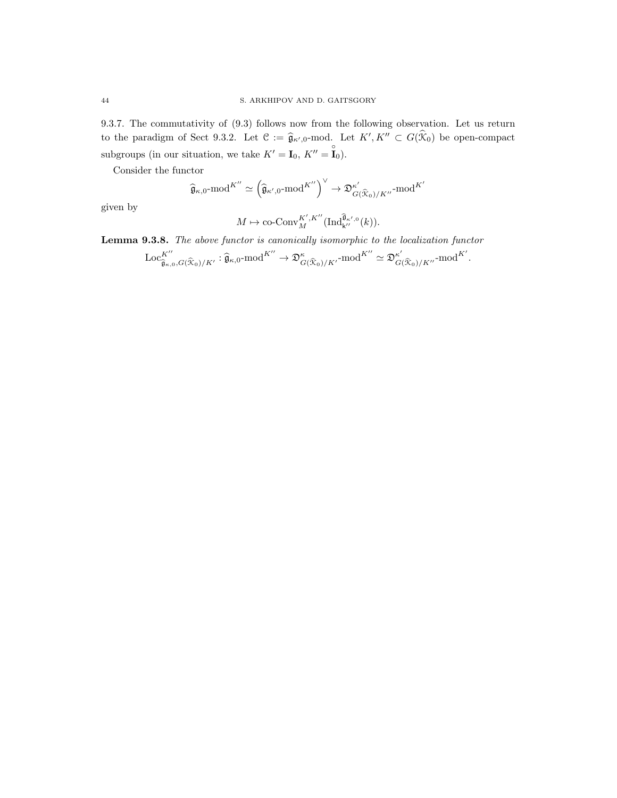9.3.7. The commutativity of (9.3) follows now from the following observation. Let us return to the paradigm of Sect 9.3.2. Let  $\mathcal{C} := \hat{\mathfrak{g}}_{\kappa',0}$ -mod. Let  $K', K'' \subset G(\hat{\mathcal{K}}_0)$  be open-compact subgroups (in our situation, we take  $K' = I_0, K'' = \mathbf{I}_0$ ).

Consider the functor

$$
\widehat{\mathfrak{g}}_{\kappa,0}\text{-mod}^{K''}\simeq\left(\widehat{\mathfrak{g}}_{\kappa',0}\text{-mod}^{K''}\right)^{\vee}\to\mathfrak{D}_{G(\widehat{\mathfrak{X}}_0)/K''}^{\kappa'}\text{-mod}^{K'}
$$

given by

$$
M \mapsto \operatorname{co-Conv}_{M}^{K', K''}(\operatorname{Ind}_{\mathsf{k}''}^{\widehat{\mathfrak{g}}_{\kappa',0}}(k)).
$$

Lemma 9.3.8. The above functor is canonically isomorphic to the localization functor

$$
\mathrm{Loc}_{\widehat{\mathfrak{g}}_{\kappa,0},G(\widehat{\mathfrak{X}}_0)/K'}^{\mathcal{K}''}: \widehat{\mathfrak{g}}_{\kappa,0}\text{-mod}^{K''} \to \mathfrak{D}_{G(\widehat{\mathfrak{X}}_0)/K'}^{\kappa}\text{-mod}^{K''} \simeq \mathfrak{D}_{G(\widehat{\mathfrak{X}}_0)/K''}^{\kappa'}\text{-mod}^{K'}.
$$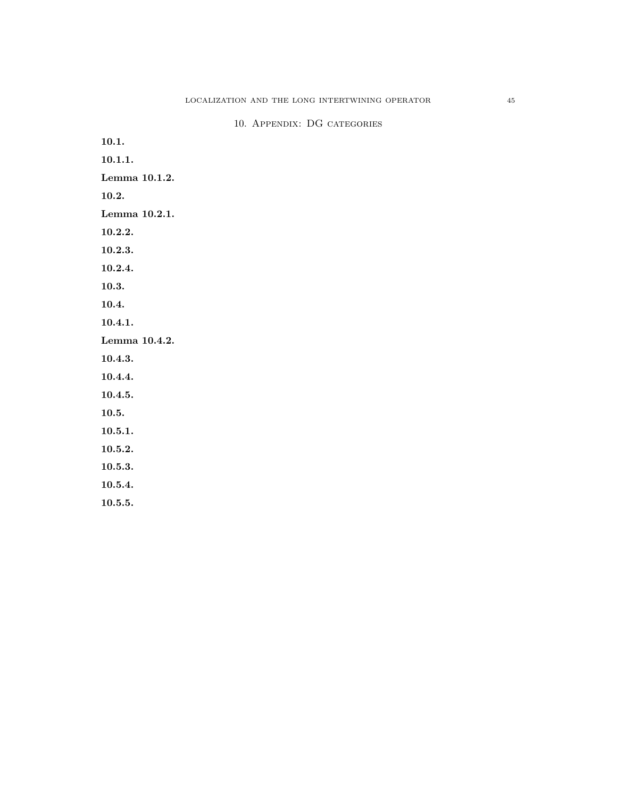10.1. 10.1.1. Lemma 10.1.2. 10.2. Lemma 10.2.1. 10.2.2. 10.2.3. 10.2.4. 10.3. 10.4. 10.4.1. Lemma 10.4.2. 10.4.3. 10.4.4. 10.4.5. 10.5. 10.5.1. 10.5.2. 10.5.3. 10.5.4. 10.5.5.